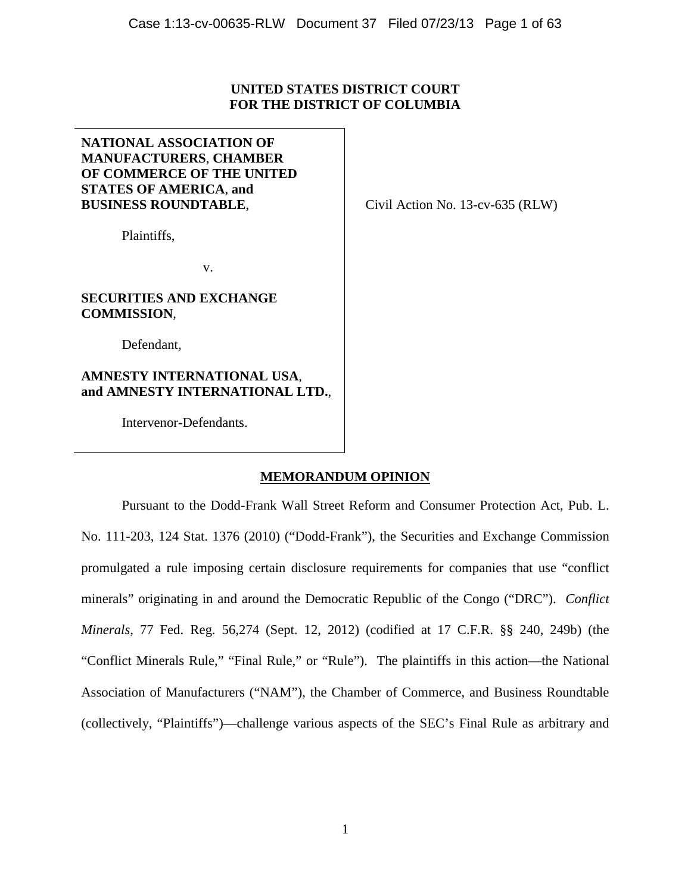# **UNITED STATES DISTRICT COURT FOR THE DISTRICT OF COLUMBIA**

# **NATIONAL ASSOCIATION OF MANUFACTURERS**, **CHAMBER OF COMMERCE OF THE UNITED STATES OF AMERICA**, **and BUSINESS ROUNDTABLE**,

Plaintiffs,

Civil Action No. 13-cv-635 (RLW)

v.

# **SECURITIES AND EXCHANGE COMMISSION**,

Defendant,

# **AMNESTY INTERNATIONAL USA**, **and AMNESTY INTERNATIONAL LTD.**,

Intervenor-Defendants.

# **MEMORANDUM OPINION**

Pursuant to the Dodd-Frank Wall Street Reform and Consumer Protection Act, Pub. L. No. 111-203, 124 Stat. 1376 (2010) ("Dodd-Frank"), the Securities and Exchange Commission promulgated a rule imposing certain disclosure requirements for companies that use "conflict minerals" originating in and around the Democratic Republic of the Congo ("DRC"). *Conflict Minerals*, 77 Fed. Reg. 56,274 (Sept. 12, 2012) (codified at 17 C.F.R. §§ 240, 249b) (the "Conflict Minerals Rule," "Final Rule," or "Rule"). The plaintiffs in this action—the National Association of Manufacturers ("NAM"), the Chamber of Commerce, and Business Roundtable (collectively, "Plaintiffs")—challenge various aspects of the SEC's Final Rule as arbitrary and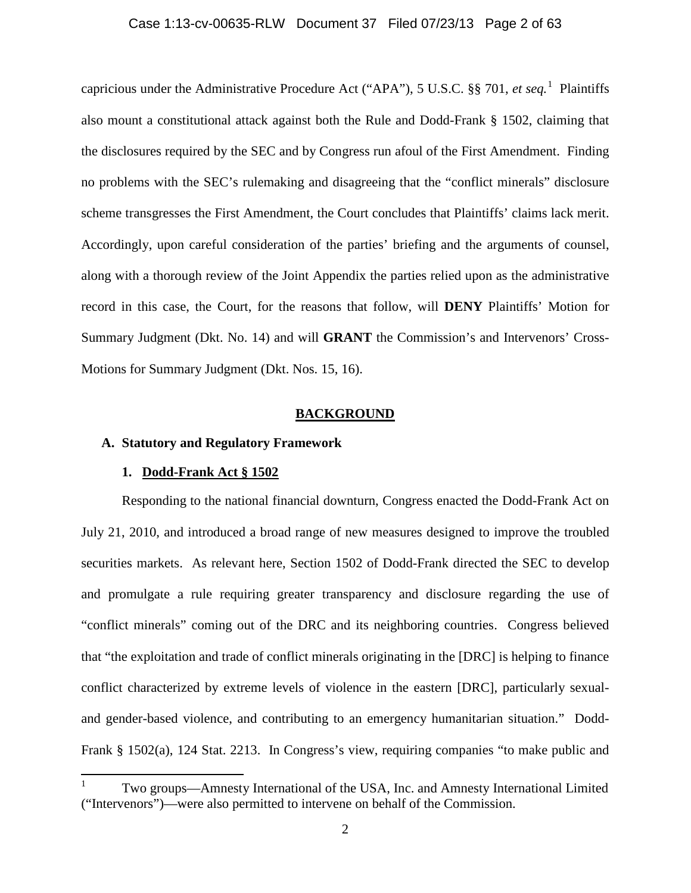## Case 1:13-cv-00635-RLW Document 37 Filed 07/23/13 Page 2 of 63

capricious under the Administrative Procedure Act ("APA"), 5 U.S.C. §§ 701, *et seq.*[1](#page-1-0) Plaintiffs also mount a constitutional attack against both the Rule and Dodd-Frank § 1502, claiming that the disclosures required by the SEC and by Congress run afoul of the First Amendment. Finding no problems with the SEC's rulemaking and disagreeing that the "conflict minerals" disclosure scheme transgresses the First Amendment, the Court concludes that Plaintiffs' claims lack merit. Accordingly, upon careful consideration of the parties' briefing and the arguments of counsel, along with a thorough review of the Joint Appendix the parties relied upon as the administrative record in this case, the Court, for the reasons that follow, will **DENY** Plaintiffs' Motion for Summary Judgment (Dkt. No. 14) and will **GRANT** the Commission's and Intervenors' Cross-Motions for Summary Judgment (Dkt. Nos. 15, 16).

#### **BACKGROUND**

# **A. Statutory and Regulatory Framework**

#### **1. Dodd-Frank Act § 1502**

Responding to the national financial downturn, Congress enacted the Dodd-Frank Act on July 21, 2010, and introduced a broad range of new measures designed to improve the troubled securities markets. As relevant here, Section 1502 of Dodd-Frank directed the SEC to develop and promulgate a rule requiring greater transparency and disclosure regarding the use of "conflict minerals" coming out of the DRC and its neighboring countries. Congress believed that "the exploitation and trade of conflict minerals originating in the [DRC] is helping to finance conflict characterized by extreme levels of violence in the eastern [DRC], particularly sexualand gender-based violence, and contributing to an emergency humanitarian situation." Dodd-Frank § 1502(a), 124 Stat. 2213. In Congress's view, requiring companies "to make public and

<span id="page-1-0"></span><sup>1</sup> Two groups—Amnesty International of the USA, Inc. and Amnesty International Limited ("Intervenors")—were also permitted to intervene on behalf of the Commission.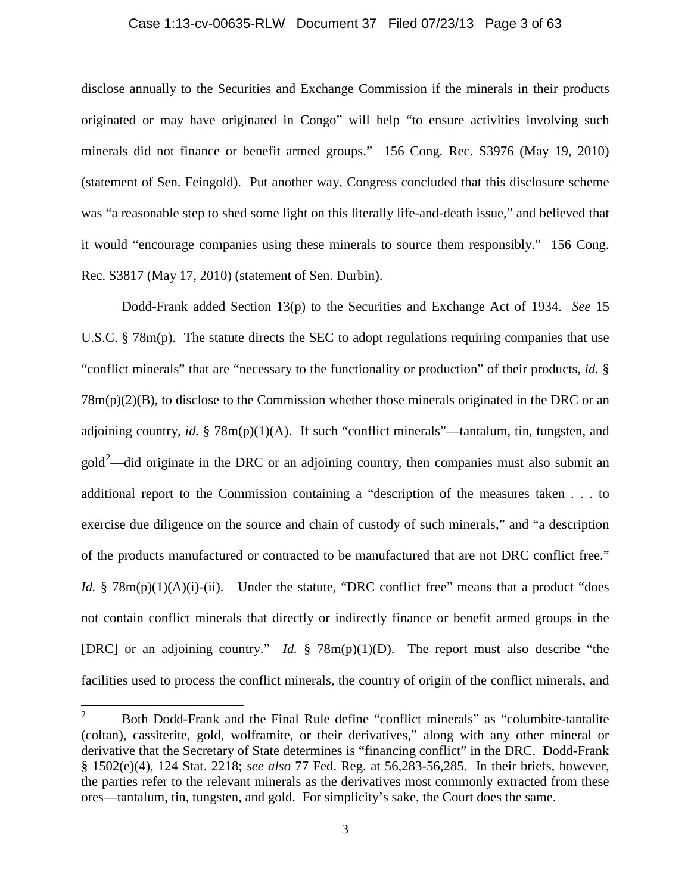#### Case 1:13-cv-00635-RLW Document 37 Filed 07/23/13 Page 3 of 63

disclose annually to the Securities and Exchange Commission if the minerals in their products originated or may have originated in Congo" will help "to ensure activities involving such minerals did not finance or benefit armed groups." 156 Cong. Rec. S3976 (May 19, 2010) (statement of Sen. Feingold). Put another way, Congress concluded that this disclosure scheme was "a reasonable step to shed some light on this literally life-and-death issue," and believed that it would "encourage companies using these minerals to source them responsibly." 156 Cong. Rec. S3817 (May 17, 2010) (statement of Sen. Durbin).

Dodd-Frank added Section 13(p) to the Securities and Exchange Act of 1934. *See* 15 U.S.C. § 78m(p). The statute directs the SEC to adopt regulations requiring companies that use "conflict minerals" that are "necessary to the functionality or production" of their products, *id.* § 78m(p)(2)(B), to disclose to the Commission whether those minerals originated in the DRC or an adjoining country, *id.* § 78m(p)(1)(A). If such "conflict minerals"—tantalum, tin, tungsten, and  $\text{gold}^2$  $\text{gold}^2$ —did originate in the DRC or an adjoining country, then companies must also submit an additional report to the Commission containing a "description of the measures taken . . . to exercise due diligence on the source and chain of custody of such minerals," and "a description of the products manufactured or contracted to be manufactured that are not DRC conflict free." *Id.* § 78m(p)(1)(A)(i)-(ii). Under the statute, "DRC conflict free" means that a product "does not contain conflict minerals that directly or indirectly finance or benefit armed groups in the [DRC] or an adjoining country." *Id.* § 78m(p)(1)(D). The report must also describe "the facilities used to process the conflict minerals, the country of origin of the conflict minerals, and

<span id="page-2-0"></span><sup>&</sup>lt;sup>2</sup> Both Dodd-Frank and the Final Rule define "conflict minerals" as "columbite-tantalite (coltan), cassiterite, gold, wolframite, or their derivatives," along with any other mineral or derivative that the Secretary of State determines is "financing conflict" in the DRC. Dodd-Frank § 1502(e)(4), 124 Stat. 2218; *see also* 77 Fed. Reg. at 56,283-56,285. In their briefs, however, the parties refer to the relevant minerals as the derivatives most commonly extracted from these ores—tantalum, tin, tungsten, and gold. For simplicity's sake, the Court does the same.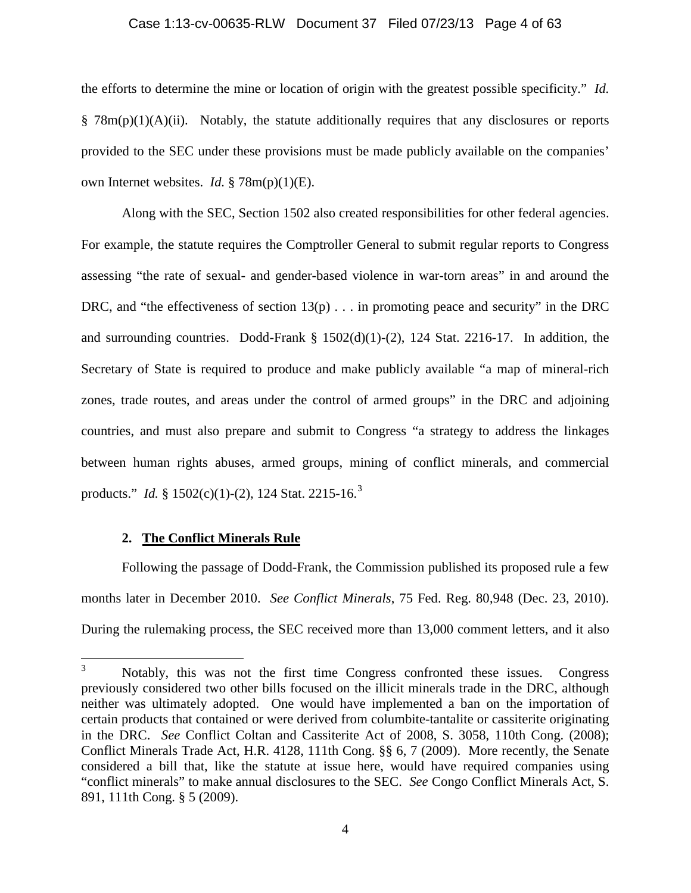#### Case 1:13-cv-00635-RLW Document 37 Filed 07/23/13 Page 4 of 63

the efforts to determine the mine or location of origin with the greatest possible specificity." *Id.* § 78m(p)(1)(A)(ii).Notably, the statute additionally requires that any disclosures or reports provided to the SEC under these provisions must be made publicly available on the companies' own Internet websites. *Id.* § 78m(p)(1)(E).

Along with the SEC, Section 1502 also created responsibilities for other federal agencies. For example, the statute requires the Comptroller General to submit regular reports to Congress assessing "the rate of sexual- and gender-based violence in war-torn areas" in and around the DRC, and "the effectiveness of section  $13(p)$ ... in promoting peace and security" in the DRC and surrounding countries. Dodd-Frank § 1502(d)(1)-(2), 124 Stat. 2216-17. In addition, the Secretary of State is required to produce and make publicly available "a map of mineral-rich zones, trade routes, and areas under the control of armed groups" in the DRC and adjoining countries, and must also prepare and submit to Congress "a strategy to address the linkages between human rights abuses, armed groups, mining of conflict minerals, and commercial products." *Id.* § 1502(c)(1)-(2), 124 Stat. 2215-16.<sup>[3](#page-3-0)</sup>

## **2. The Conflict Minerals Rule**

Following the passage of Dodd-Frank, the Commission published its proposed rule a few months later in December 2010. *See Conflict Minerals*, 75 Fed. Reg. 80,948 (Dec. 23, 2010). During the rulemaking process, the SEC received more than 13,000 comment letters, and it also

<span id="page-3-0"></span><sup>&</sup>lt;sup>3</sup> Notably, this was not the first time Congress confronted these issues. Congress previously considered two other bills focused on the illicit minerals trade in the DRC, although neither was ultimately adopted. One would have implemented a ban on the importation of certain products that contained or were derived from columbite-tantalite or cassiterite originating in the DRC. *See* Conflict Coltan and Cassiterite Act of 2008, S. 3058, 110th Cong. (2008); Conflict Minerals Trade Act, H.R. 4128, 111th Cong. §§ 6, 7 (2009). More recently, the Senate considered a bill that, like the statute at issue here, would have required companies using "conflict minerals" to make annual disclosures to the SEC. *See* Congo Conflict Minerals Act, S. 891, 111th Cong. § 5 (2009).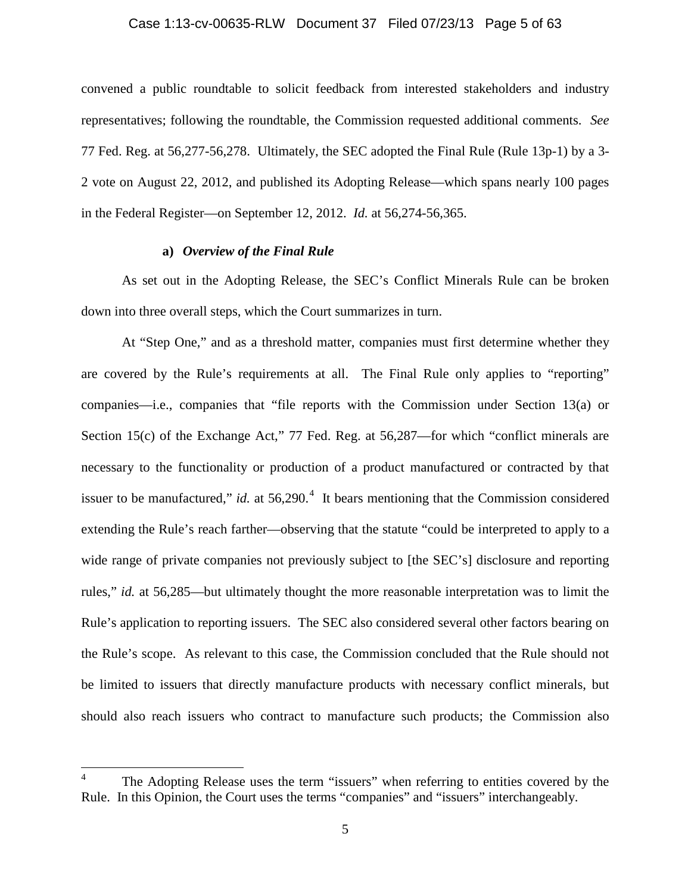## Case 1:13-cv-00635-RLW Document 37 Filed 07/23/13 Page 5 of 63

convened a public roundtable to solicit feedback from interested stakeholders and industry representatives; following the roundtable, the Commission requested additional comments. *See*  77 Fed. Reg. at 56,277-56,278. Ultimately, the SEC adopted the Final Rule (Rule 13p-1) by a 3- 2 vote on August 22, 2012, and published its Adopting Release—which spans nearly 100 pages in the Federal Register—on September 12, 2012. *Id.* at 56,274-56,365.

## **a)** *Overview of the Final Rule*

As set out in the Adopting Release, the SEC's Conflict Minerals Rule can be broken down into three overall steps, which the Court summarizes in turn.

At "Step One," and as a threshold matter, companies must first determine whether they are covered by the Rule's requirements at all. The Final Rule only applies to "reporting" companies—i.e., companies that "file reports with the Commission under Section 13(a) or Section 15(c) of the Exchange Act," 77 Fed. Reg. at 56,287—for which "conflict minerals are necessary to the functionality or production of a product manufactured or contracted by that issuer to be manufactured," *id.* at  $56,290$ .<sup>[4](#page-4-0)</sup> It bears mentioning that the Commission considered extending the Rule's reach farther—observing that the statute "could be interpreted to apply to a wide range of private companies not previously subject to [the SEC's] disclosure and reporting rules," *id.* at 56,285—but ultimately thought the more reasonable interpretation was to limit the Rule's application to reporting issuers. The SEC also considered several other factors bearing on the Rule's scope. As relevant to this case, the Commission concluded that the Rule should not be limited to issuers that directly manufacture products with necessary conflict minerals, but should also reach issuers who contract to manufacture such products; the Commission also

<span id="page-4-0"></span>The Adopting Release uses the term "issuers" when referring to entities covered by the Rule. In this Opinion, the Court uses the terms "companies" and "issuers" interchangeably.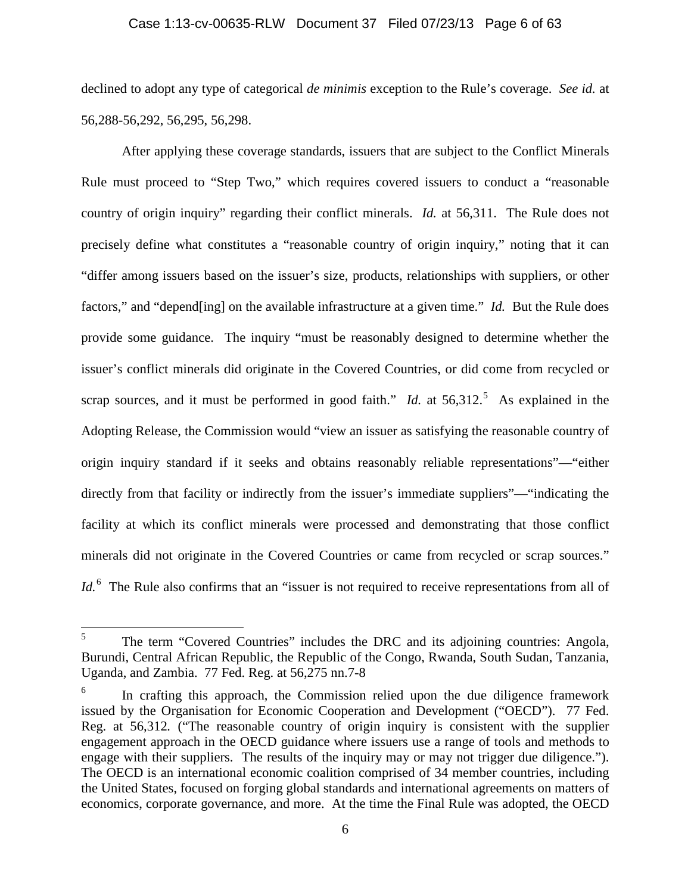## Case 1:13-cv-00635-RLW Document 37 Filed 07/23/13 Page 6 of 63

declined to adopt any type of categorical *de minimis* exception to the Rule's coverage. *See id.* at 56,288-56,292, 56,295, 56,298.

After applying these coverage standards, issuers that are subject to the Conflict Minerals Rule must proceed to "Step Two," which requires covered issuers to conduct a "reasonable country of origin inquiry" regarding their conflict minerals. *Id.* at 56,311. The Rule does not precisely define what constitutes a "reasonable country of origin inquiry," noting that it can "differ among issuers based on the issuer's size, products, relationships with suppliers, or other factors," and "depend[ing] on the available infrastructure at a given time." *Id.* But the Rule does provide some guidance. The inquiry "must be reasonably designed to determine whether the issuer's conflict minerals did originate in the Covered Countries, or did come from recycled or scrap sources, and it must be performed in good faith." *Id.* at  $56,312$  $56,312$ <sup>5</sup> As explained in the Adopting Release, the Commission would "view an issuer as satisfying the reasonable country of origin inquiry standard if it seeks and obtains reasonably reliable representations"—"either directly from that facility or indirectly from the issuer's immediate suppliers"—"indicating the facility at which its conflict minerals were processed and demonstrating that those conflict minerals did not originate in the Covered Countries or came from recycled or scrap sources." Id.<sup>[6](#page-5-1)</sup> The Rule also confirms that an "issuer is not required to receive representations from all of

<span id="page-5-0"></span><sup>&</sup>lt;sup>5</sup> The term "Covered Countries" includes the DRC and its adjoining countries: Angola, Burundi, Central African Republic, the Republic of the Congo, Rwanda, South Sudan, Tanzania, Uganda, and Zambia. 77 Fed. Reg. at 56,275 nn.7-8

<span id="page-5-1"></span> $6$  In crafting this approach, the Commission relied upon the due diligence framework issued by the Organisation for Economic Cooperation and Development ("OECD"). 77 Fed. Reg. at 56,312*.* ("The reasonable country of origin inquiry is consistent with the supplier engagement approach in the OECD guidance where issuers use a range of tools and methods to engage with their suppliers. The results of the inquiry may or may not trigger due diligence."). The OECD is an international economic coalition comprised of 34 member countries, including the United States, focused on forging global standards and international agreements on matters of economics, corporate governance, and more. At the time the Final Rule was adopted, the OECD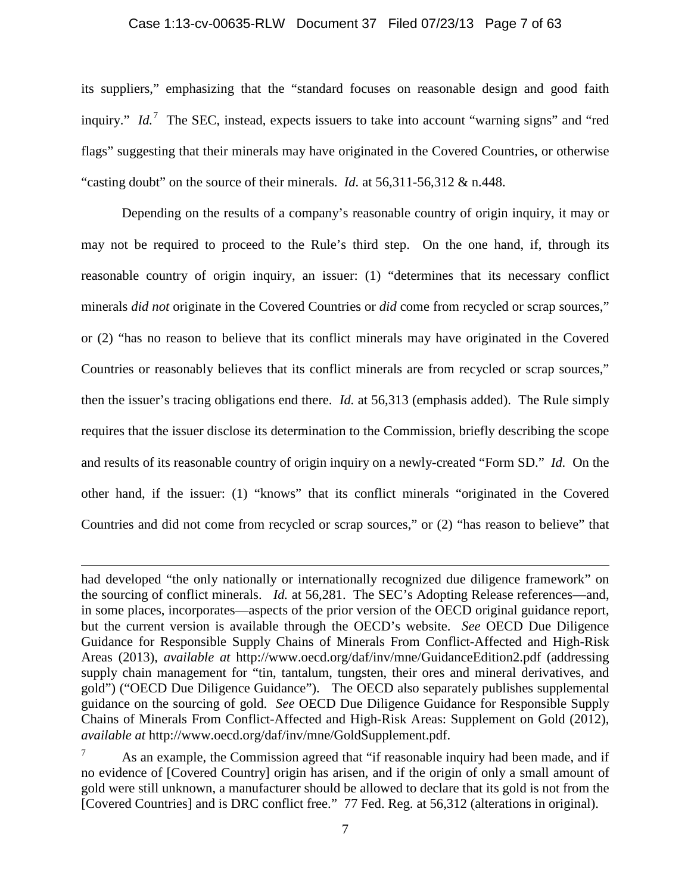## Case 1:13-cv-00635-RLW Document 37 Filed 07/23/13 Page 7 of 63

its suppliers," emphasizing that the "standard focuses on reasonable design and good faith inquiry." *Id.*<sup>[7](#page-6-0)</sup> The SEC, instead, expects issuers to take into account "warning signs" and "red flags" suggesting that their minerals may have originated in the Covered Countries, or otherwise "casting doubt" on the source of their minerals. *Id.* at 56,311-56,312 & n.448.

Depending on the results of a company's reasonable country of origin inquiry, it may or may not be required to proceed to the Rule's third step. On the one hand, if, through its reasonable country of origin inquiry, an issuer: (1) "determines that its necessary conflict minerals *did not* originate in the Covered Countries or *did* come from recycled or scrap sources," or (2) "has no reason to believe that its conflict minerals may have originated in the Covered Countries or reasonably believes that its conflict minerals are from recycled or scrap sources," then the issuer's tracing obligations end there. *Id.* at 56,313 (emphasis added). The Rule simply requires that the issuer disclose its determination to the Commission, briefly describing the scope and results of its reasonable country of origin inquiry on a newly-created "Form SD." *Id.* On the other hand, if the issuer: (1) "knows" that its conflict minerals "originated in the Covered Countries and did not come from recycled or scrap sources," or (2) "has reason to believe" that

 $\overline{\phantom{a}}$ 

had developed "the only nationally or internationally recognized due diligence framework" on the sourcing of conflict minerals. *Id.* at 56,281. The SEC's Adopting Release references—and, in some places, incorporates—aspects of the prior version of the OECD original guidance report, but the current version is available through the OECD's website. *See* OECD Due Diligence Guidance for Responsible Supply Chains of Minerals From Conflict-Affected and High-Risk Areas (2013), *available at* http://www.oecd.org/daf/inv/mne/GuidanceEdition2.pdf (addressing supply chain management for "tin, tantalum, tungsten, their ores and mineral derivatives, and gold") ("OECD Due Diligence Guidance"). The OECD also separately publishes supplemental guidance on the sourcing of gold. *See* OECD Due Diligence Guidance for Responsible Supply Chains of Minerals From Conflict-Affected and High-Risk Areas: Supplement on Gold (2012), *available at* http://www.oecd.org/daf/inv/mne/GoldSupplement.pdf.

<span id="page-6-0"></span>As an example, the Commission agreed that "if reasonable inquiry had been made, and if no evidence of [Covered Country] origin has arisen, and if the origin of only a small amount of gold were still unknown, a manufacturer should be allowed to declare that its gold is not from the [Covered Countries] and is DRC conflict free." 77 Fed. Reg. at 56,312 (alterations in original).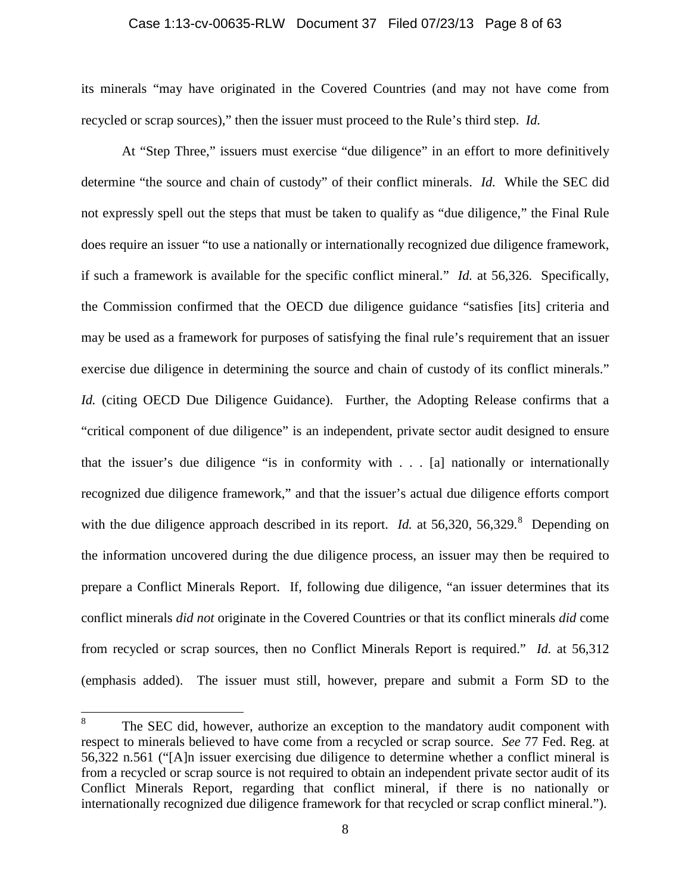#### Case 1:13-cv-00635-RLW Document 37 Filed 07/23/13 Page 8 of 63

its minerals "may have originated in the Covered Countries (and may not have come from recycled or scrap sources)," then the issuer must proceed to the Rule's third step. *Id.*

At "Step Three," issuers must exercise "due diligence" in an effort to more definitively determine "the source and chain of custody" of their conflict minerals. *Id.* While the SEC did not expressly spell out the steps that must be taken to qualify as "due diligence," the Final Rule does require an issuer "to use a nationally or internationally recognized due diligence framework, if such a framework is available for the specific conflict mineral." *Id.* at 56,326. Specifically, the Commission confirmed that the OECD due diligence guidance "satisfies [its] criteria and may be used as a framework for purposes of satisfying the final rule's requirement that an issuer exercise due diligence in determining the source and chain of custody of its conflict minerals." *Id.* (citing OECD Due Diligence Guidance). Further, the Adopting Release confirms that a "critical component of due diligence" is an independent, private sector audit designed to ensure that the issuer's due diligence "is in conformity with . . . [a] nationally or internationally recognized due diligence framework," and that the issuer's actual due diligence efforts comport with the due diligence approach described in its report. *Id.* at 56,320, 56,329.<sup>[8](#page-7-0)</sup> Depending on the information uncovered during the due diligence process, an issuer may then be required to prepare a Conflict Minerals Report. If, following due diligence, "an issuer determines that its conflict minerals *did not* originate in the Covered Countries or that its conflict minerals *did* come from recycled or scrap sources, then no Conflict Minerals Report is required." *Id.* at 56,312 (emphasis added). The issuer must still, however, prepare and submit a Form SD to the

<span id="page-7-0"></span><sup>&</sup>lt;sup>8</sup> The SEC did, however, authorize an exception to the mandatory audit component with respect to minerals believed to have come from a recycled or scrap source. *See* 77 Fed. Reg. at 56,322 n.561 ("[A]n issuer exercising due diligence to determine whether a conflict mineral is from a recycled or scrap source is not required to obtain an independent private sector audit of its Conflict Minerals Report, regarding that conflict mineral, if there is no nationally or internationally recognized due diligence framework for that recycled or scrap conflict mineral.").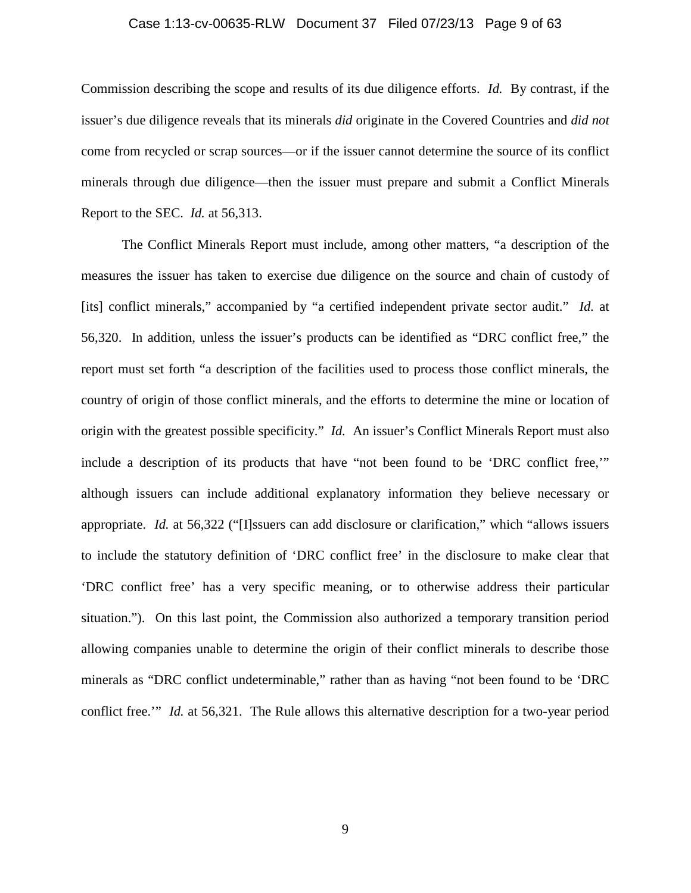## Case 1:13-cv-00635-RLW Document 37 Filed 07/23/13 Page 9 of 63

Commission describing the scope and results of its due diligence efforts. *Id.* By contrast, if the issuer's due diligence reveals that its minerals *did* originate in the Covered Countries and *did not* come from recycled or scrap sources—or if the issuer cannot determine the source of its conflict minerals through due diligence—then the issuer must prepare and submit a Conflict Minerals Report to the SEC. *Id.* at 56,313.

The Conflict Minerals Report must include, among other matters, "a description of the measures the issuer has taken to exercise due diligence on the source and chain of custody of [its] conflict minerals," accompanied by "a certified independent private sector audit." *Id.* at 56,320. In addition, unless the issuer's products can be identified as "DRC conflict free," the report must set forth "a description of the facilities used to process those conflict minerals, the country of origin of those conflict minerals, and the efforts to determine the mine or location of origin with the greatest possible specificity." *Id.* An issuer's Conflict Minerals Report must also include a description of its products that have "not been found to be 'DRC conflict free,'" although issuers can include additional explanatory information they believe necessary or appropriate. *Id.* at 56,322 ("[I]ssuers can add disclosure or clarification," which "allows issuers to include the statutory definition of 'DRC conflict free' in the disclosure to make clear that 'DRC conflict free' has a very specific meaning, or to otherwise address their particular situation."). On this last point, the Commission also authorized a temporary transition period allowing companies unable to determine the origin of their conflict minerals to describe those minerals as "DRC conflict undeterminable," rather than as having "not been found to be 'DRC conflict free.'" *Id.* at 56,321. The Rule allows this alternative description for a two-year period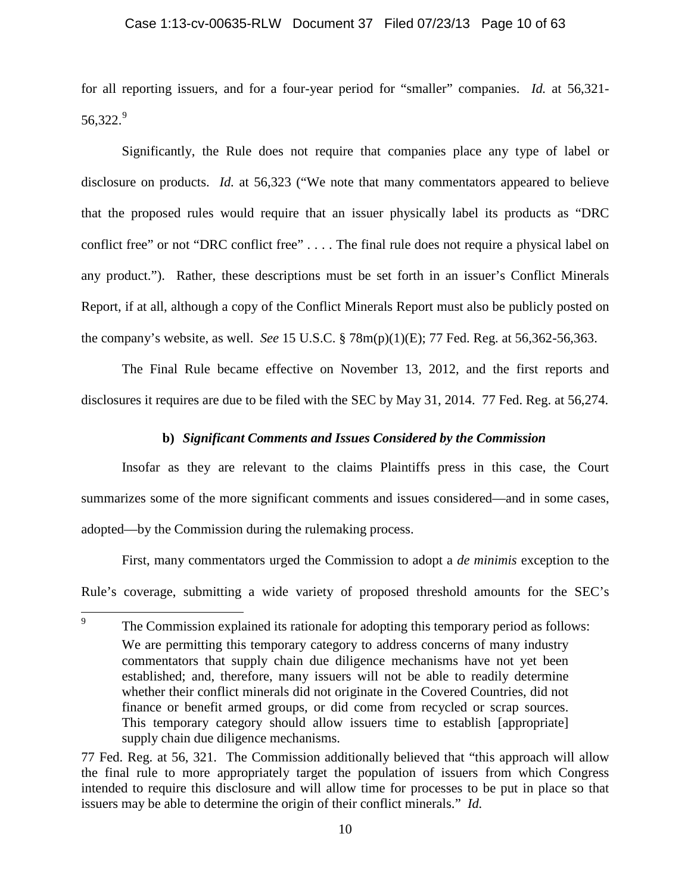## Case 1:13-cv-00635-RLW Document 37 Filed 07/23/13 Page 10 of 63

for all reporting issuers, and for a four-year period for "smaller" companies. *Id.* at 56,321- 56,322. [9](#page-9-0)

Significantly, the Rule does not require that companies place any type of label or disclosure on products. *Id.* at 56,323 ("We note that many commentators appeared to believe that the proposed rules would require that an issuer physically label its products as "DRC conflict free" or not "DRC conflict free" . . . . The final rule does not require a physical label on any product."). Rather, these descriptions must be set forth in an issuer's Conflict Minerals Report, if at all, although a copy of the Conflict Minerals Report must also be publicly posted on the company's website, as well. *See* 15 U.S.C. § 78m(p)(1)(E); 77 Fed. Reg. at 56,362-56,363.

The Final Rule became effective on November 13, 2012, and the first reports and disclosures it requires are due to be filed with the SEC by May 31, 2014. 77 Fed. Reg. at 56,274.

## **b)** *Significant Comments and Issues Considered by the Commission*

Insofar as they are relevant to the claims Plaintiffs press in this case, the Court summarizes some of the more significant comments and issues considered—and in some cases, adopted—by the Commission during the rulemaking process.

First, many commentators urged the Commission to adopt a *de minimis* exception to the Rule's coverage, submitting a wide variety of proposed threshold amounts for the SEC's

<span id="page-9-0"></span><sup>&</sup>lt;sup>9</sup> The Commission explained its rationale for adopting this temporary period as follows: We are permitting this temporary category to address concerns of many industry commentators that supply chain due diligence mechanisms have not yet been established; and, therefore, many issuers will not be able to readily determine whether their conflict minerals did not originate in the Covered Countries, did not finance or benefit armed groups, or did come from recycled or scrap sources. This temporary category should allow issuers time to establish [appropriate] supply chain due diligence mechanisms.

<sup>77</sup> Fed. Reg. at 56, 321. The Commission additionally believed that "this approach will allow the final rule to more appropriately target the population of issuers from which Congress intended to require this disclosure and will allow time for processes to be put in place so that issuers may be able to determine the origin of their conflict minerals." *Id.*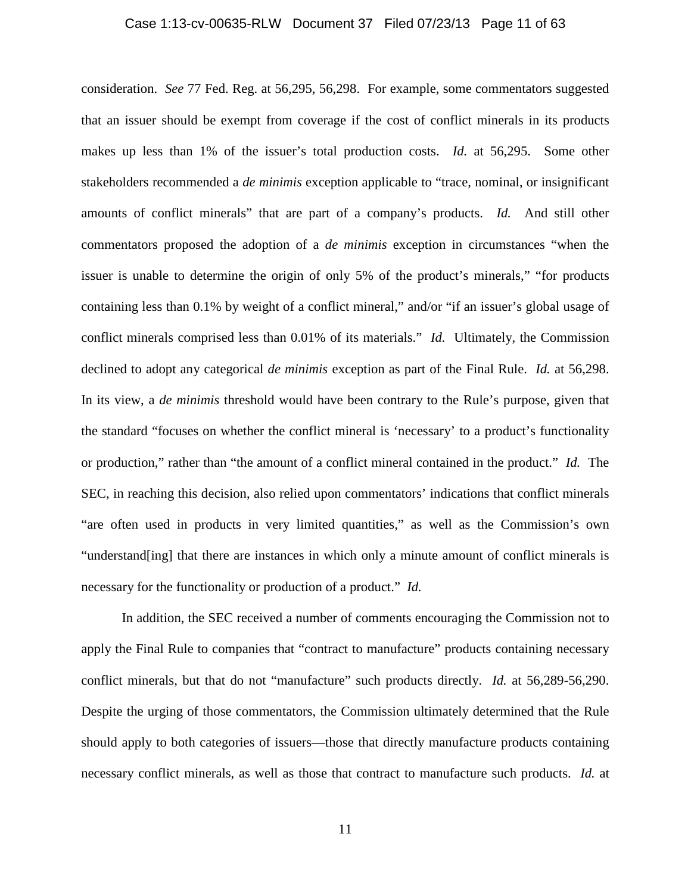## Case 1:13-cv-00635-RLW Document 37 Filed 07/23/13 Page 11 of 63

consideration. *See* 77 Fed. Reg. at 56,295, 56,298. For example, some commentators suggested that an issuer should be exempt from coverage if the cost of conflict minerals in its products makes up less than 1% of the issuer's total production costs. *Id.* at 56,295. Some other stakeholders recommended a *de minimis* exception applicable to "trace, nominal, or insignificant amounts of conflict minerals" that are part of a company's products. *Id.* And still other commentators proposed the adoption of a *de minimis* exception in circumstances "when the issuer is unable to determine the origin of only 5% of the product's minerals," "for products containing less than 0.1% by weight of a conflict mineral," and/or "if an issuer's global usage of conflict minerals comprised less than 0.01% of its materials." *Id.* Ultimately, the Commission declined to adopt any categorical *de minimis* exception as part of the Final Rule. *Id.* at 56,298. In its view, a *de minimis* threshold would have been contrary to the Rule's purpose, given that the standard "focuses on whether the conflict mineral is 'necessary' to a product's functionality or production," rather than "the amount of a conflict mineral contained in the product." *Id.* The SEC, in reaching this decision, also relied upon commentators' indications that conflict minerals "are often used in products in very limited quantities," as well as the Commission's own "understand[ing] that there are instances in which only a minute amount of conflict minerals is necessary for the functionality or production of a product." *Id.* 

In addition, the SEC received a number of comments encouraging the Commission not to apply the Final Rule to companies that "contract to manufacture" products containing necessary conflict minerals, but that do not "manufacture" such products directly. *Id.* at 56,289-56,290. Despite the urging of those commentators, the Commission ultimately determined that the Rule should apply to both categories of issuers—those that directly manufacture products containing necessary conflict minerals, as well as those that contract to manufacture such products. *Id.* at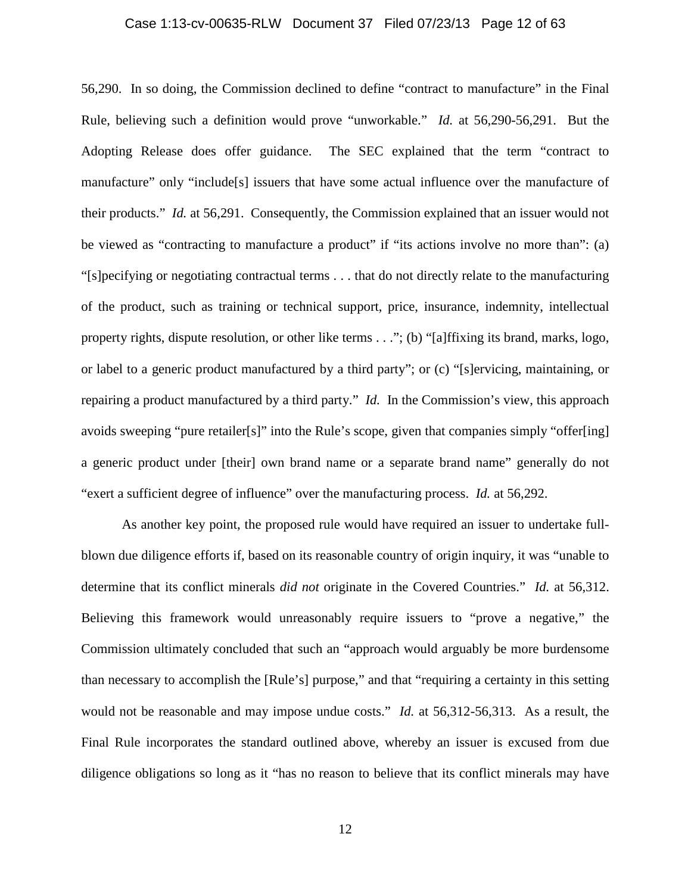## Case 1:13-cv-00635-RLW Document 37 Filed 07/23/13 Page 12 of 63

56,290. In so doing, the Commission declined to define "contract to manufacture" in the Final Rule, believing such a definition would prove "unworkable." *Id.* at 56,290-56,291. But the Adopting Release does offer guidance. The SEC explained that the term "contract to manufacture" only "include[s] issuers that have some actual influence over the manufacture of their products." *Id.* at 56,291. Consequently, the Commission explained that an issuer would not be viewed as "contracting to manufacture a product" if "its actions involve no more than": (a) "[s]pecifying or negotiating contractual terms . . . that do not directly relate to the manufacturing of the product, such as training or technical support, price, insurance, indemnity, intellectual property rights, dispute resolution, or other like terms . . ."; (b) "[a]ffixing its brand, marks, logo, or label to a generic product manufactured by a third party"; or (c) "[s]ervicing, maintaining, or repairing a product manufactured by a third party." *Id.* In the Commission's view, this approach avoids sweeping "pure retailer[s]" into the Rule's scope, given that companies simply "offer[ing] a generic product under [their] own brand name or a separate brand name" generally do not "exert a sufficient degree of influence" over the manufacturing process. *Id.* at 56,292.

As another key point, the proposed rule would have required an issuer to undertake fullblown due diligence efforts if, based on its reasonable country of origin inquiry, it was "unable to determine that its conflict minerals *did not* originate in the Covered Countries." *Id.* at 56,312. Believing this framework would unreasonably require issuers to "prove a negative," the Commission ultimately concluded that such an "approach would arguably be more burdensome than necessary to accomplish the [Rule's] purpose," and that "requiring a certainty in this setting would not be reasonable and may impose undue costs." *Id.* at 56,312-56,313. As a result, the Final Rule incorporates the standard outlined above, whereby an issuer is excused from due diligence obligations so long as it "has no reason to believe that its conflict minerals may have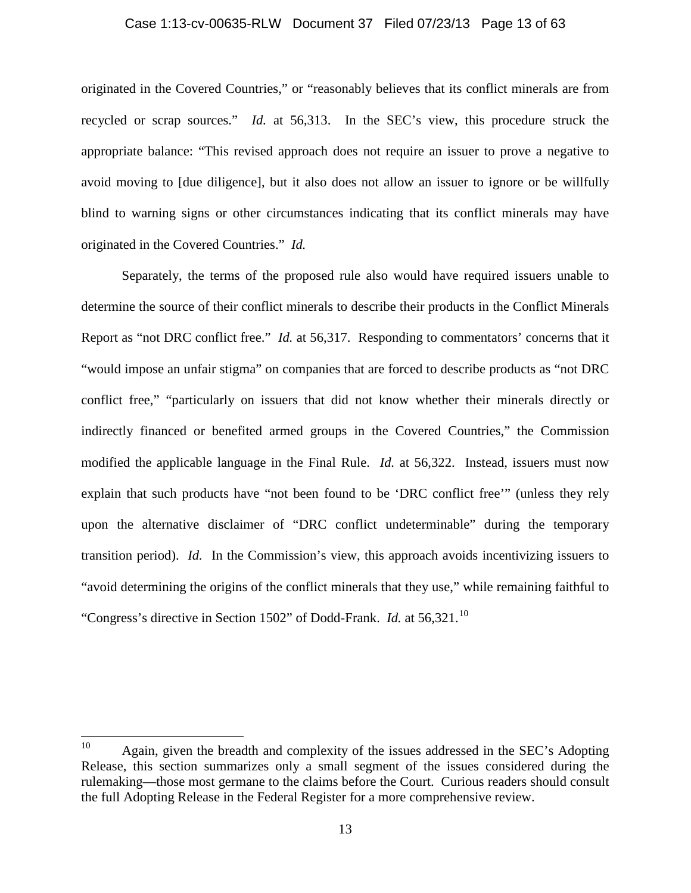## Case 1:13-cv-00635-RLW Document 37 Filed 07/23/13 Page 13 of 63

originated in the Covered Countries," or "reasonably believes that its conflict minerals are from recycled or scrap sources." *Id.* at 56,313. In the SEC's view, this procedure struck the appropriate balance: "This revised approach does not require an issuer to prove a negative to avoid moving to [due diligence], but it also does not allow an issuer to ignore or be willfully blind to warning signs or other circumstances indicating that its conflict minerals may have originated in the Covered Countries." *Id.*

Separately, the terms of the proposed rule also would have required issuers unable to determine the source of their conflict minerals to describe their products in the Conflict Minerals Report as "not DRC conflict free." *Id.* at 56,317. Responding to commentators' concerns that it "would impose an unfair stigma" on companies that are forced to describe products as "not DRC conflict free," "particularly on issuers that did not know whether their minerals directly or indirectly financed or benefited armed groups in the Covered Countries," the Commission modified the applicable language in the Final Rule. *Id.* at 56,322. Instead, issuers must now explain that such products have "not been found to be 'DRC conflict free'" (unless they rely upon the alternative disclaimer of "DRC conflict undeterminable" during the temporary transition period). *Id.* In the Commission's view, this approach avoids incentivizing issuers to "avoid determining the origins of the conflict minerals that they use," while remaining faithful to "Congress's directive in Section 1502" of Dodd-Frank. *Id.* at  $56,321$ .<sup>[10](#page-12-0)</sup>

<span id="page-12-0"></span><sup>&</sup>lt;sup>10</sup> Again, given the breadth and complexity of the issues addressed in the SEC's Adopting Release, this section summarizes only a small segment of the issues considered during the rulemaking—those most germane to the claims before the Court. Curious readers should consult the full Adopting Release in the Federal Register for a more comprehensive review.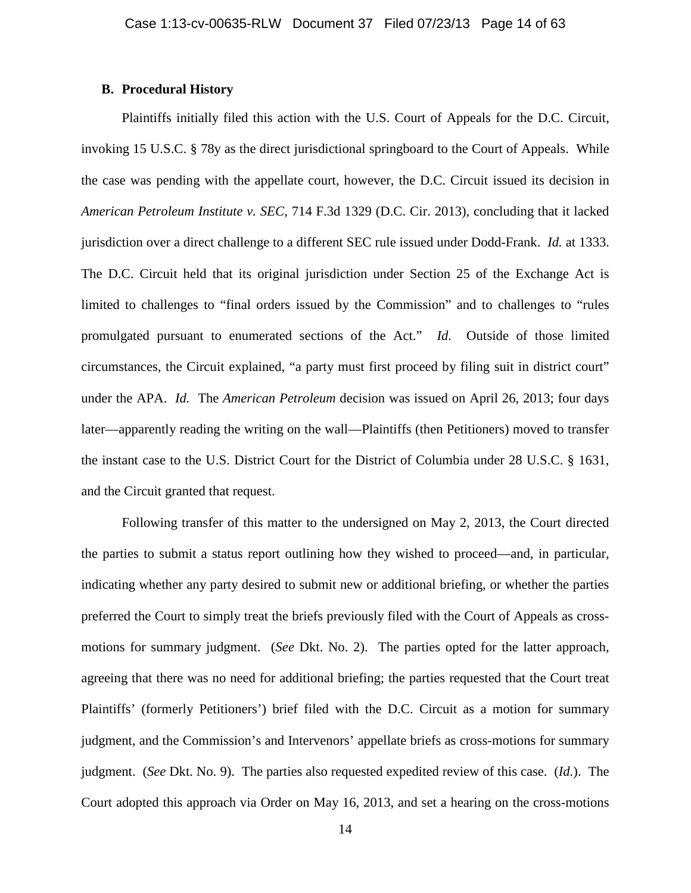## **B. Procedural History**

Plaintiffs initially filed this action with the U.S. Court of Appeals for the D.C. Circuit, invoking 15 U.S.C. § 78y as the direct jurisdictional springboard to the Court of Appeals. While the case was pending with the appellate court, however, the D.C. Circuit issued its decision in *American Petroleum Institute v. SEC*, 714 F.3d 1329 (D.C. Cir. 2013), concluding that it lacked jurisdiction over a direct challenge to a different SEC rule issued under Dodd-Frank. *Id.* at 1333. The D.C. Circuit held that its original jurisdiction under Section 25 of the Exchange Act is limited to challenges to "final orders issued by the Commission" and to challenges to "rules promulgated pursuant to enumerated sections of the Act." *Id.* Outside of those limited circumstances, the Circuit explained, "a party must first proceed by filing suit in district court" under the APA. *Id.* The *American Petroleum* decision was issued on April 26, 2013; four days later—apparently reading the writing on the wall—Plaintiffs (then Petitioners) moved to transfer the instant case to the U.S. District Court for the District of Columbia under 28 U.S.C. § 1631, and the Circuit granted that request.

Following transfer of this matter to the undersigned on May 2, 2013, the Court directed the parties to submit a status report outlining how they wished to proceed—and, in particular, indicating whether any party desired to submit new or additional briefing, or whether the parties preferred the Court to simply treat the briefs previously filed with the Court of Appeals as crossmotions for summary judgment. (*See* Dkt. No. 2). The parties opted for the latter approach, agreeing that there was no need for additional briefing; the parties requested that the Court treat Plaintiffs' (formerly Petitioners') brief filed with the D.C. Circuit as a motion for summary judgment, and the Commission's and Intervenors' appellate briefs as cross-motions for summary judgment. (*See* Dkt. No. 9). The parties also requested expedited review of this case. (*Id.*). The Court adopted this approach via Order on May 16, 2013, and set a hearing on the cross-motions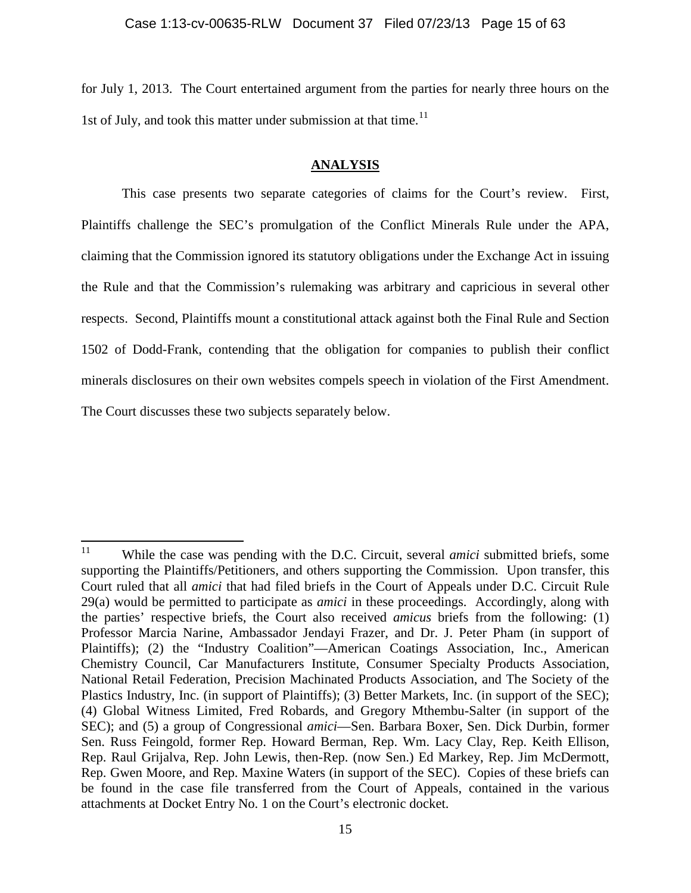for July 1, 2013. The Court entertained argument from the parties for nearly three hours on the 1st of July, and took this matter under submission at that time.<sup>11</sup>

## **ANALYSIS**

This case presents two separate categories of claims for the Court's review. First, Plaintiffs challenge the SEC's promulgation of the Conflict Minerals Rule under the APA, claiming that the Commission ignored its statutory obligations under the Exchange Act in issuing the Rule and that the Commission's rulemaking was arbitrary and capricious in several other respects. Second, Plaintiffs mount a constitutional attack against both the Final Rule and Section 1502 of Dodd-Frank, contending that the obligation for companies to publish their conflict minerals disclosures on their own websites compels speech in violation of the First Amendment. The Court discusses these two subjects separately below.

<span id="page-14-0"></span><sup>&</sup>lt;sup>11</sup> While the case was pending with the D.C. Circuit, several *amici* submitted briefs, some supporting the Plaintiffs/Petitioners, and others supporting the Commission. Upon transfer, this Court ruled that all *amici* that had filed briefs in the Court of Appeals under D.C. Circuit Rule 29(a) would be permitted to participate as *amici* in these proceedings. Accordingly, along with the parties' respective briefs, the Court also received *amicus* briefs from the following: (1) Professor Marcia Narine, Ambassador Jendayi Frazer, and Dr. J. Peter Pham (in support of Plaintiffs); (2) the "Industry Coalition"—American Coatings Association, Inc., American Chemistry Council, Car Manufacturers Institute, Consumer Specialty Products Association, National Retail Federation, Precision Machinated Products Association, and The Society of the Plastics Industry, Inc. (in support of Plaintiffs); (3) Better Markets, Inc. (in support of the SEC); (4) Global Witness Limited, Fred Robards, and Gregory Mthembu-Salter (in support of the SEC); and (5) a group of Congressional *amici*—Sen. Barbara Boxer, Sen. Dick Durbin, former Sen. Russ Feingold, former Rep. Howard Berman, Rep. Wm. Lacy Clay, Rep. Keith Ellison, Rep. Raul Grijalva, Rep. John Lewis, then-Rep. (now Sen.) Ed Markey, Rep. Jim McDermott, Rep. Gwen Moore, and Rep. Maxine Waters (in support of the SEC). Copies of these briefs can be found in the case file transferred from the Court of Appeals, contained in the various attachments at Docket Entry No. 1 on the Court's electronic docket.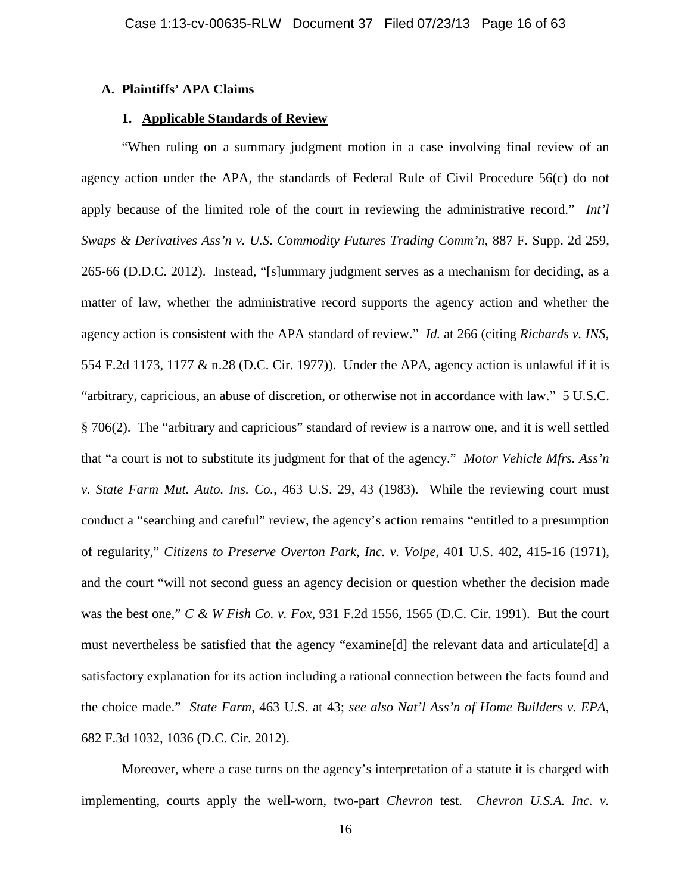## **A. Plaintiffs' APA Claims**

## **1. Applicable Standards of Review**

"When ruling on a summary judgment motion in a case involving final review of an agency action under the APA, the standards of Federal Rule of Civil Procedure 56(c) do not apply because of the limited role of the court in reviewing the administrative record." *Int'l Swaps & Derivatives Ass'n v. U.S. Commodity Futures Trading Comm'n*, 887 F. Supp. 2d 259, 265-66 (D.D.C. 2012). Instead, "[s]ummary judgment serves as a mechanism for deciding, as a matter of law, whether the administrative record supports the agency action and whether the agency action is consistent with the APA standard of review." *Id.* at 266 (citing *Richards v. INS*, 554 F.2d 1173, 1177 & n.28 (D.C. Cir. 1977)). Under the APA, agency action is unlawful if it is "arbitrary, capricious, an abuse of discretion, or otherwise not in accordance with law." 5 U.S.C. § 706(2). The "arbitrary and capricious" standard of review is a narrow one, and it is well settled that "a court is not to substitute its judgment for that of the agency." *Motor Vehicle Mfrs. Ass'n v. State Farm Mut. Auto. Ins. Co.*, 463 U.S. 29, 43 (1983). While the reviewing court must conduct a "searching and careful" review, the agency's action remains "entitled to a presumption of regularity," *Citizens to Preserve Overton Park, Inc. v. Volpe*, 401 U.S. 402, 415-16 (1971), and the court "will not second guess an agency decision or question whether the decision made was the best one," *C & W Fish Co. v. Fox*, 931 F.2d 1556, 1565 (D.C. Cir. 1991). But the court must nevertheless be satisfied that the agency "examine[d] the relevant data and articulate[d] a satisfactory explanation for its action including a rational connection between the facts found and the choice made." *State Farm*, 463 U.S. at 43; *see also Nat'l Ass'n of Home Builders v. EPA*, 682 F.3d 1032, 1036 (D.C. Cir. 2012).

Moreover, where a case turns on the agency's interpretation of a statute it is charged with implementing, courts apply the well-worn, two-part *Chevron* test. *Chevron U.S.A. Inc. v.*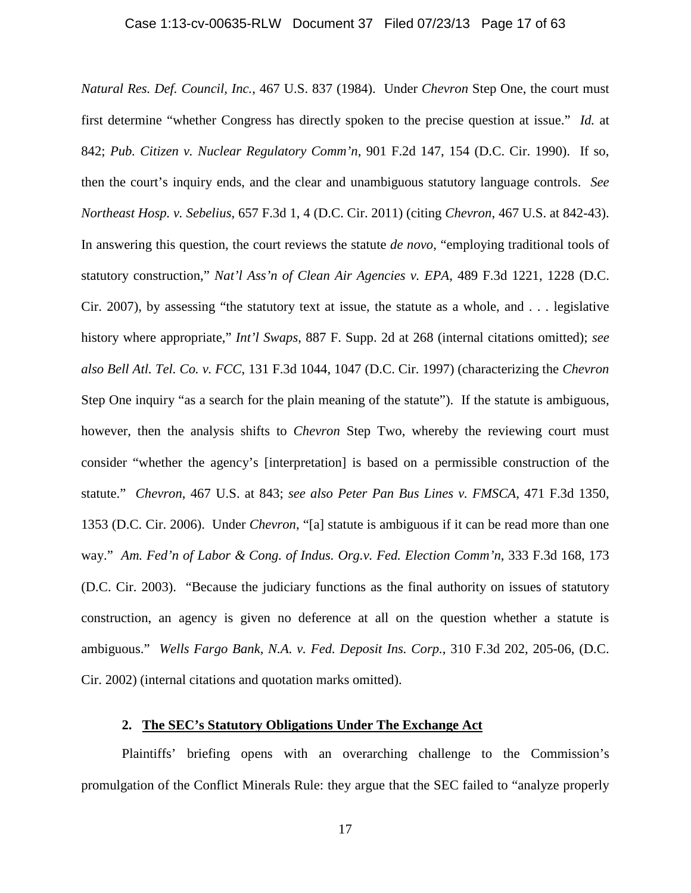## Case 1:13-cv-00635-RLW Document 37 Filed 07/23/13 Page 17 of 63

*Natural Res. Def. Council, Inc.*, 467 U.S. 837 (1984). Under *Chevron* Step One, the court must first determine "whether Congress has directly spoken to the precise question at issue." *Id.* at 842; *Pub. Citizen v. Nuclear Regulatory Comm'n*, 901 F.2d 147, 154 (D.C. Cir. 1990). If so, then the court's inquiry ends, and the clear and unambiguous statutory language controls. *See Northeast Hosp. v. Sebelius*, 657 F.3d 1, 4 (D.C. Cir. 2011) (citing *Chevron*, 467 U.S. at 842-43). In answering this question, the court reviews the statute *de novo*, "employing traditional tools of statutory construction," *Nat'l Ass'n of Clean Air Agencies v. EPA*, 489 F.3d 1221, 1228 (D.C. Cir. 2007), by assessing "the statutory text at issue, the statute as a whole, and . . . legislative history where appropriate," *Int'l Swaps*, 887 F. Supp. 2d at 268 (internal citations omitted); *see also Bell Atl. Tel. Co. v. FCC*, 131 F.3d 1044, 1047 (D.C. Cir. 1997) (characterizing the *Chevron* Step One inquiry "as a search for the plain meaning of the statute"). If the statute is ambiguous, however, then the analysis shifts to *Chevron* Step Two, whereby the reviewing court must consider "whether the agency's [interpretation] is based on a permissible construction of the statute." *Chevron*, 467 U.S. at 843; *see also Peter Pan Bus Lines v. FMSCA*, 471 F.3d 1350, 1353 (D.C. Cir. 2006). Under *Chevron*, "[a] statute is ambiguous if it can be read more than one way." *Am. Fed'n of Labor & Cong. of Indus. Org.v. Fed. Election Comm'n*, 333 F.3d 168, 173 (D.C. Cir. 2003). "Because the judiciary functions as the final authority on issues of statutory construction, an agency is given no deference at all on the question whether a statute is ambiguous." *Wells Fargo Bank, N.A. v. Fed. Deposit Ins. Corp.*, 310 F.3d 202, 205-06, (D.C. Cir. 2002) (internal citations and quotation marks omitted).

# **2. The SEC's Statutory Obligations Under The Exchange Act**

Plaintiffs' briefing opens with an overarching challenge to the Commission's promulgation of the Conflict Minerals Rule: they argue that the SEC failed to "analyze properly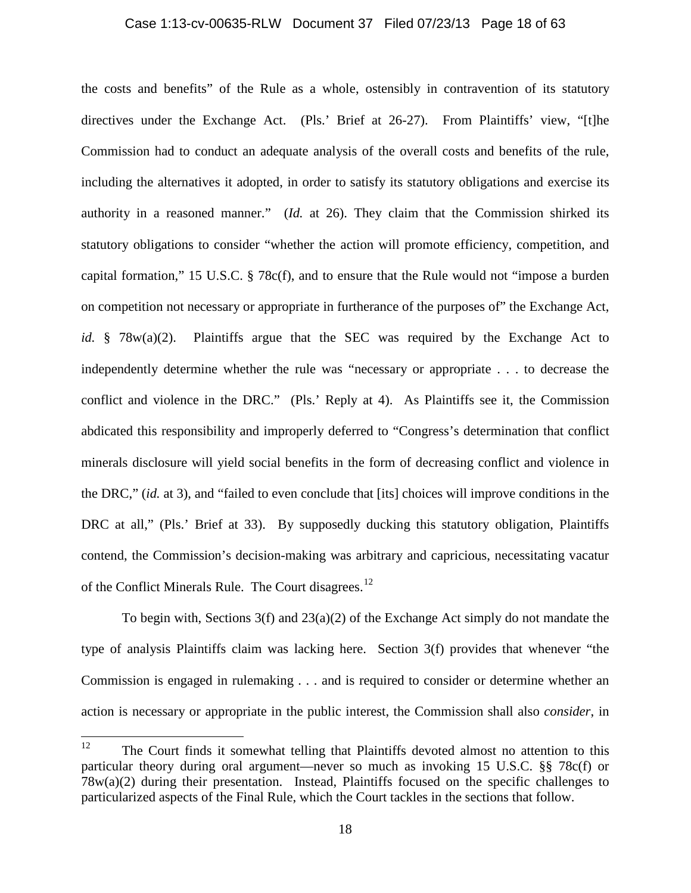## Case 1:13-cv-00635-RLW Document 37 Filed 07/23/13 Page 18 of 63

the costs and benefits" of the Rule as a whole, ostensibly in contravention of its statutory directives under the Exchange Act. (Pls.' Brief at 26-27). From Plaintiffs' view, "[t]he Commission had to conduct an adequate analysis of the overall costs and benefits of the rule, including the alternatives it adopted, in order to satisfy its statutory obligations and exercise its authority in a reasoned manner." (*Id.* at 26). They claim that the Commission shirked its statutory obligations to consider "whether the action will promote efficiency, competition, and capital formation," 15 U.S.C. § 78c(f), and to ensure that the Rule would not "impose a burden on competition not necessary or appropriate in furtherance of the purposes of" the Exchange Act, *id.* § 78w(a)(2). Plaintiffs argue that the SEC was required by the Exchange Act to independently determine whether the rule was "necessary or appropriate . . . to decrease the conflict and violence in the DRC." (Pls.' Reply at 4). As Plaintiffs see it, the Commission abdicated this responsibility and improperly deferred to "Congress's determination that conflict minerals disclosure will yield social benefits in the form of decreasing conflict and violence in the DRC," (*id.* at 3), and "failed to even conclude that [its] choices will improve conditions in the DRC at all," (Pls.' Brief at 33). By supposedly ducking this statutory obligation, Plaintiffs contend, the Commission's decision-making was arbitrary and capricious, necessitating vacatur of the Conflict Minerals Rule. The Court disagrees.<sup>[12](#page-17-0)</sup>

To begin with, Sections 3(f) and 23(a)(2) of the Exchange Act simply do not mandate the type of analysis Plaintiffs claim was lacking here. Section 3(f) provides that whenever "the Commission is engaged in rulemaking . . . and is required to consider or determine whether an action is necessary or appropriate in the public interest, the Commission shall also *consider*, in

<span id="page-17-0"></span><sup>&</sup>lt;sup>12</sup> The Court finds it somewhat telling that Plaintiffs devoted almost no attention to this particular theory during oral argument—never so much as invoking 15 U.S.C. §§ 78c(f) or 78w(a)(2) during their presentation. Instead, Plaintiffs focused on the specific challenges to particularized aspects of the Final Rule, which the Court tackles in the sections that follow.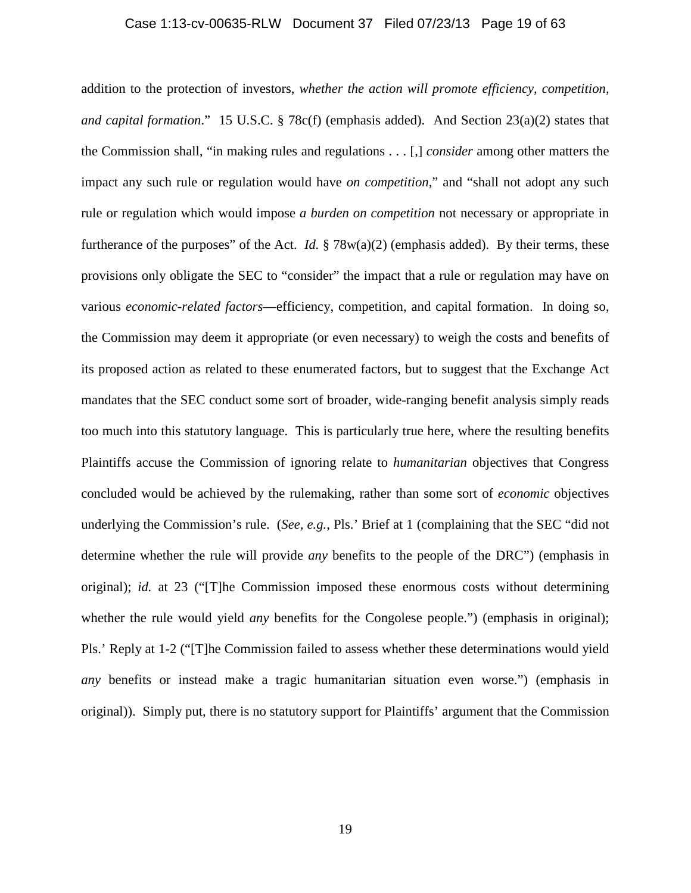## Case 1:13-cv-00635-RLW Document 37 Filed 07/23/13 Page 19 of 63

addition to the protection of investors, *whether the action will promote efficiency, competition, and capital formation*." 15 U.S.C. § 78c(f) (emphasis added). And Section 23(a)(2) states that the Commission shall, "in making rules and regulations . . . [,] *consider* among other matters the impact any such rule or regulation would have *on competition*," and "shall not adopt any such rule or regulation which would impose *a burden on competition* not necessary or appropriate in furtherance of the purposes" of the Act. *Id.* § 78w(a)(2) (emphasis added). By their terms, these provisions only obligate the SEC to "consider" the impact that a rule or regulation may have on various *economic-related factors*—efficiency, competition, and capital formation. In doing so, the Commission may deem it appropriate (or even necessary) to weigh the costs and benefits of its proposed action as related to these enumerated factors, but to suggest that the Exchange Act mandates that the SEC conduct some sort of broader, wide-ranging benefit analysis simply reads too much into this statutory language. This is particularly true here, where the resulting benefits Plaintiffs accuse the Commission of ignoring relate to *humanitarian* objectives that Congress concluded would be achieved by the rulemaking, rather than some sort of *economic* objectives underlying the Commission's rule. (*See, e.g.*, Pls.' Brief at 1 (complaining that the SEC "did not determine whether the rule will provide *any* benefits to the people of the DRC") (emphasis in original); *id.* at 23 ("[T]he Commission imposed these enormous costs without determining whether the rule would yield *any* benefits for the Congolese people.") (emphasis in original); Pls.' Reply at 1-2 ("[T]he Commission failed to assess whether these determinations would yield *any* benefits or instead make a tragic humanitarian situation even worse.") (emphasis in original)). Simply put, there is no statutory support for Plaintiffs' argument that the Commission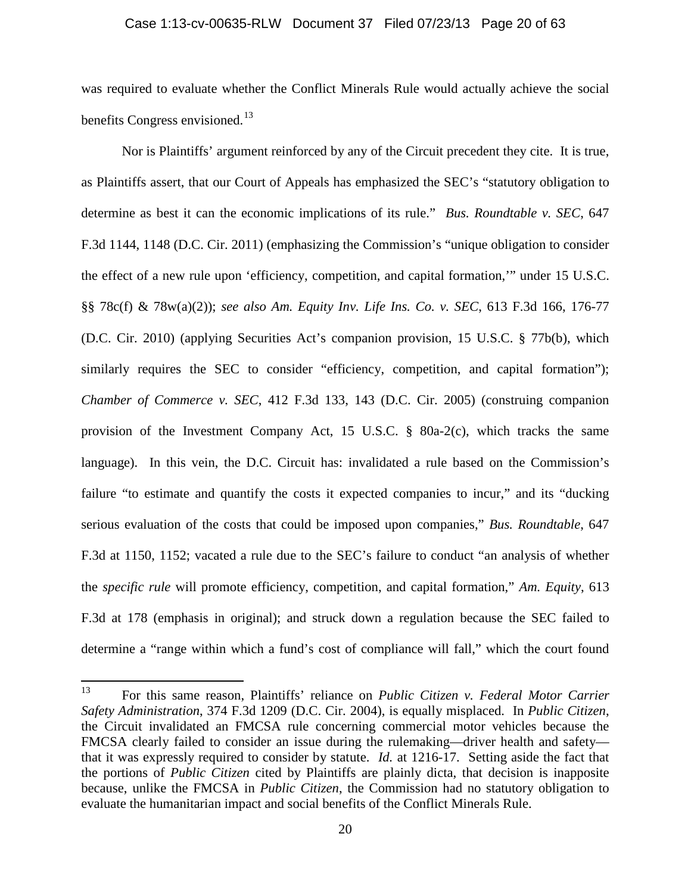#### Case 1:13-cv-00635-RLW Document 37 Filed 07/23/13 Page 20 of 63

was required to evaluate whether the Conflict Minerals Rule would actually achieve the social benefits Congress envisioned.<sup>[13](#page-19-0)</sup>

Nor is Plaintiffs' argument reinforced by any of the Circuit precedent they cite. It is true, as Plaintiffs assert, that our Court of Appeals has emphasized the SEC's "statutory obligation to determine as best it can the economic implications of its rule." *Bus. Roundtable v. SEC*, 647 F.3d 1144, 1148 (D.C. Cir. 2011) (emphasizing the Commission's "unique obligation to consider the effect of a new rule upon 'efficiency, competition, and capital formation,'" under 15 U.S.C. §§ 78c(f) & 78w(a)(2)); *see also Am. Equity Inv. Life Ins. Co. v. SEC*, 613 F.3d 166, 176-77 (D.C. Cir. 2010) (applying Securities Act's companion provision, 15 U.S.C. § 77b(b), which similarly requires the SEC to consider "efficiency, competition, and capital formation"); *Chamber of Commerce v. SEC*, 412 F.3d 133, 143 (D.C. Cir. 2005) (construing companion provision of the Investment Company Act, 15 U.S.C. § 80a-2(c), which tracks the same language). In this vein, the D.C. Circuit has: invalidated a rule based on the Commission's failure "to estimate and quantify the costs it expected companies to incur," and its "ducking serious evaluation of the costs that could be imposed upon companies," *Bus. Roundtable*, 647 F.3d at 1150, 1152; vacated a rule due to the SEC's failure to conduct "an analysis of whether the *specific rule* will promote efficiency, competition, and capital formation," *Am. Equity*, 613 F.3d at 178 (emphasis in original); and struck down a regulation because the SEC failed to determine a "range within which a fund's cost of compliance will fall," which the court found

<span id="page-19-0"></span><sup>13</sup> For this same reason, Plaintiffs' reliance on *Public Citizen v. Federal Motor Carrier Safety Administration*, 374 F.3d 1209 (D.C. Cir. 2004), is equally misplaced. In *Public Citizen*, the Circuit invalidated an FMCSA rule concerning commercial motor vehicles because the FMCSA clearly failed to consider an issue during the rulemaking—driver health and safety that it was expressly required to consider by statute. *Id.* at 1216-17. Setting aside the fact that the portions of *Public Citizen* cited by Plaintiffs are plainly dicta, that decision is inapposite because, unlike the FMCSA in *Public Citizen*, the Commission had no statutory obligation to evaluate the humanitarian impact and social benefits of the Conflict Minerals Rule.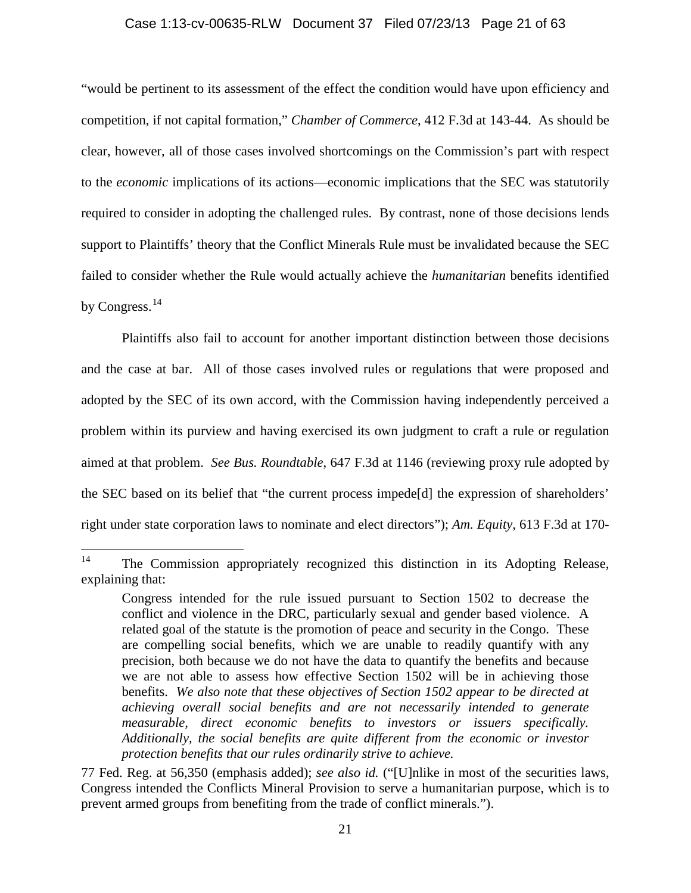## Case 1:13-cv-00635-RLW Document 37 Filed 07/23/13 Page 21 of 63

"would be pertinent to its assessment of the effect the condition would have upon efficiency and competition, if not capital formation," *Chamber of Commerce*, 412 F.3d at 143-44. As should be clear, however, all of those cases involved shortcomings on the Commission's part with respect to the *economic* implications of its actions—economic implications that the SEC was statutorily required to consider in adopting the challenged rules. By contrast, none of those decisions lends support to Plaintiffs' theory that the Conflict Minerals Rule must be invalidated because the SEC failed to consider whether the Rule would actually achieve the *humanitarian* benefits identified by Congress.<sup>[14](#page-20-0)</sup>

Plaintiffs also fail to account for another important distinction between those decisions and the case at bar. All of those cases involved rules or regulations that were proposed and adopted by the SEC of its own accord, with the Commission having independently perceived a problem within its purview and having exercised its own judgment to craft a rule or regulation aimed at that problem. *See Bus. Roundtable*, 647 F.3d at 1146 (reviewing proxy rule adopted by the SEC based on its belief that "the current process impede[d] the expression of shareholders' right under state corporation laws to nominate and elect directors"); *Am. Equity*, 613 F.3d at 170-

<span id="page-20-0"></span><sup>&</sup>lt;sup>14</sup> The Commission appropriately recognized this distinction in its Adopting Release, explaining that:

Congress intended for the rule issued pursuant to Section 1502 to decrease the conflict and violence in the DRC, particularly sexual and gender based violence. A related goal of the statute is the promotion of peace and security in the Congo. These are compelling social benefits, which we are unable to readily quantify with any precision, both because we do not have the data to quantify the benefits and because we are not able to assess how effective Section 1502 will be in achieving those benefits. *We also note that these objectives of Section 1502 appear to be directed at achieving overall social benefits and are not necessarily intended to generate measurable, direct economic benefits to investors or issuers specifically. Additionally, the social benefits are quite different from the economic or investor protection benefits that our rules ordinarily strive to achieve.*

<sup>77</sup> Fed. Reg. at 56,350 (emphasis added); *see also id.* ("[U]nlike in most of the securities laws, Congress intended the Conflicts Mineral Provision to serve a humanitarian purpose, which is to prevent armed groups from benefiting from the trade of conflict minerals.").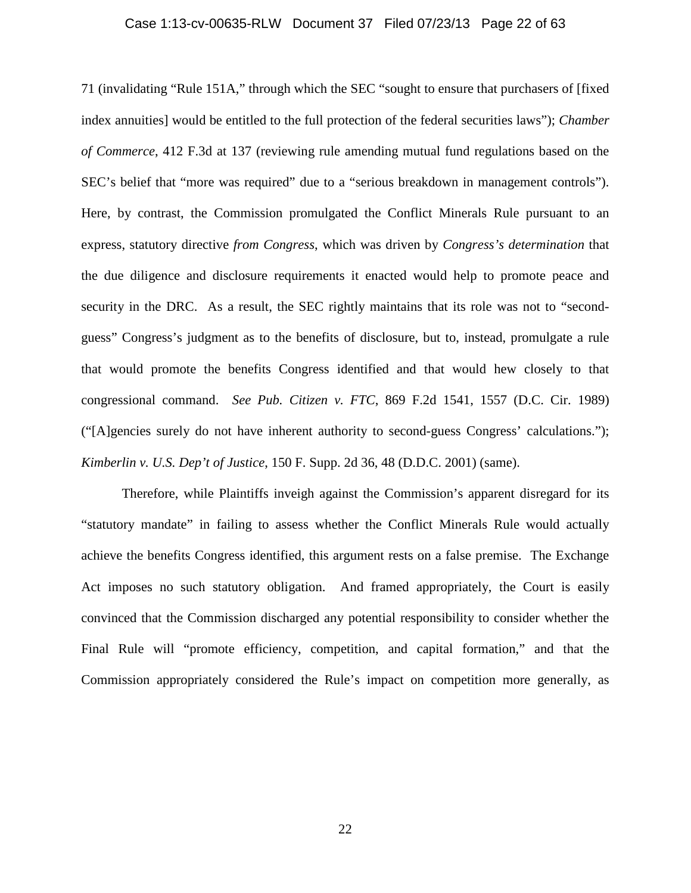## Case 1:13-cv-00635-RLW Document 37 Filed 07/23/13 Page 22 of 63

71 (invalidating "Rule 151A," through which the SEC "sought to ensure that purchasers of [fixed index annuities] would be entitled to the full protection of the federal securities laws"); *Chamber of Commerce*, 412 F.3d at 137 (reviewing rule amending mutual fund regulations based on the SEC's belief that "more was required" due to a "serious breakdown in management controls"). Here, by contrast, the Commission promulgated the Conflict Minerals Rule pursuant to an express, statutory directive *from Congress*, which was driven by *Congress's determination* that the due diligence and disclosure requirements it enacted would help to promote peace and security in the DRC. As a result, the SEC rightly maintains that its role was not to "secondguess" Congress's judgment as to the benefits of disclosure, but to, instead, promulgate a rule that would promote the benefits Congress identified and that would hew closely to that congressional command. *See Pub. Citizen v. FTC*, 869 F.2d 1541, 1557 (D.C. Cir. 1989) ("[A]gencies surely do not have inherent authority to second-guess Congress' calculations."); *Kimberlin v. U.S. Dep't of Justice*, 150 F. Supp. 2d 36, 48 (D.D.C. 2001) (same).

Therefore, while Plaintiffs inveigh against the Commission's apparent disregard for its "statutory mandate" in failing to assess whether the Conflict Minerals Rule would actually achieve the benefits Congress identified, this argument rests on a false premise. The Exchange Act imposes no such statutory obligation. And framed appropriately, the Court is easily convinced that the Commission discharged any potential responsibility to consider whether the Final Rule will "promote efficiency, competition, and capital formation," and that the Commission appropriately considered the Rule's impact on competition more generally, as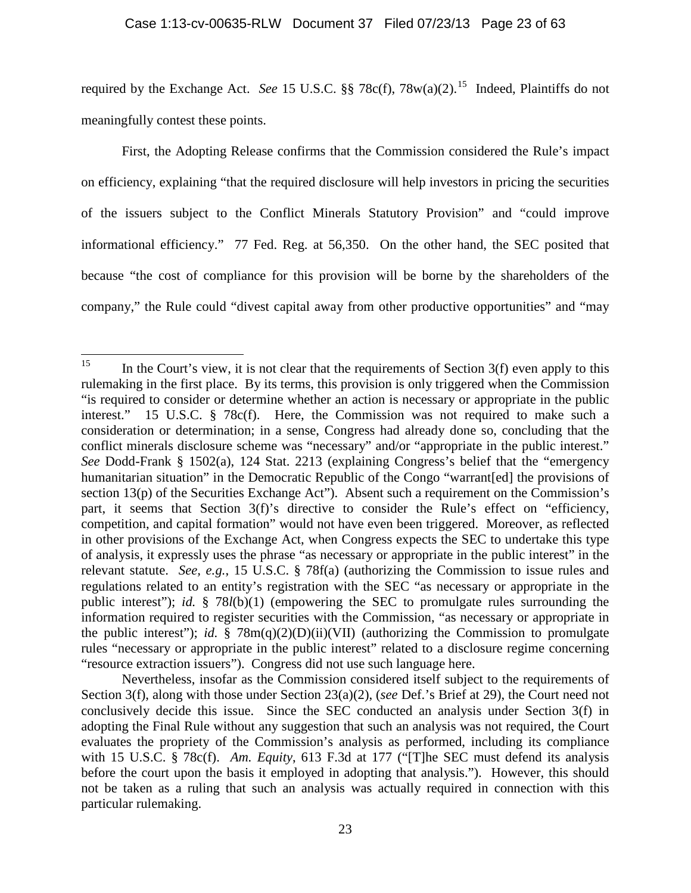## Case 1:13-cv-00635-RLW Document 37 Filed 07/23/13 Page 23 of 63

required by the Exchange Act. *See* 15 U.S.C. §§ 78c(f), 78w(a)(2). [15](#page-22-0) Indeed, Plaintiffs do not meaningfully contest these points.

First, the Adopting Release confirms that the Commission considered the Rule's impact on efficiency, explaining "that the required disclosure will help investors in pricing the securities of the issuers subject to the Conflict Minerals Statutory Provision" and "could improve informational efficiency." 77 Fed. Reg. at 56,350. On the other hand, the SEC posited that because "the cost of compliance for this provision will be borne by the shareholders of the company," the Rule could "divest capital away from other productive opportunities" and "may

<span id="page-22-0"></span><sup>&</sup>lt;sup>15</sup> In the Court's view, it is not clear that the requirements of Section  $3(f)$  even apply to this rulemaking in the first place. By its terms, this provision is only triggered when the Commission "is required to consider or determine whether an action is necessary or appropriate in the public interest." 15 U.S.C. § 78c(f). Here, the Commission was not required to make such a consideration or determination; in a sense, Congress had already done so, concluding that the conflict minerals disclosure scheme was "necessary" and/or "appropriate in the public interest." *See* Dodd-Frank § 1502(a), 124 Stat. 2213 (explaining Congress's belief that the "emergency humanitarian situation" in the Democratic Republic of the Congo "warrant[ed] the provisions of section 13(p) of the Securities Exchange Act"). Absent such a requirement on the Commission's part, it seems that Section 3(f)'s directive to consider the Rule's effect on "efficiency, competition, and capital formation" would not have even been triggered. Moreover, as reflected in other provisions of the Exchange Act, when Congress expects the SEC to undertake this type of analysis, it expressly uses the phrase "as necessary or appropriate in the public interest" in the relevant statute. *See, e.g.*, 15 U.S.C. § 78f(a) (authorizing the Commission to issue rules and regulations related to an entity's registration with the SEC "as necessary or appropriate in the public interest"); *id.* § 78*l*(b)(1) (empowering the SEC to promulgate rules surrounding the information required to register securities with the Commission, "as necessary or appropriate in the public interest"); *id.*  $\S$  78m(q)(2)(D)(ii)(VII) (authorizing the Commission to promulgate rules "necessary or appropriate in the public interest" related to a disclosure regime concerning "resource extraction issuers"). Congress did not use such language here.

Nevertheless, insofar as the Commission considered itself subject to the requirements of Section 3(f), along with those under Section 23(a)(2), (*see* Def.'s Brief at 29), the Court need not conclusively decide this issue. Since the SEC conducted an analysis under Section 3(f) in adopting the Final Rule without any suggestion that such an analysis was not required, the Court evaluates the propriety of the Commission's analysis as performed, including its compliance with 15 U.S.C. § 78c(f). *Am. Equity*, 613 F.3d at 177 ("[T]he SEC must defend its analysis before the court upon the basis it employed in adopting that analysis."). However, this should not be taken as a ruling that such an analysis was actually required in connection with this particular rulemaking.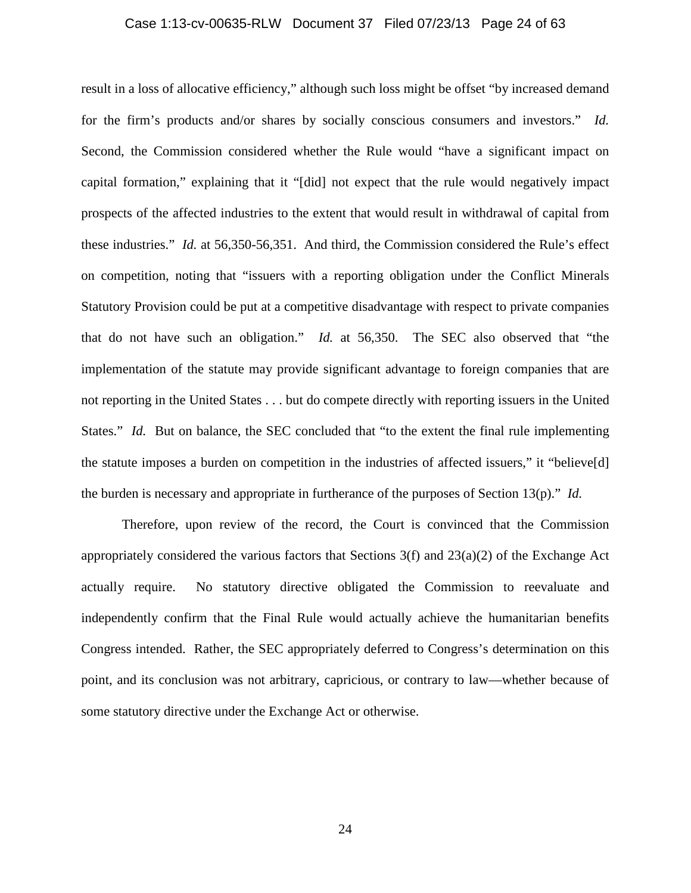## Case 1:13-cv-00635-RLW Document 37 Filed 07/23/13 Page 24 of 63

result in a loss of allocative efficiency," although such loss might be offset "by increased demand for the firm's products and/or shares by socially conscious consumers and investors." *Id.* Second, the Commission considered whether the Rule would "have a significant impact on capital formation," explaining that it "[did] not expect that the rule would negatively impact prospects of the affected industries to the extent that would result in withdrawal of capital from these industries." *Id.* at 56,350-56,351. And third, the Commission considered the Rule's effect on competition, noting that "issuers with a reporting obligation under the Conflict Minerals Statutory Provision could be put at a competitive disadvantage with respect to private companies that do not have such an obligation." *Id.* at 56,350. The SEC also observed that "the implementation of the statute may provide significant advantage to foreign companies that are not reporting in the United States . . . but do compete directly with reporting issuers in the United States." *Id.* But on balance, the SEC concluded that "to the extent the final rule implementing the statute imposes a burden on competition in the industries of affected issuers," it "believe[d] the burden is necessary and appropriate in furtherance of the purposes of Section 13(p)." *Id.*

Therefore, upon review of the record, the Court is convinced that the Commission appropriately considered the various factors that Sections 3(f) and 23(a)(2) of the Exchange Act actually require. No statutory directive obligated the Commission to reevaluate and independently confirm that the Final Rule would actually achieve the humanitarian benefits Congress intended. Rather, the SEC appropriately deferred to Congress's determination on this point, and its conclusion was not arbitrary, capricious, or contrary to law—whether because of some statutory directive under the Exchange Act or otherwise.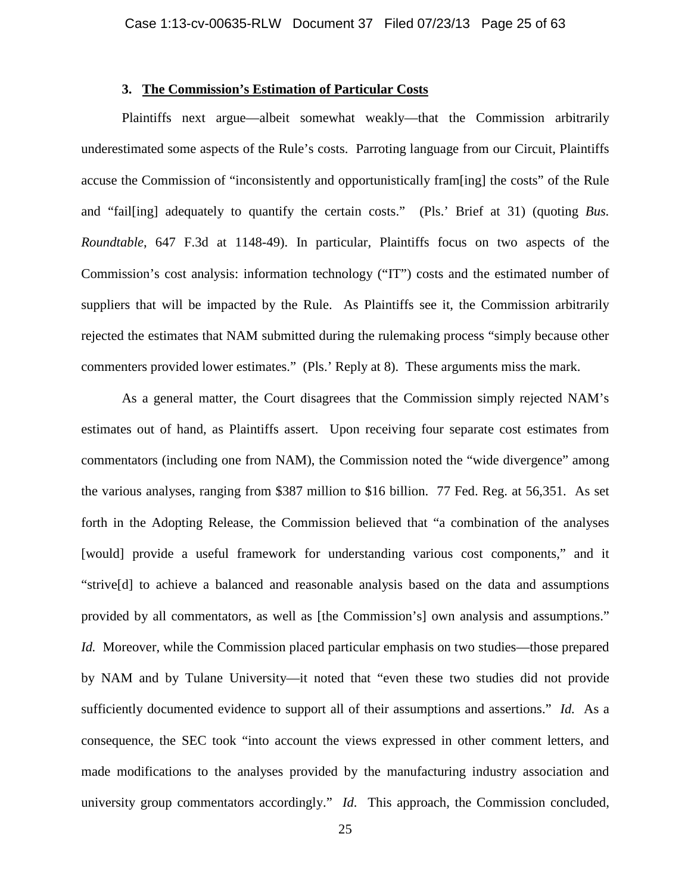# **3. The Commission's Estimation of Particular Costs**

Plaintiffs next argue—albeit somewhat weakly—that the Commission arbitrarily underestimated some aspects of the Rule's costs. Parroting language from our Circuit, Plaintiffs accuse the Commission of "inconsistently and opportunistically fram[ing] the costs" of the Rule and "fail[ing] adequately to quantify the certain costs." (Pls.' Brief at 31) (quoting *Bus. Roundtable*, 647 F.3d at 1148-49). In particular, Plaintiffs focus on two aspects of the Commission's cost analysis: information technology ("IT") costs and the estimated number of suppliers that will be impacted by the Rule. As Plaintiffs see it, the Commission arbitrarily rejected the estimates that NAM submitted during the rulemaking process "simply because other commenters provided lower estimates." (Pls.' Reply at 8). These arguments miss the mark.

As a general matter, the Court disagrees that the Commission simply rejected NAM's estimates out of hand, as Plaintiffs assert. Upon receiving four separate cost estimates from commentators (including one from NAM), the Commission noted the "wide divergence" among the various analyses, ranging from \$387 million to \$16 billion. 77 Fed. Reg. at 56,351. As set forth in the Adopting Release, the Commission believed that "a combination of the analyses [would] provide a useful framework for understanding various cost components," and it "strive[d] to achieve a balanced and reasonable analysis based on the data and assumptions provided by all commentators, as well as [the Commission's] own analysis and assumptions." *Id.* Moreover, while the Commission placed particular emphasis on two studies—those prepared by NAM and by Tulane University—it noted that "even these two studies did not provide sufficiently documented evidence to support all of their assumptions and assertions." *Id.* As a consequence, the SEC took "into account the views expressed in other comment letters, and made modifications to the analyses provided by the manufacturing industry association and university group commentators accordingly." *Id.* This approach, the Commission concluded,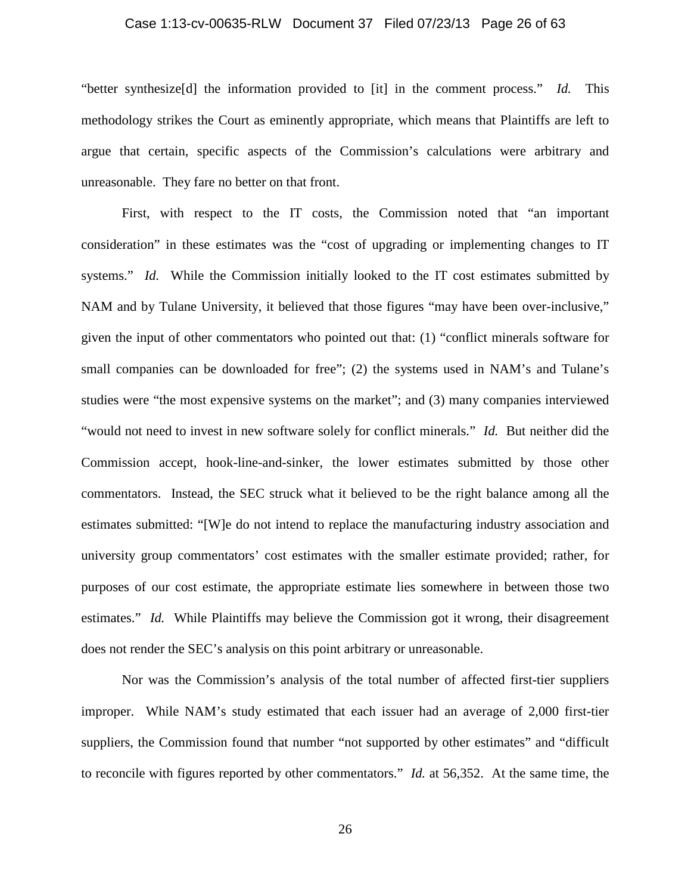## Case 1:13-cv-00635-RLW Document 37 Filed 07/23/13 Page 26 of 63

"better synthesize[d] the information provided to [it] in the comment process." *Id.* This methodology strikes the Court as eminently appropriate, which means that Plaintiffs are left to argue that certain, specific aspects of the Commission's calculations were arbitrary and unreasonable. They fare no better on that front.

First, with respect to the IT costs, the Commission noted that "an important consideration" in these estimates was the "cost of upgrading or implementing changes to IT systems." *Id.* While the Commission initially looked to the IT cost estimates submitted by NAM and by Tulane University, it believed that those figures "may have been over-inclusive," given the input of other commentators who pointed out that: (1) "conflict minerals software for small companies can be downloaded for free"; (2) the systems used in NAM's and Tulane's studies were "the most expensive systems on the market"; and (3) many companies interviewed "would not need to invest in new software solely for conflict minerals." *Id.* But neither did the Commission accept, hook-line-and-sinker, the lower estimates submitted by those other commentators. Instead, the SEC struck what it believed to be the right balance among all the estimates submitted: "[W]e do not intend to replace the manufacturing industry association and university group commentators' cost estimates with the smaller estimate provided; rather, for purposes of our cost estimate, the appropriate estimate lies somewhere in between those two estimates." *Id.* While Plaintiffs may believe the Commission got it wrong, their disagreement does not render the SEC's analysis on this point arbitrary or unreasonable.

Nor was the Commission's analysis of the total number of affected first-tier suppliers improper. While NAM's study estimated that each issuer had an average of 2,000 first-tier suppliers, the Commission found that number "not supported by other estimates" and "difficult to reconcile with figures reported by other commentators." *Id.* at 56,352. At the same time, the

26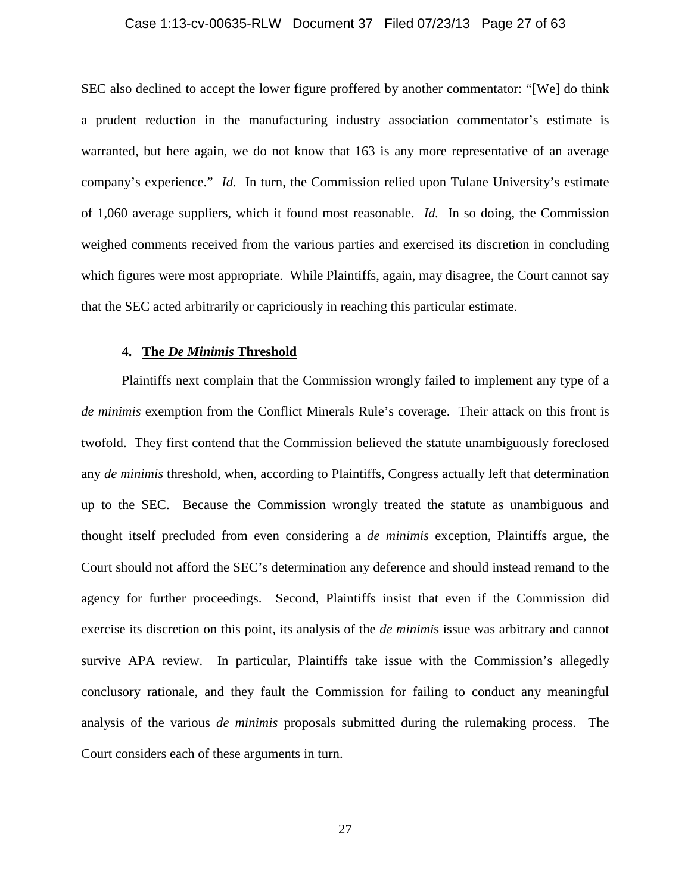## Case 1:13-cv-00635-RLW Document 37 Filed 07/23/13 Page 27 of 63

SEC also declined to accept the lower figure proffered by another commentator: "[We] do think a prudent reduction in the manufacturing industry association commentator's estimate is warranted, but here again, we do not know that 163 is any more representative of an average company's experience." *Id.* In turn, the Commission relied upon Tulane University's estimate of 1,060 average suppliers, which it found most reasonable. *Id.* In so doing, the Commission weighed comments received from the various parties and exercised its discretion in concluding which figures were most appropriate. While Plaintiffs, again, may disagree, the Court cannot say that the SEC acted arbitrarily or capriciously in reaching this particular estimate.

## **4. The** *De Minimis* **Threshold**

Plaintiffs next complain that the Commission wrongly failed to implement any type of a *de minimis* exemption from the Conflict Minerals Rule's coverage. Their attack on this front is twofold. They first contend that the Commission believed the statute unambiguously foreclosed any *de minimis* threshold, when, according to Plaintiffs, Congress actually left that determination up to the SEC. Because the Commission wrongly treated the statute as unambiguous and thought itself precluded from even considering a *de minimis* exception, Plaintiffs argue, the Court should not afford the SEC's determination any deference and should instead remand to the agency for further proceedings. Second, Plaintiffs insist that even if the Commission did exercise its discretion on this point, its analysis of the *de minimi*s issue was arbitrary and cannot survive APA review. In particular, Plaintiffs take issue with the Commission's allegedly conclusory rationale, and they fault the Commission for failing to conduct any meaningful analysis of the various *de minimis* proposals submitted during the rulemaking process. The Court considers each of these arguments in turn.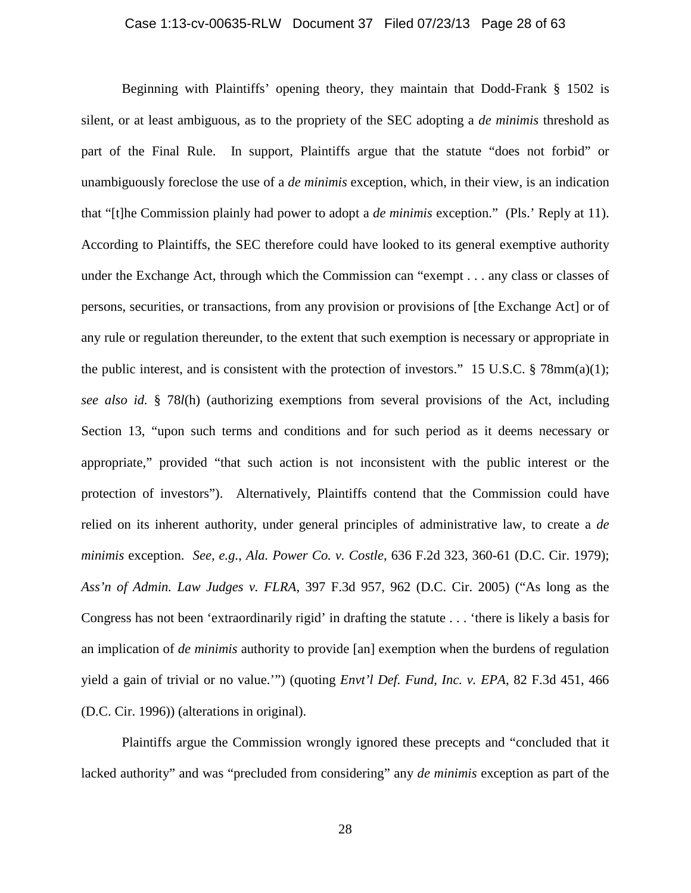## Case 1:13-cv-00635-RLW Document 37 Filed 07/23/13 Page 28 of 63

Beginning with Plaintiffs' opening theory, they maintain that Dodd-Frank § 1502 is silent, or at least ambiguous, as to the propriety of the SEC adopting a *de minimis* threshold as part of the Final Rule. In support, Plaintiffs argue that the statute "does not forbid" or unambiguously foreclose the use of a *de minimis* exception, which, in their view, is an indication that "[t]he Commission plainly had power to adopt a *de minimis* exception." (Pls.' Reply at 11). According to Plaintiffs, the SEC therefore could have looked to its general exemptive authority under the Exchange Act, through which the Commission can "exempt . . . any class or classes of persons, securities, or transactions, from any provision or provisions of [the Exchange Act] or of any rule or regulation thereunder, to the extent that such exemption is necessary or appropriate in the public interest, and is consistent with the protection of investors." 15 U.S.C.  $\S$  78mm(a)(1); *see also id.* § 78*l*(h) (authorizing exemptions from several provisions of the Act, including Section 13, "upon such terms and conditions and for such period as it deems necessary or appropriate," provided "that such action is not inconsistent with the public interest or the protection of investors"). Alternatively, Plaintiffs contend that the Commission could have relied on its inherent authority, under general principles of administrative law, to create a *de minimis* exception. *See, e.g.*, *Ala. Power Co. v. Costle*, 636 F.2d 323, 360-61 (D.C. Cir. 1979); *Ass'n of Admin. Law Judges v. FLRA*, 397 F.3d 957, 962 (D.C. Cir. 2005) ("As long as the Congress has not been 'extraordinarily rigid' in drafting the statute . . . 'there is likely a basis for an implication of *de minimis* authority to provide [an] exemption when the burdens of regulation yield a gain of trivial or no value.'") (quoting *Envt'l Def. Fund, Inc. v. EPA*, 82 F.3d 451, 466 (D.C. Cir. 1996)) (alterations in original).

Plaintiffs argue the Commission wrongly ignored these precepts and "concluded that it lacked authority" and was "precluded from considering" any *de minimis* exception as part of the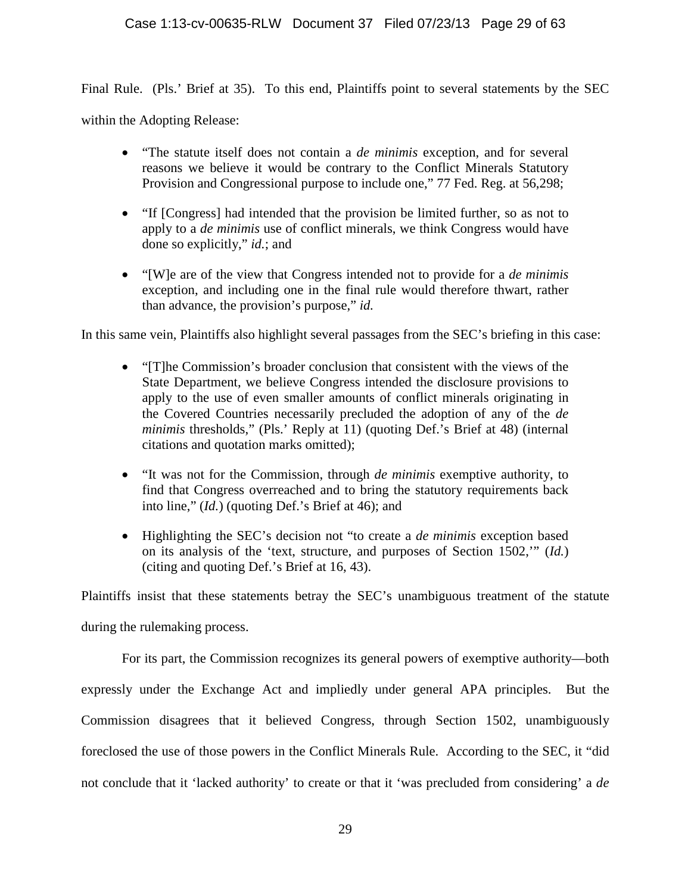Final Rule. (Pls.' Brief at 35). To this end, Plaintiffs point to several statements by the SEC

within the Adopting Release:

- "The statute itself does not contain a *de minimis* exception, and for several reasons we believe it would be contrary to the Conflict Minerals Statutory Provision and Congressional purpose to include one," 77 Fed. Reg. at 56,298;
- "If [Congress] had intended that the provision be limited further, so as not to apply to a *de minimis* use of conflict minerals, we think Congress would have done so explicitly," *id.*; and
- "[W]e are of the view that Congress intended not to provide for a *de minimis* exception, and including one in the final rule would therefore thwart, rather than advance, the provision's purpose," *id.*

In this same vein, Plaintiffs also highlight several passages from the SEC's briefing in this case:

- "[T]he Commission's broader conclusion that consistent with the views of the State Department, we believe Congress intended the disclosure provisions to apply to the use of even smaller amounts of conflict minerals originating in the Covered Countries necessarily precluded the adoption of any of the *de minimis* thresholds," (Pls.' Reply at 11) (quoting Def.'s Brief at 48) (internal citations and quotation marks omitted);
- "It was not for the Commission, through *de minimis* exemptive authority, to find that Congress overreached and to bring the statutory requirements back into line," (*Id.*) (quoting Def.'s Brief at 46); and
- Highlighting the SEC's decision not "to create a *de minimis* exception based on its analysis of the 'text, structure, and purposes of Section 1502,'" (*Id.*) (citing and quoting Def.'s Brief at 16, 43).

Plaintiffs insist that these statements betray the SEC's unambiguous treatment of the statute during the rulemaking process.

For its part, the Commission recognizes its general powers of exemptive authority—both expressly under the Exchange Act and impliedly under general APA principles. But the Commission disagrees that it believed Congress, through Section 1502, unambiguously foreclosed the use of those powers in the Conflict Minerals Rule. According to the SEC, it "did not conclude that it 'lacked authority' to create or that it 'was precluded from considering' a *de*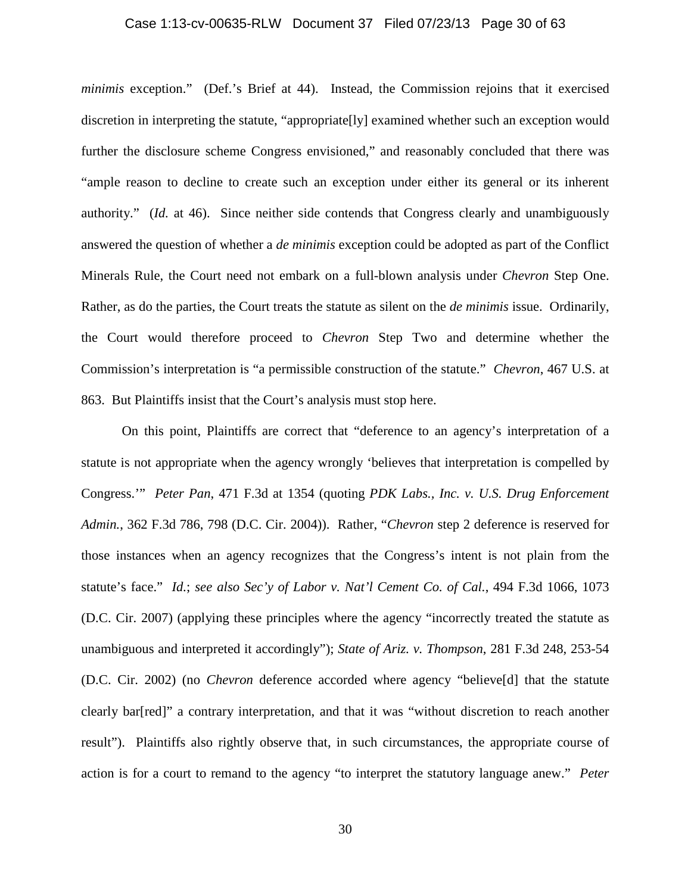## Case 1:13-cv-00635-RLW Document 37 Filed 07/23/13 Page 30 of 63

*minimis* exception." (Def.'s Brief at 44). Instead, the Commission rejoins that it exercised discretion in interpreting the statute, "appropriate[ly] examined whether such an exception would further the disclosure scheme Congress envisioned," and reasonably concluded that there was "ample reason to decline to create such an exception under either its general or its inherent authority." (*Id.* at 46). Since neither side contends that Congress clearly and unambiguously answered the question of whether a *de minimis* exception could be adopted as part of the Conflict Minerals Rule, the Court need not embark on a full-blown analysis under *Chevron* Step One. Rather, as do the parties, the Court treats the statute as silent on the *de minimis* issue. Ordinarily, the Court would therefore proceed to *Chevron* Step Two and determine whether the Commission's interpretation is "a permissible construction of the statute." *Chevron*, 467 U.S. at 863. But Plaintiffs insist that the Court's analysis must stop here.

On this point, Plaintiffs are correct that "deference to an agency's interpretation of a statute is not appropriate when the agency wrongly 'believes that interpretation is compelled by Congress.'" *Peter Pan*, 471 F.3d at 1354 (quoting *PDK Labs., Inc. v. U.S. Drug Enforcement Admin.*, 362 F.3d 786, 798 (D.C. Cir. 2004)). Rather, "*Chevron* step 2 deference is reserved for those instances when an agency recognizes that the Congress's intent is not plain from the statute's face." *Id.*; *see also Sec'y of Labor v. Nat'l Cement Co. of Cal.*, 494 F.3d 1066, 1073 (D.C. Cir. 2007) (applying these principles where the agency "incorrectly treated the statute as unambiguous and interpreted it accordingly"); *State of Ariz. v. Thompson*, 281 F.3d 248, 253-54 (D.C. Cir. 2002) (no *Chevron* deference accorded where agency "believe[d] that the statute clearly bar[red]" a contrary interpretation, and that it was "without discretion to reach another result"). Plaintiffs also rightly observe that, in such circumstances, the appropriate course of action is for a court to remand to the agency "to interpret the statutory language anew." *Peter*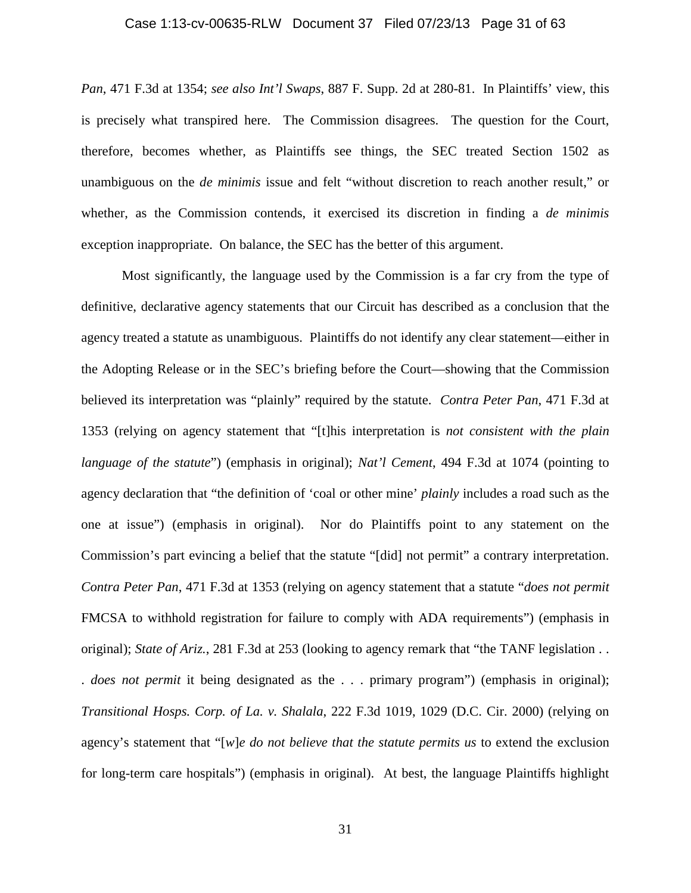## Case 1:13-cv-00635-RLW Document 37 Filed 07/23/13 Page 31 of 63

*Pan*, 471 F.3d at 1354; *see also Int'l Swaps*, 887 F. Supp. 2d at 280-81. In Plaintiffs' view, this is precisely what transpired here. The Commission disagrees. The question for the Court, therefore, becomes whether, as Plaintiffs see things, the SEC treated Section 1502 as unambiguous on the *de minimis* issue and felt "without discretion to reach another result," or whether, as the Commission contends, it exercised its discretion in finding a *de minimis* exception inappropriate. On balance, the SEC has the better of this argument.

Most significantly, the language used by the Commission is a far cry from the type of definitive, declarative agency statements that our Circuit has described as a conclusion that the agency treated a statute as unambiguous. Plaintiffs do not identify any clear statement—either in the Adopting Release or in the SEC's briefing before the Court—showing that the Commission believed its interpretation was "plainly" required by the statute. *Contra Peter Pan*, 471 F.3d at 1353 (relying on agency statement that "[t]his interpretation is *not consistent with the plain language of the statute*") (emphasis in original); *Nat'l Cement*, 494 F.3d at 1074 (pointing to agency declaration that "the definition of 'coal or other mine' *plainly* includes a road such as the one at issue") (emphasis in original). Nor do Plaintiffs point to any statement on the Commission's part evincing a belief that the statute "[did] not permit" a contrary interpretation. *Contra Peter Pan*, 471 F.3d at 1353 (relying on agency statement that a statute "*does not permit* FMCSA to withhold registration for failure to comply with ADA requirements") (emphasis in original); *State of Ariz.*, 281 F.3d at 253 (looking to agency remark that "the TANF legislation . . . *does not permit* it being designated as the . . . primary program") (emphasis in original); *Transitional Hosps. Corp. of La. v. Shalala*, 222 F.3d 1019, 1029 (D.C. Cir. 2000) (relying on agency's statement that "[*w*]*e do not believe that the statute permits us* to extend the exclusion for long-term care hospitals") (emphasis in original). At best, the language Plaintiffs highlight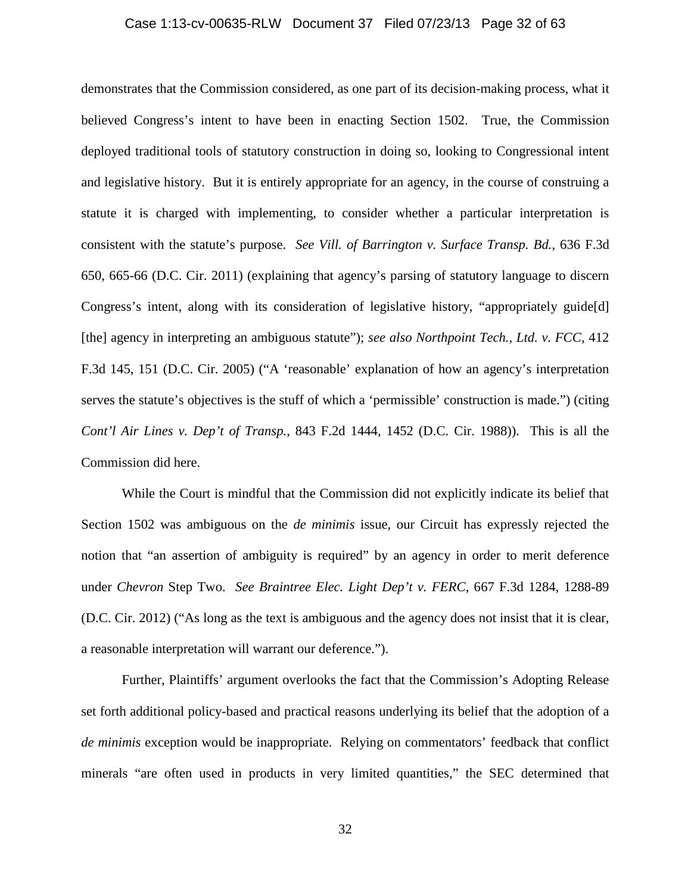## Case 1:13-cv-00635-RLW Document 37 Filed 07/23/13 Page 32 of 63

demonstrates that the Commission considered, as one part of its decision-making process, what it believed Congress's intent to have been in enacting Section 1502. True, the Commission deployed traditional tools of statutory construction in doing so, looking to Congressional intent and legislative history. But it is entirely appropriate for an agency, in the course of construing a statute it is charged with implementing, to consider whether a particular interpretation is consistent with the statute's purpose. *See Vill. of Barrington v. Surface Transp. Bd.*, 636 F.3d 650, 665-66 (D.C. Cir. 2011) (explaining that agency's parsing of statutory language to discern Congress's intent, along with its consideration of legislative history, "appropriately guide[d] [the] agency in interpreting an ambiguous statute"); *see also Northpoint Tech., Ltd. v. FCC*, 412 F.3d 145, 151 (D.C. Cir. 2005) ("A 'reasonable' explanation of how an agency's interpretation serves the statute's objectives is the stuff of which a 'permissible' construction is made.") (citing *Cont'l Air Lines v. Dep't of Transp.*, 843 F.2d 1444, 1452 (D.C. Cir. 1988)). This is all the Commission did here.

While the Court is mindful that the Commission did not explicitly indicate its belief that Section 1502 was ambiguous on the *de minimis* issue, our Circuit has expressly rejected the notion that "an assertion of ambiguity is required" by an agency in order to merit deference under *Chevron* Step Two. *See Braintree Elec. Light Dep't v. FERC*, 667 F.3d 1284, 1288-89 (D.C. Cir. 2012) ("As long as the text is ambiguous and the agency does not insist that it is clear, a reasonable interpretation will warrant our deference.").

Further, Plaintiffs' argument overlooks the fact that the Commission's Adopting Release set forth additional policy-based and practical reasons underlying its belief that the adoption of a *de minimis* exception would be inappropriate. Relying on commentators' feedback that conflict minerals "are often used in products in very limited quantities," the SEC determined that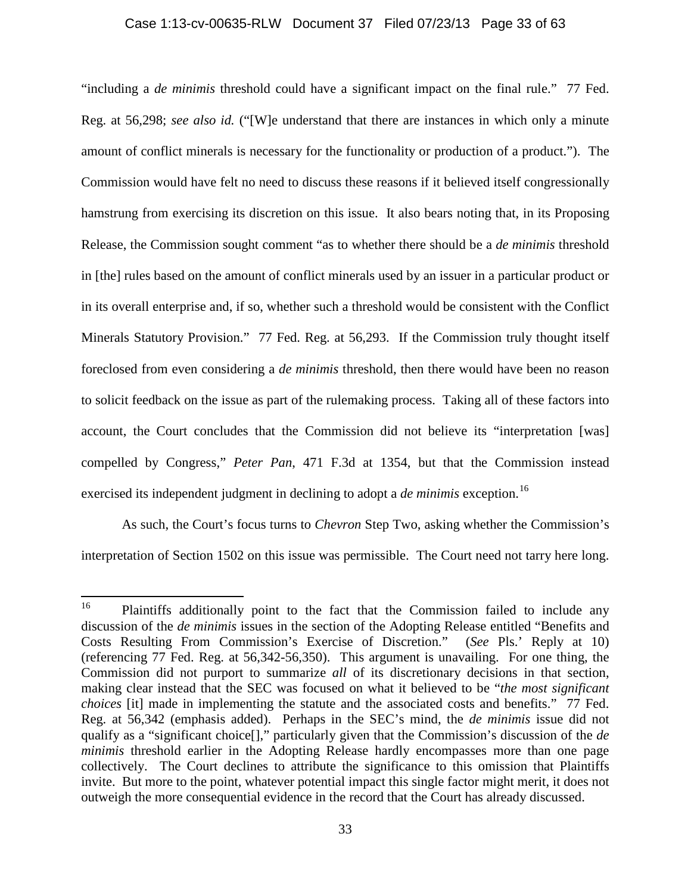#### Case 1:13-cv-00635-RLW Document 37 Filed 07/23/13 Page 33 of 63

"including a *de minimis* threshold could have a significant impact on the final rule." 77 Fed. Reg. at 56,298; *see also id.* ("[W]e understand that there are instances in which only a minute amount of conflict minerals is necessary for the functionality or production of a product."). The Commission would have felt no need to discuss these reasons if it believed itself congressionally hamstrung from exercising its discretion on this issue. It also bears noting that, in its Proposing Release, the Commission sought comment "as to whether there should be a *de minimis* threshold in [the] rules based on the amount of conflict minerals used by an issuer in a particular product or in its overall enterprise and, if so, whether such a threshold would be consistent with the Conflict Minerals Statutory Provision." 77 Fed. Reg. at 56,293. If the Commission truly thought itself foreclosed from even considering a *de minimis* threshold, then there would have been no reason to solicit feedback on the issue as part of the rulemaking process. Taking all of these factors into account, the Court concludes that the Commission did not believe its "interpretation [was] compelled by Congress," *Peter Pan*, 471 F.3d at 1354, but that the Commission instead exercised its independent judgment in declining to adopt a *de minimis* exception.<sup>16</sup>

As such, the Court's focus turns to *Chevron* Step Two, asking whether the Commission's interpretation of Section 1502 on this issue was permissible. The Court need not tarry here long.

<span id="page-32-0"></span><sup>&</sup>lt;sup>16</sup> Plaintiffs additionally point to the fact that the Commission failed to include any discussion of the *de minimis* issues in the section of the Adopting Release entitled "Benefits and Costs Resulting From Commission's Exercise of Discretion." (*See* Pls.' Reply at 10) (referencing 77 Fed. Reg. at 56,342-56,350). This argument is unavailing. For one thing, the Commission did not purport to summarize *all* of its discretionary decisions in that section, making clear instead that the SEC was focused on what it believed to be "*the most significant choices* [it] made in implementing the statute and the associated costs and benefits." 77 Fed. Reg. at 56,342 (emphasis added). Perhaps in the SEC's mind, the *de minimis* issue did not qualify as a "significant choice[]," particularly given that the Commission's discussion of the *de minimis* threshold earlier in the Adopting Release hardly encompasses more than one page collectively. The Court declines to attribute the significance to this omission that Plaintiffs invite. But more to the point, whatever potential impact this single factor might merit, it does not outweigh the more consequential evidence in the record that the Court has already discussed.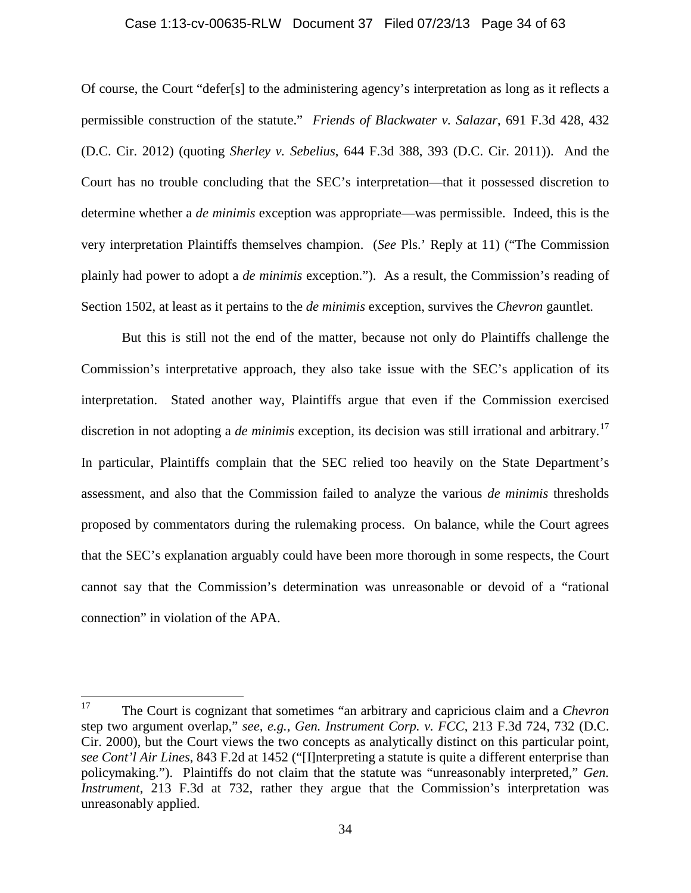#### Case 1:13-cv-00635-RLW Document 37 Filed 07/23/13 Page 34 of 63

Of course, the Court "defer[s] to the administering agency's interpretation as long as it reflects a permissible construction of the statute." *Friends of Blackwater v. Salazar*, 691 F.3d 428, 432 (D.C. Cir. 2012) (quoting *Sherley v. Sebelius*, 644 F.3d 388, 393 (D.C. Cir. 2011)). And the Court has no trouble concluding that the SEC's interpretation—that it possessed discretion to determine whether a *de minimis* exception was appropriate—was permissible. Indeed, this is the very interpretation Plaintiffs themselves champion. (*See* Pls.' Reply at 11) ("The Commission plainly had power to adopt a *de minimis* exception."). As a result, the Commission's reading of Section 1502, at least as it pertains to the *de minimis* exception, survives the *Chevron* gauntlet.

But this is still not the end of the matter, because not only do Plaintiffs challenge the Commission's interpretative approach, they also take issue with the SEC's application of its interpretation. Stated another way, Plaintiffs argue that even if the Commission exercised discretion in not adopting a *de minimis* exception, its decision was still irrational and arbitrary.<sup>[17](#page-33-0)</sup> In particular, Plaintiffs complain that the SEC relied too heavily on the State Department's assessment, and also that the Commission failed to analyze the various *de minimis* thresholds proposed by commentators during the rulemaking process. On balance, while the Court agrees that the SEC's explanation arguably could have been more thorough in some respects, the Court cannot say that the Commission's determination was unreasonable or devoid of a "rational connection" in violation of the APA.

<span id="page-33-0"></span><sup>17</sup> The Court is cognizant that sometimes "an arbitrary and capricious claim and a *Chevron* step two argument overlap," *see, e.g.*, *Gen. Instrument Corp. v. FCC*, 213 F.3d 724, 732 (D.C. Cir. 2000), but the Court views the two concepts as analytically distinct on this particular point, *see Cont'l Air Lines*, 843 F.2d at 1452 ("[I]nterpreting a statute is quite a different enterprise than policymaking."). Plaintiffs do not claim that the statute was "unreasonably interpreted," *Gen. Instrument*, 213 F.3d at 732, rather they argue that the Commission's interpretation was unreasonably applied.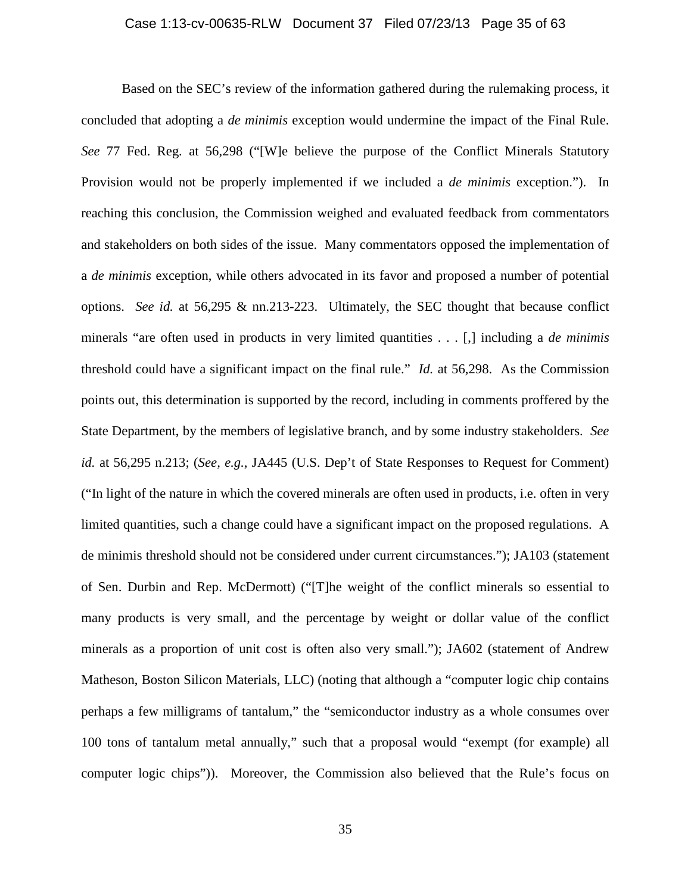## Case 1:13-cv-00635-RLW Document 37 Filed 07/23/13 Page 35 of 63

Based on the SEC's review of the information gathered during the rulemaking process, it concluded that adopting a *de minimis* exception would undermine the impact of the Final Rule. *See* 77 Fed. Reg. at 56,298 ("[W]e believe the purpose of the Conflict Minerals Statutory Provision would not be properly implemented if we included a *de minimis* exception."). In reaching this conclusion, the Commission weighed and evaluated feedback from commentators and stakeholders on both sides of the issue. Many commentators opposed the implementation of a *de minimis* exception, while others advocated in its favor and proposed a number of potential options. *See id.* at 56,295 & nn.213-223. Ultimately, the SEC thought that because conflict minerals "are often used in products in very limited quantities . . . [,] including a *de minimis* threshold could have a significant impact on the final rule." *Id.* at 56,298. As the Commission points out, this determination is supported by the record, including in comments proffered by the State Department, by the members of legislative branch, and by some industry stakeholders. *See id.* at 56,295 n.213; (*See, e.g.*, JA445 (U.S. Dep't of State Responses to Request for Comment) ("In light of the nature in which the covered minerals are often used in products, i.e. often in very limited quantities, such a change could have a significant impact on the proposed regulations. A de minimis threshold should not be considered under current circumstances."); JA103 (statement of Sen. Durbin and Rep. McDermott) ("[T]he weight of the conflict minerals so essential to many products is very small, and the percentage by weight or dollar value of the conflict minerals as a proportion of unit cost is often also very small."); JA602 (statement of Andrew Matheson, Boston Silicon Materials, LLC) (noting that although a "computer logic chip contains perhaps a few milligrams of tantalum," the "semiconductor industry as a whole consumes over 100 tons of tantalum metal annually," such that a proposal would "exempt (for example) all computer logic chips")). Moreover, the Commission also believed that the Rule's focus on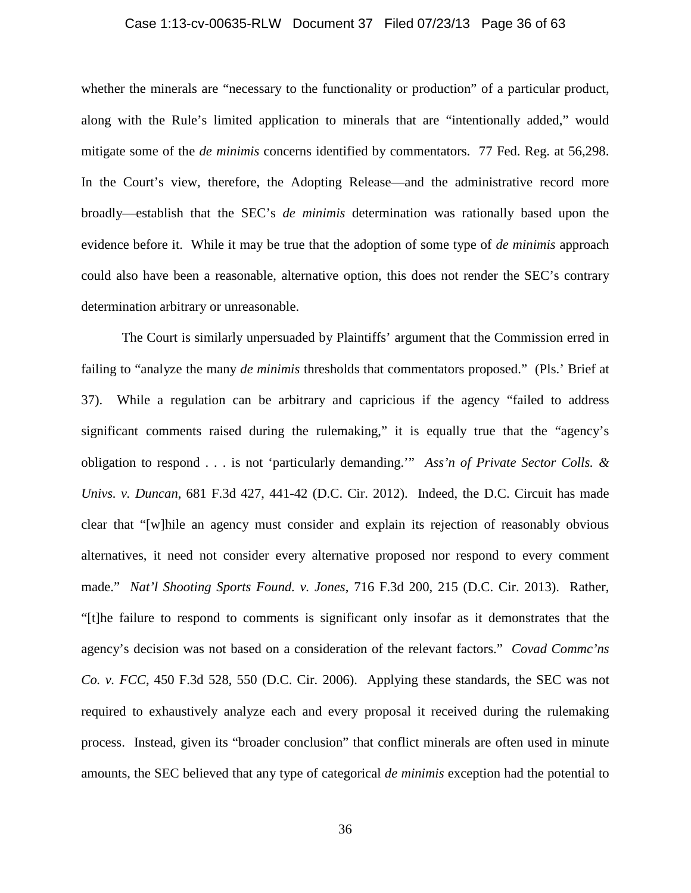## Case 1:13-cv-00635-RLW Document 37 Filed 07/23/13 Page 36 of 63

whether the minerals are "necessary to the functionality or production" of a particular product, along with the Rule's limited application to minerals that are "intentionally added," would mitigate some of the *de minimis* concerns identified by commentators. 77 Fed. Reg. at 56,298. In the Court's view, therefore, the Adopting Release—and the administrative record more broadly—establish that the SEC's *de minimis* determination was rationally based upon the evidence before it. While it may be true that the adoption of some type of *de minimis* approach could also have been a reasonable, alternative option, this does not render the SEC's contrary determination arbitrary or unreasonable.

The Court is similarly unpersuaded by Plaintiffs' argument that the Commission erred in failing to "analyze the many *de minimis* thresholds that commentators proposed." (Pls.' Brief at 37). While a regulation can be arbitrary and capricious if the agency "failed to address significant comments raised during the rulemaking," it is equally true that the "agency's obligation to respond . . . is not 'particularly demanding.'" *Ass'n of Private Sector Colls. & Univs. v. Duncan*, 681 F.3d 427, 441-42 (D.C. Cir. 2012). Indeed, the D.C. Circuit has made clear that "[w]hile an agency must consider and explain its rejection of reasonably obvious alternatives, it need not consider every alternative proposed nor respond to every comment made." *Nat'l Shooting Sports Found. v. Jones*, 716 F.3d 200, 215 (D.C. Cir. 2013). Rather, "[t]he failure to respond to comments is significant only insofar as it demonstrates that the agency's decision was not based on a consideration of the relevant factors." *Covad Commc'ns Co. v. FCC*, 450 F.3d 528, 550 (D.C. Cir. 2006). Applying these standards, the SEC was not required to exhaustively analyze each and every proposal it received during the rulemaking process. Instead, given its "broader conclusion" that conflict minerals are often used in minute amounts, the SEC believed that any type of categorical *de minimis* exception had the potential to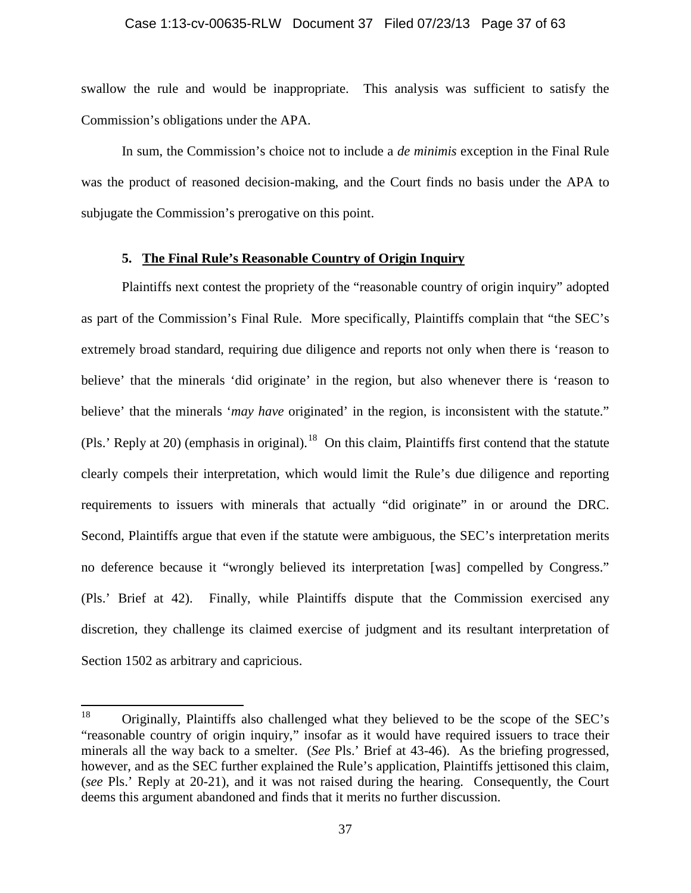#### Case 1:13-cv-00635-RLW Document 37 Filed 07/23/13 Page 37 of 63

swallow the rule and would be inappropriate. This analysis was sufficient to satisfy the Commission's obligations under the APA.

In sum, the Commission's choice not to include a *de minimis* exception in the Final Rule was the product of reasoned decision-making, and the Court finds no basis under the APA to subjugate the Commission's prerogative on this point.

# **5. The Final Rule's Reasonable Country of Origin Inquiry**

Plaintiffs next contest the propriety of the "reasonable country of origin inquiry" adopted as part of the Commission's Final Rule. More specifically, Plaintiffs complain that "the SEC's extremely broad standard, requiring due diligence and reports not only when there is 'reason to believe' that the minerals 'did originate' in the region, but also whenever there is 'reason to believe' that the minerals '*may have* originated' in the region, is inconsistent with the statute." (Pls.' Reply at 20) (emphasis in original).<sup>[18](#page-36-0)</sup> On this claim, Plaintiffs first contend that the statute clearly compels their interpretation, which would limit the Rule's due diligence and reporting requirements to issuers with minerals that actually "did originate" in or around the DRC. Second, Plaintiffs argue that even if the statute were ambiguous, the SEC's interpretation merits no deference because it "wrongly believed its interpretation [was] compelled by Congress." (Pls.' Brief at 42). Finally, while Plaintiffs dispute that the Commission exercised any discretion, they challenge its claimed exercise of judgment and its resultant interpretation of Section 1502 as arbitrary and capricious.

<span id="page-36-0"></span> $18$  Originally, Plaintiffs also challenged what they believed to be the scope of the SEC's "reasonable country of origin inquiry," insofar as it would have required issuers to trace their minerals all the way back to a smelter. (*See* Pls.' Brief at 43-46). As the briefing progressed, however, and as the SEC further explained the Rule's application, Plaintiffs jettisoned this claim, (*see* Pls.' Reply at 20-21), and it was not raised during the hearing. Consequently, the Court deems this argument abandoned and finds that it merits no further discussion.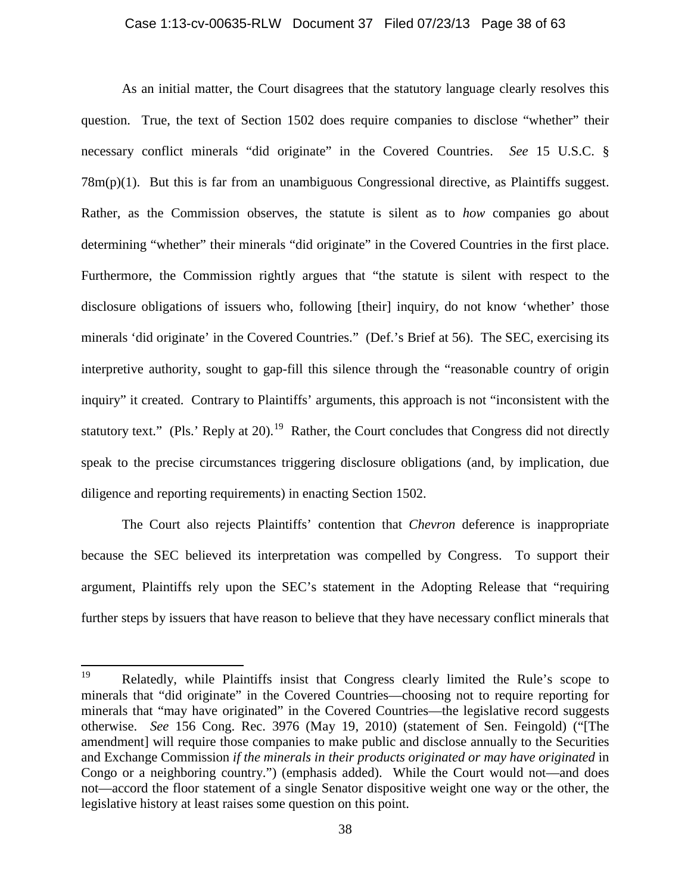## Case 1:13-cv-00635-RLW Document 37 Filed 07/23/13 Page 38 of 63

As an initial matter, the Court disagrees that the statutory language clearly resolves this question. True, the text of Section 1502 does require companies to disclose "whether" their necessary conflict minerals "did originate" in the Covered Countries. *See* 15 U.S.C. §  $78m(p)(1)$ . But this is far from an unambiguous Congressional directive, as Plaintiffs suggest. Rather, as the Commission observes, the statute is silent as to *how* companies go about determining "whether" their minerals "did originate" in the Covered Countries in the first place. Furthermore, the Commission rightly argues that "the statute is silent with respect to the disclosure obligations of issuers who, following [their] inquiry, do not know 'whether' those minerals 'did originate' in the Covered Countries." (Def.'s Brief at 56). The SEC, exercising its interpretive authority, sought to gap-fill this silence through the "reasonable country of origin inquiry" it created. Contrary to Plaintiffs' arguments, this approach is not "inconsistent with the statutory text." (Pls.' Reply at 20).<sup>[19](#page-37-0)</sup> Rather, the Court concludes that Congress did not directly speak to the precise circumstances triggering disclosure obligations (and, by implication, due diligence and reporting requirements) in enacting Section 1502.

The Court also rejects Plaintiffs' contention that *Chevron* deference is inappropriate because the SEC believed its interpretation was compelled by Congress. To support their argument, Plaintiffs rely upon the SEC's statement in the Adopting Release that "requiring further steps by issuers that have reason to believe that they have necessary conflict minerals that

<span id="page-37-0"></span><sup>19</sup> Relatedly, while Plaintiffs insist that Congress clearly limited the Rule's scope to minerals that "did originate" in the Covered Countries—choosing not to require reporting for minerals that "may have originated" in the Covered Countries—the legislative record suggests otherwise. *See* 156 Cong. Rec. 3976 (May 19, 2010) (statement of Sen. Feingold) ("[The amendment] will require those companies to make public and disclose annually to the Securities and Exchange Commission *if the minerals in their products originated or may have originated* in Congo or a neighboring country.") (emphasis added). While the Court would not—and does not—accord the floor statement of a single Senator dispositive weight one way or the other, the legislative history at least raises some question on this point.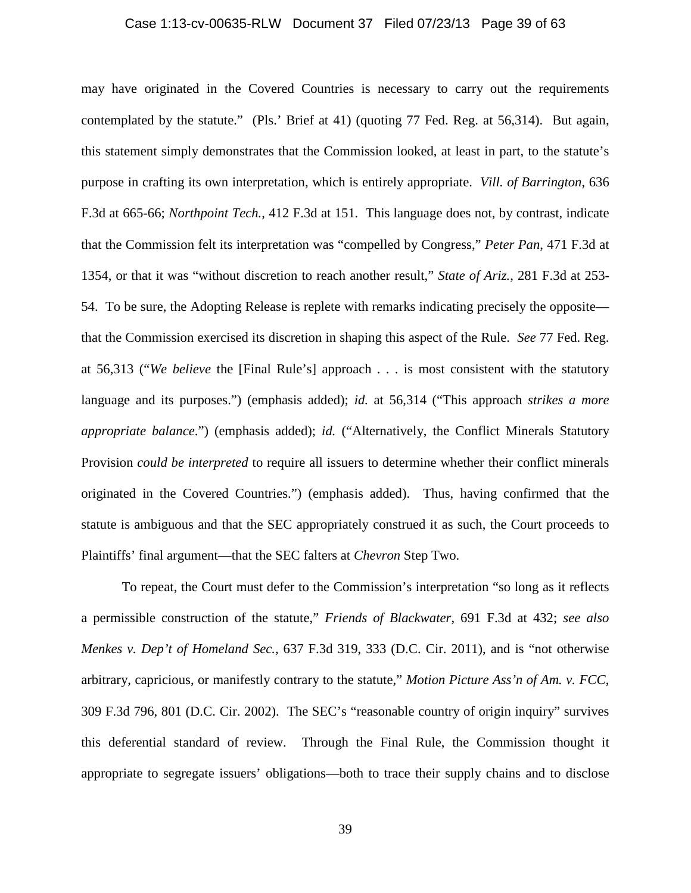## Case 1:13-cv-00635-RLW Document 37 Filed 07/23/13 Page 39 of 63

may have originated in the Covered Countries is necessary to carry out the requirements contemplated by the statute." (Pls.' Brief at 41) (quoting 77 Fed. Reg. at 56,314). But again, this statement simply demonstrates that the Commission looked, at least in part, to the statute's purpose in crafting its own interpretation, which is entirely appropriate. *Vill. of Barrington*, 636 F.3d at 665-66; *Northpoint Tech.*, 412 F.3d at 151. This language does not, by contrast, indicate that the Commission felt its interpretation was "compelled by Congress," *Peter Pan*, 471 F.3d at 1354, or that it was "without discretion to reach another result," *State of Ariz.*, 281 F.3d at 253- 54. To be sure, the Adopting Release is replete with remarks indicating precisely the opposite that the Commission exercised its discretion in shaping this aspect of the Rule. *See* 77 Fed. Reg. at 56,313 ("*We believe* the [Final Rule's] approach . . . is most consistent with the statutory language and its purposes.") (emphasis added); *id.* at 56,314 ("This approach *strikes a more appropriate balance*.") (emphasis added); *id.* ("Alternatively, the Conflict Minerals Statutory Provision *could be interpreted* to require all issuers to determine whether their conflict minerals originated in the Covered Countries.") (emphasis added). Thus, having confirmed that the statute is ambiguous and that the SEC appropriately construed it as such, the Court proceeds to Plaintiffs' final argument—that the SEC falters at *Chevron* Step Two.

To repeat, the Court must defer to the Commission's interpretation "so long as it reflects a permissible construction of the statute," *Friends of Blackwater*, 691 F.3d at 432; *see also Menkes v. Dep't of Homeland Sec.*, 637 F.3d 319, 333 (D.C. Cir. 2011), and is "not otherwise arbitrary, capricious, or manifestly contrary to the statute," *Motion Picture Ass'n of Am. v. FCC*, 309 F.3d 796, 801 (D.C. Cir. 2002). The SEC's "reasonable country of origin inquiry" survives this deferential standard of review. Through the Final Rule, the Commission thought it appropriate to segregate issuers' obligations—both to trace their supply chains and to disclose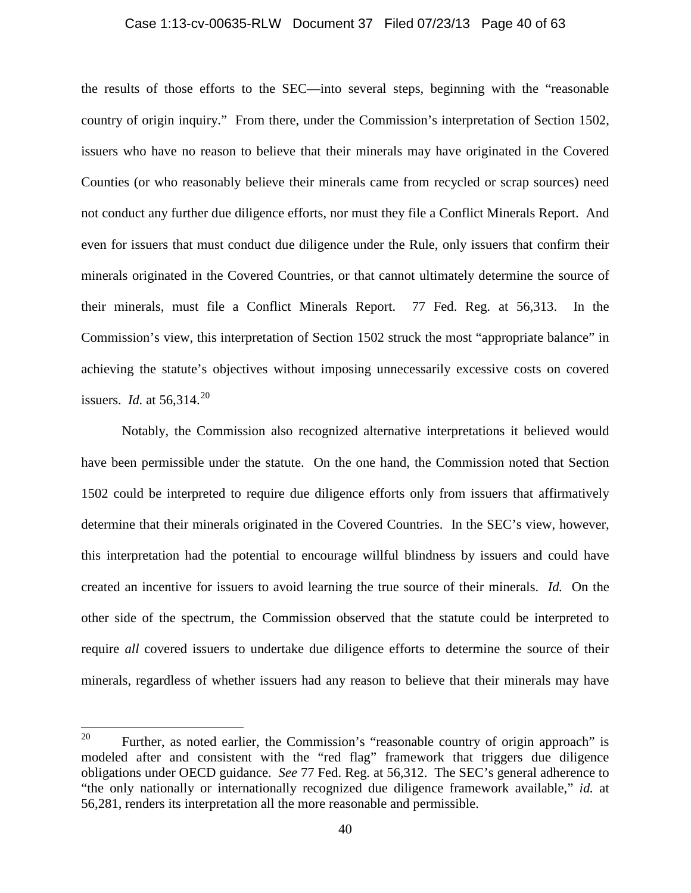#### Case 1:13-cv-00635-RLW Document 37 Filed 07/23/13 Page 40 of 63

the results of those efforts to the SEC—into several steps, beginning with the "reasonable country of origin inquiry." From there, under the Commission's interpretation of Section 1502, issuers who have no reason to believe that their minerals may have originated in the Covered Counties (or who reasonably believe their minerals came from recycled or scrap sources) need not conduct any further due diligence efforts, nor must they file a Conflict Minerals Report. And even for issuers that must conduct due diligence under the Rule, only issuers that confirm their minerals originated in the Covered Countries, or that cannot ultimately determine the source of their minerals, must file a Conflict Minerals Report. 77 Fed. Reg. at 56,313. In the Commission's view, this interpretation of Section 1502 struck the most "appropriate balance" in achieving the statute's objectives without imposing unnecessarily excessive costs on covered issuers. *Id.* at  $56,314.^{20}$  $56,314.^{20}$  $56,314.^{20}$ 

Notably, the Commission also recognized alternative interpretations it believed would have been permissible under the statute. On the one hand, the Commission noted that Section 1502 could be interpreted to require due diligence efforts only from issuers that affirmatively determine that their minerals originated in the Covered Countries. In the SEC's view, however, this interpretation had the potential to encourage willful blindness by issuers and could have created an incentive for issuers to avoid learning the true source of their minerals. *Id.* On the other side of the spectrum, the Commission observed that the statute could be interpreted to require *all* covered issuers to undertake due diligence efforts to determine the source of their minerals, regardless of whether issuers had any reason to believe that their minerals may have

<span id="page-39-0"></span><sup>&</sup>lt;sup>20</sup> Further, as noted earlier, the Commission's "reasonable country of origin approach" is modeled after and consistent with the "red flag" framework that triggers due diligence obligations under OECD guidance. *See* 77 Fed. Reg. at 56,312. The SEC's general adherence to "the only nationally or internationally recognized due diligence framework available," *id.* at 56,281, renders its interpretation all the more reasonable and permissible.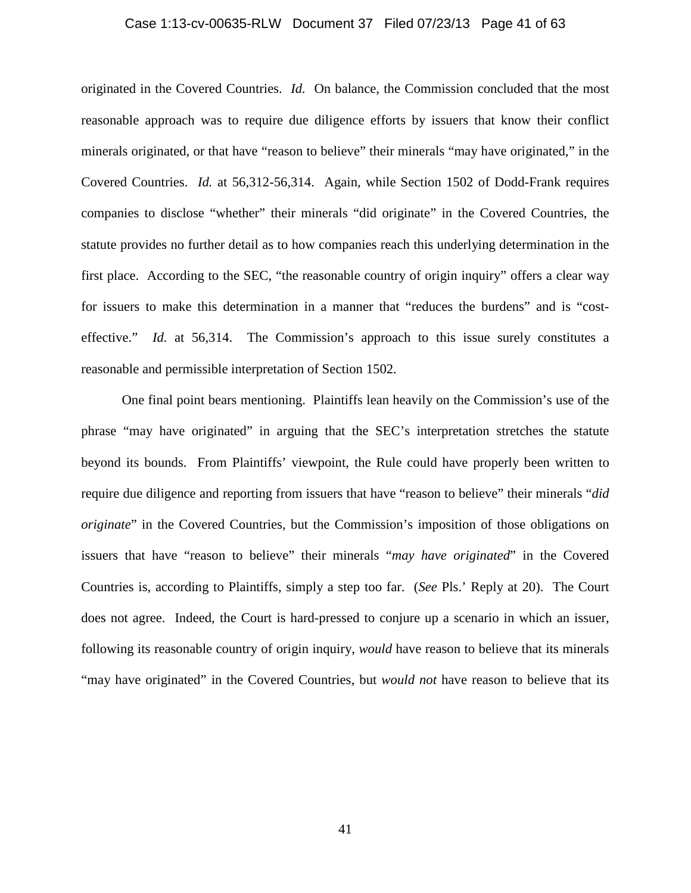## Case 1:13-cv-00635-RLW Document 37 Filed 07/23/13 Page 41 of 63

originated in the Covered Countries. *Id.* On balance, the Commission concluded that the most reasonable approach was to require due diligence efforts by issuers that know their conflict minerals originated, or that have "reason to believe" their minerals "may have originated," in the Covered Countries. *Id.* at 56,312-56,314. Again, while Section 1502 of Dodd-Frank requires companies to disclose "whether" their minerals "did originate" in the Covered Countries, the statute provides no further detail as to how companies reach this underlying determination in the first place. According to the SEC, "the reasonable country of origin inquiry" offers a clear way for issuers to make this determination in a manner that "reduces the burdens" and is "costeffective." *Id.* at 56,314. The Commission's approach to this issue surely constitutes a reasonable and permissible interpretation of Section 1502.

One final point bears mentioning. Plaintiffs lean heavily on the Commission's use of the phrase "may have originated" in arguing that the SEC's interpretation stretches the statute beyond its bounds. From Plaintiffs' viewpoint, the Rule could have properly been written to require due diligence and reporting from issuers that have "reason to believe" their minerals "*did originate*" in the Covered Countries, but the Commission's imposition of those obligations on issuers that have "reason to believe" their minerals "*may have originated*" in the Covered Countries is, according to Plaintiffs, simply a step too far. (*See* Pls.' Reply at 20). The Court does not agree. Indeed, the Court is hard-pressed to conjure up a scenario in which an issuer, following its reasonable country of origin inquiry, *would* have reason to believe that its minerals "may have originated" in the Covered Countries, but *would not* have reason to believe that its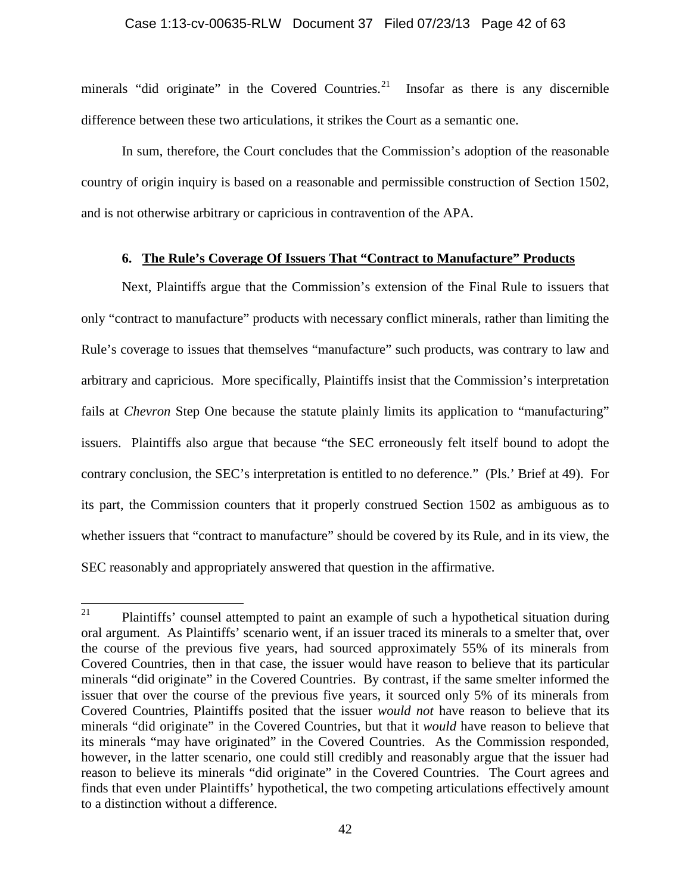## Case 1:13-cv-00635-RLW Document 37 Filed 07/23/13 Page 42 of 63

minerals "did originate" in the Covered Countries.<sup>[21](#page-41-0)</sup> Insofar as there is any discernible difference between these two articulations, it strikes the Court as a semantic one.

In sum, therefore, the Court concludes that the Commission's adoption of the reasonable country of origin inquiry is based on a reasonable and permissible construction of Section 1502, and is not otherwise arbitrary or capricious in contravention of the APA.

# **6. The Rule's Coverage Of Issuers That "Contract to Manufacture" Products**

Next, Plaintiffs argue that the Commission's extension of the Final Rule to issuers that only "contract to manufacture" products with necessary conflict minerals, rather than limiting the Rule's coverage to issues that themselves "manufacture" such products, was contrary to law and arbitrary and capricious. More specifically, Plaintiffs insist that the Commission's interpretation fails at *Chevron* Step One because the statute plainly limits its application to "manufacturing" issuers. Plaintiffs also argue that because "the SEC erroneously felt itself bound to adopt the contrary conclusion, the SEC's interpretation is entitled to no deference." (Pls.' Brief at 49). For its part, the Commission counters that it properly construed Section 1502 as ambiguous as to whether issuers that "contract to manufacture" should be covered by its Rule, and in its view, the SEC reasonably and appropriately answered that question in the affirmative.

<span id="page-41-0"></span> $21$  Plaintiffs' counsel attempted to paint an example of such a hypothetical situation during oral argument. As Plaintiffs' scenario went, if an issuer traced its minerals to a smelter that, over the course of the previous five years, had sourced approximately 55% of its minerals from Covered Countries, then in that case, the issuer would have reason to believe that its particular minerals "did originate" in the Covered Countries. By contrast, if the same smelter informed the issuer that over the course of the previous five years, it sourced only 5% of its minerals from Covered Countries, Plaintiffs posited that the issuer *would not* have reason to believe that its minerals "did originate" in the Covered Countries, but that it *would* have reason to believe that its minerals "may have originated" in the Covered Countries. As the Commission responded, however, in the latter scenario, one could still credibly and reasonably argue that the issuer had reason to believe its minerals "did originate" in the Covered Countries. The Court agrees and finds that even under Plaintiffs' hypothetical, the two competing articulations effectively amount to a distinction without a difference.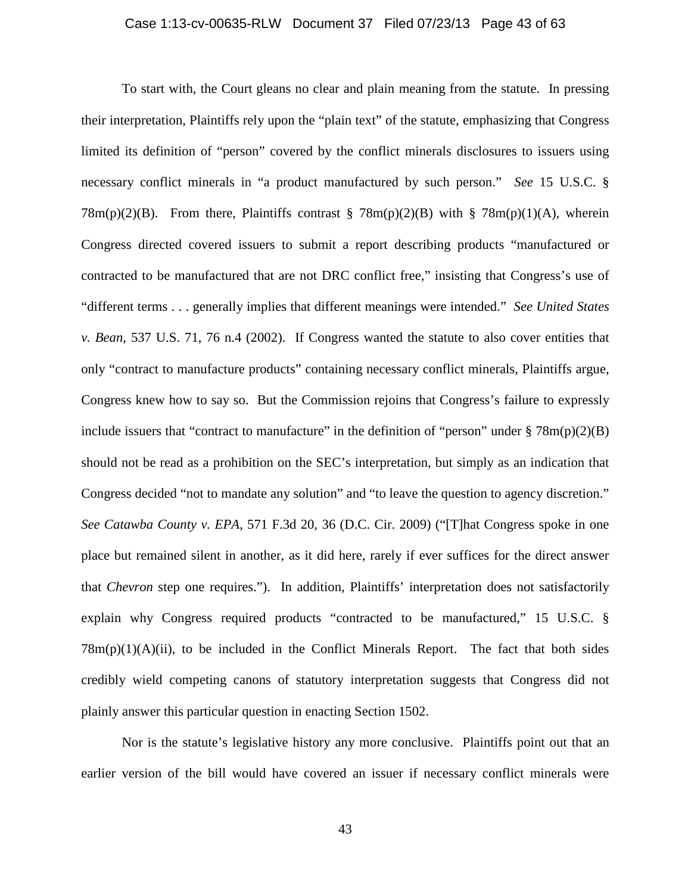## Case 1:13-cv-00635-RLW Document 37 Filed 07/23/13 Page 43 of 63

To start with, the Court gleans no clear and plain meaning from the statute. In pressing their interpretation, Plaintiffs rely upon the "plain text" of the statute, emphasizing that Congress limited its definition of "person" covered by the conflict minerals disclosures to issuers using necessary conflict minerals in "a product manufactured by such person." *See* 15 U.S.C. §  $78m(p)(2)(B)$ . From there, Plaintiffs contrast §  $78m(p)(2)(B)$  with §  $78m(p)(1)(A)$ , wherein Congress directed covered issuers to submit a report describing products "manufactured or contracted to be manufactured that are not DRC conflict free," insisting that Congress's use of "different terms . . . generally implies that different meanings were intended." *See United States v. Bean*, 537 U.S. 71, 76 n.4 (2002). If Congress wanted the statute to also cover entities that only "contract to manufacture products" containing necessary conflict minerals, Plaintiffs argue, Congress knew how to say so. But the Commission rejoins that Congress's failure to expressly include issuers that "contract to manufacture" in the definition of "person" under  $\S 78m(p)(2)(B)$ should not be read as a prohibition on the SEC's interpretation, but simply as an indication that Congress decided "not to mandate any solution" and "to leave the question to agency discretion." *See Catawba County v. EPA*, 571 F.3d 20, 36 (D.C. Cir. 2009) ("[T]hat Congress spoke in one place but remained silent in another, as it did here, rarely if ever suffices for the direct answer that *Chevron* step one requires."). In addition, Plaintiffs' interpretation does not satisfactorily explain why Congress required products "contracted to be manufactured," 15 U.S.C. §  $78m(p)(1)(A)(ii)$ , to be included in the Conflict Minerals Report. The fact that both sides credibly wield competing canons of statutory interpretation suggests that Congress did not plainly answer this particular question in enacting Section 1502.

Nor is the statute's legislative history any more conclusive. Plaintiffs point out that an earlier version of the bill would have covered an issuer if necessary conflict minerals were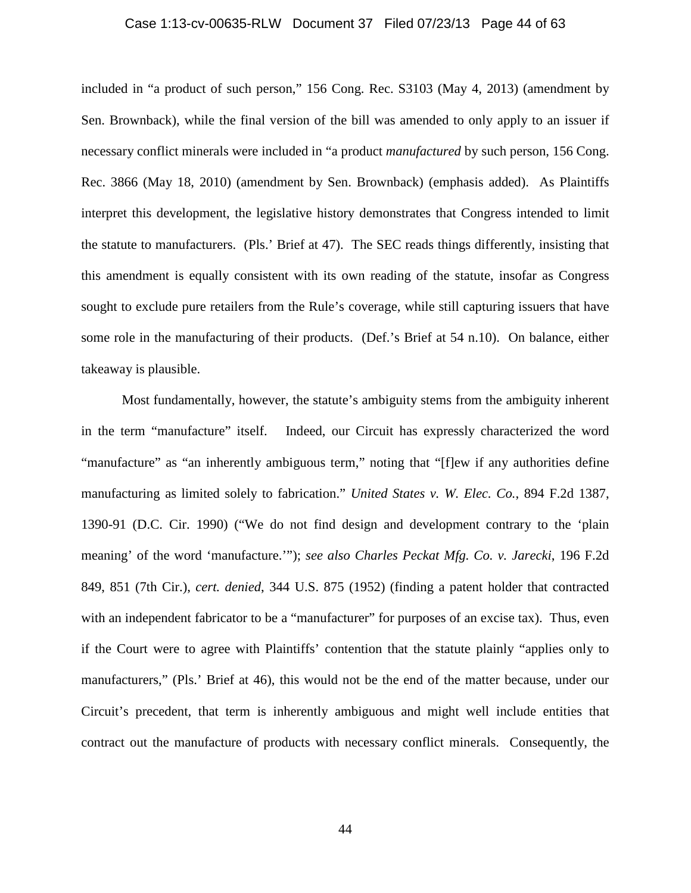## Case 1:13-cv-00635-RLW Document 37 Filed 07/23/13 Page 44 of 63

included in "a product of such person," 156 Cong. Rec. S3103 (May 4, 2013) (amendment by Sen. Brownback), while the final version of the bill was amended to only apply to an issuer if necessary conflict minerals were included in "a product *manufactured* by such person, 156 Cong. Rec. 3866 (May 18, 2010) (amendment by Sen. Brownback) (emphasis added). As Plaintiffs interpret this development, the legislative history demonstrates that Congress intended to limit the statute to manufacturers. (Pls.' Brief at 47). The SEC reads things differently, insisting that this amendment is equally consistent with its own reading of the statute, insofar as Congress sought to exclude pure retailers from the Rule's coverage, while still capturing issuers that have some role in the manufacturing of their products. (Def.'s Brief at 54 n.10). On balance, either takeaway is plausible.

Most fundamentally, however, the statute's ambiguity stems from the ambiguity inherent in the term "manufacture" itself. Indeed, our Circuit has expressly characterized the word "manufacture" as "an inherently ambiguous term," noting that "[f]ew if any authorities define manufacturing as limited solely to fabrication." *United States v. W. Elec. Co.*, 894 F.2d 1387, 1390-91 (D.C. Cir. 1990) ("We do not find design and development contrary to the 'plain meaning' of the word 'manufacture.'"); *see also Charles Peckat Mfg. Co. v. Jarecki*, 196 F.2d 849, 851 (7th Cir.), *cert. denied*, 344 U.S. 875 (1952) (finding a patent holder that contracted with an independent fabricator to be a "manufacturer" for purposes of an excise tax). Thus, even if the Court were to agree with Plaintiffs' contention that the statute plainly "applies only to manufacturers," (Pls.' Brief at 46), this would not be the end of the matter because, under our Circuit's precedent, that term is inherently ambiguous and might well include entities that contract out the manufacture of products with necessary conflict minerals. Consequently, the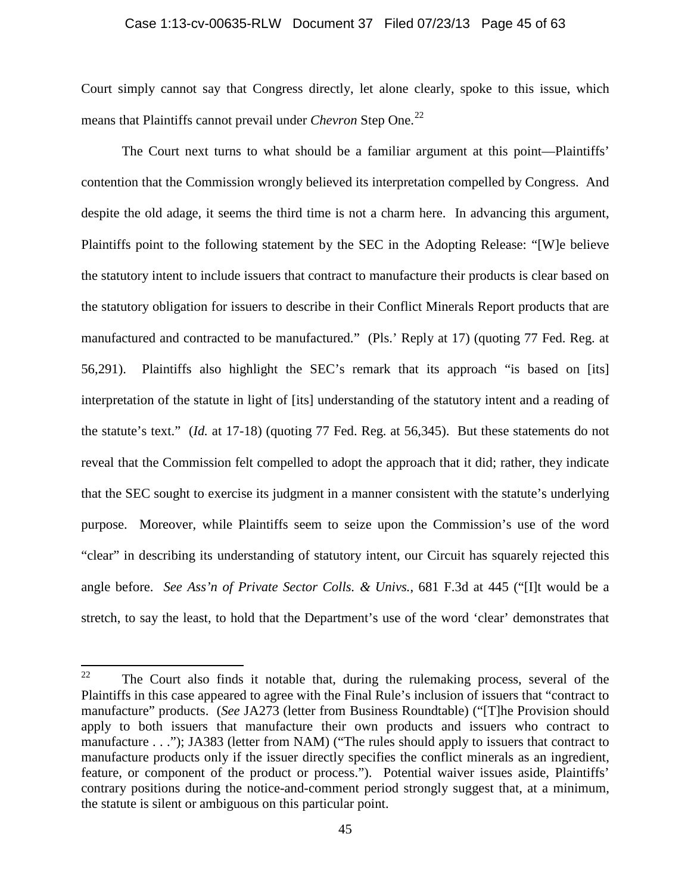#### Case 1:13-cv-00635-RLW Document 37 Filed 07/23/13 Page 45 of 63

Court simply cannot say that Congress directly, let alone clearly, spoke to this issue, which means that Plaintiffs cannot prevail under *Chevron* Step One.<sup>[22](#page-44-0)</sup>

The Court next turns to what should be a familiar argument at this point—Plaintiffs' contention that the Commission wrongly believed its interpretation compelled by Congress. And despite the old adage, it seems the third time is not a charm here. In advancing this argument, Plaintiffs point to the following statement by the SEC in the Adopting Release: "[W]e believe the statutory intent to include issuers that contract to manufacture their products is clear based on the statutory obligation for issuers to describe in their Conflict Minerals Report products that are manufactured and contracted to be manufactured." (Pls.' Reply at 17) (quoting 77 Fed. Reg. at 56,291). Plaintiffs also highlight the SEC's remark that its approach "is based on [its] interpretation of the statute in light of [its] understanding of the statutory intent and a reading of the statute's text." (*Id.* at 17-18) (quoting 77 Fed. Reg. at 56,345). But these statements do not reveal that the Commission felt compelled to adopt the approach that it did; rather, they indicate that the SEC sought to exercise its judgment in a manner consistent with the statute's underlying purpose. Moreover, while Plaintiffs seem to seize upon the Commission's use of the word "clear" in describing its understanding of statutory intent, our Circuit has squarely rejected this angle before. *See Ass'n of Private Sector Colls. & Univs.*, 681 F.3d at 445 ("[I]t would be a stretch, to say the least, to hold that the Department's use of the word 'clear' demonstrates that

<span id="page-44-0"></span><sup>&</sup>lt;sup>22</sup> The Court also finds it notable that, during the rulemaking process, several of the Plaintiffs in this case appeared to agree with the Final Rule's inclusion of issuers that "contract to manufacture" products. (*See* JA273 (letter from Business Roundtable) ("[T]he Provision should apply to both issuers that manufacture their own products and issuers who contract to manufacture . . ."); JA383 (letter from NAM) ("The rules should apply to issuers that contract to manufacture products only if the issuer directly specifies the conflict minerals as an ingredient, feature, or component of the product or process."). Potential waiver issues aside, Plaintiffs' contrary positions during the notice-and-comment period strongly suggest that, at a minimum, the statute is silent or ambiguous on this particular point.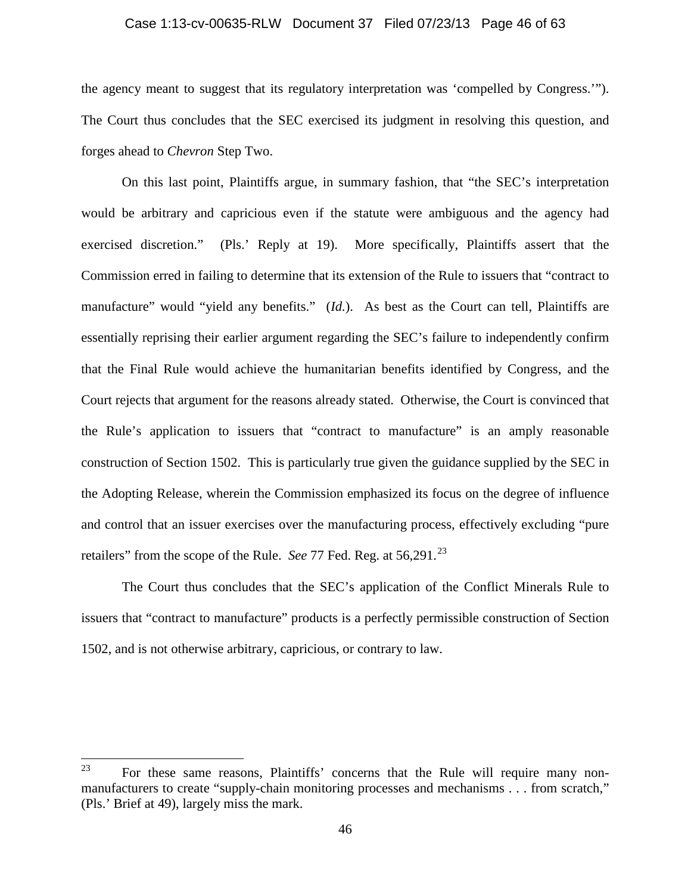## Case 1:13-cv-00635-RLW Document 37 Filed 07/23/13 Page 46 of 63

the agency meant to suggest that its regulatory interpretation was 'compelled by Congress.'"). The Court thus concludes that the SEC exercised its judgment in resolving this question, and forges ahead to *Chevron* Step Two.

On this last point, Plaintiffs argue, in summary fashion, that "the SEC's interpretation would be arbitrary and capricious even if the statute were ambiguous and the agency had exercised discretion." (Pls.' Reply at 19). More specifically, Plaintiffs assert that the Commission erred in failing to determine that its extension of the Rule to issuers that "contract to manufacture" would "yield any benefits." (*Id.*). As best as the Court can tell, Plaintiffs are essentially reprising their earlier argument regarding the SEC's failure to independently confirm that the Final Rule would achieve the humanitarian benefits identified by Congress, and the Court rejects that argument for the reasons already stated. Otherwise, the Court is convinced that the Rule's application to issuers that "contract to manufacture" is an amply reasonable construction of Section 1502. This is particularly true given the guidance supplied by the SEC in the Adopting Release, wherein the Commission emphasized its focus on the degree of influence and control that an issuer exercises over the manufacturing process, effectively excluding "pure retailers" from the scope of the Rule. *See 77* Fed. Reg. at 56,291.<sup>[23](#page-45-0)</sup>

The Court thus concludes that the SEC's application of the Conflict Minerals Rule to issuers that "contract to manufacture" products is a perfectly permissible construction of Section 1502, and is not otherwise arbitrary, capricious, or contrary to law.

<span id="page-45-0"></span><sup>23</sup> For these same reasons, Plaintiffs' concerns that the Rule will require many nonmanufacturers to create "supply-chain monitoring processes and mechanisms . . . from scratch," (Pls.' Brief at 49), largely miss the mark.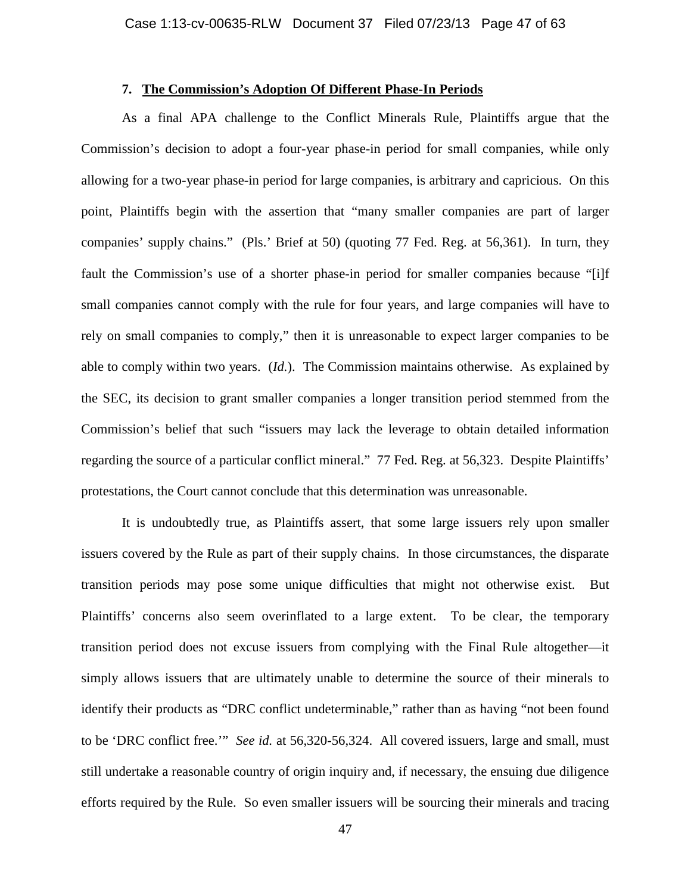## **7. The Commission's Adoption Of Different Phase-In Periods**

As a final APA challenge to the Conflict Minerals Rule, Plaintiffs argue that the Commission's decision to adopt a four-year phase-in period for small companies, while only allowing for a two-year phase-in period for large companies, is arbitrary and capricious. On this point, Plaintiffs begin with the assertion that "many smaller companies are part of larger companies' supply chains." (Pls.' Brief at 50) (quoting 77 Fed. Reg. at 56,361). In turn, they fault the Commission's use of a shorter phase-in period for smaller companies because "[i]f small companies cannot comply with the rule for four years, and large companies will have to rely on small companies to comply," then it is unreasonable to expect larger companies to be able to comply within two years. (*Id.*). The Commission maintains otherwise. As explained by the SEC, its decision to grant smaller companies a longer transition period stemmed from the Commission's belief that such "issuers may lack the leverage to obtain detailed information regarding the source of a particular conflict mineral." 77 Fed. Reg. at 56,323. Despite Plaintiffs' protestations, the Court cannot conclude that this determination was unreasonable.

It is undoubtedly true, as Plaintiffs assert, that some large issuers rely upon smaller issuers covered by the Rule as part of their supply chains. In those circumstances, the disparate transition periods may pose some unique difficulties that might not otherwise exist. But Plaintiffs' concerns also seem overinflated to a large extent. To be clear, the temporary transition period does not excuse issuers from complying with the Final Rule altogether—it simply allows issuers that are ultimately unable to determine the source of their minerals to identify their products as "DRC conflict undeterminable," rather than as having "not been found to be 'DRC conflict free.'" *See id.* at 56,320-56,324. All covered issuers, large and small, must still undertake a reasonable country of origin inquiry and, if necessary, the ensuing due diligence efforts required by the Rule. So even smaller issuers will be sourcing their minerals and tracing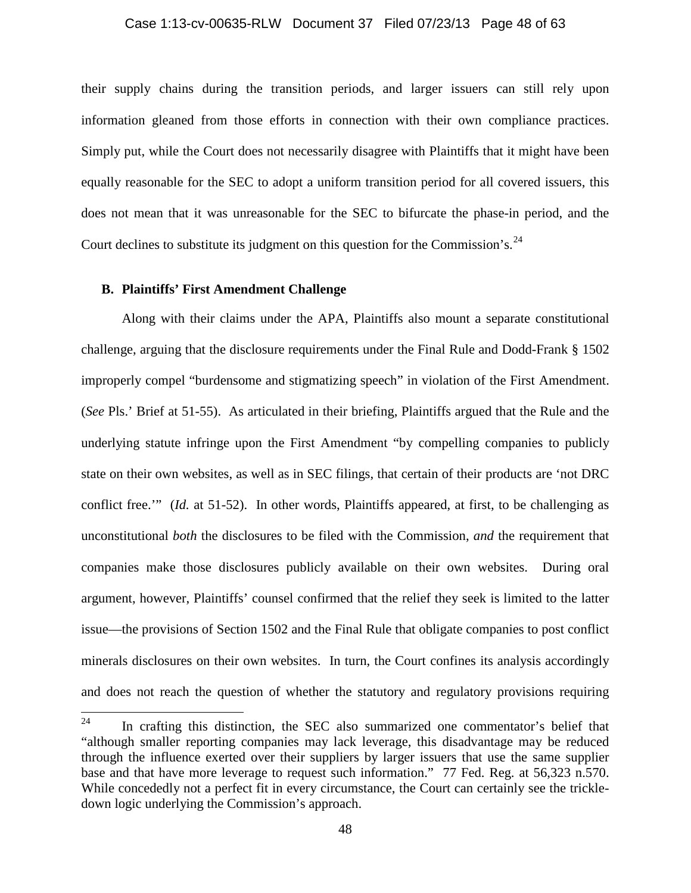## Case 1:13-cv-00635-RLW Document 37 Filed 07/23/13 Page 48 of 63

their supply chains during the transition periods, and larger issuers can still rely upon information gleaned from those efforts in connection with their own compliance practices. Simply put, while the Court does not necessarily disagree with Plaintiffs that it might have been equally reasonable for the SEC to adopt a uniform transition period for all covered issuers, this does not mean that it was unreasonable for the SEC to bifurcate the phase-in period, and the Court declines to substitute its judgment on this question for the Commission's.  $^{24}$  $^{24}$  $^{24}$ 

#### **B. Plaintiffs' First Amendment Challenge**

Along with their claims under the APA, Plaintiffs also mount a separate constitutional challenge, arguing that the disclosure requirements under the Final Rule and Dodd-Frank § 1502 improperly compel "burdensome and stigmatizing speech" in violation of the First Amendment. (*See* Pls.' Brief at 51-55). As articulated in their briefing, Plaintiffs argued that the Rule and the underlying statute infringe upon the First Amendment "by compelling companies to publicly state on their own websites, as well as in SEC filings, that certain of their products are 'not DRC conflict free.'" (*Id.* at 51-52). In other words, Plaintiffs appeared, at first, to be challenging as unconstitutional *both* the disclosures to be filed with the Commission, *and* the requirement that companies make those disclosures publicly available on their own websites. During oral argument, however, Plaintiffs' counsel confirmed that the relief they seek is limited to the latter issue—the provisions of Section 1502 and the Final Rule that obligate companies to post conflict minerals disclosures on their own websites. In turn, the Court confines its analysis accordingly and does not reach the question of whether the statutory and regulatory provisions requiring

<span id="page-47-0"></span> $24$  In crafting this distinction, the SEC also summarized one commentator's belief that "although smaller reporting companies may lack leverage, this disadvantage may be reduced through the influence exerted over their suppliers by larger issuers that use the same supplier base and that have more leverage to request such information." 77 Fed. Reg. at 56,323 n.570. While concededly not a perfect fit in every circumstance, the Court can certainly see the trickledown logic underlying the Commission's approach.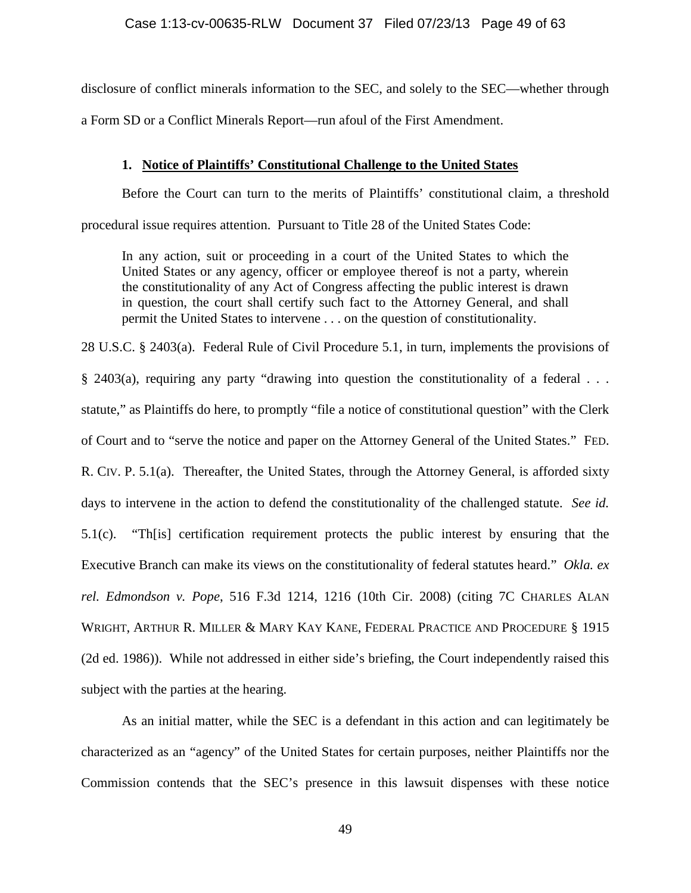disclosure of conflict minerals information to the SEC, and solely to the SEC—whether through a Form SD or a Conflict Minerals Report—run afoul of the First Amendment.

## **1. Notice of Plaintiffs' Constitutional Challenge to the United States**

Before the Court can turn to the merits of Plaintiffs' constitutional claim, a threshold procedural issue requires attention. Pursuant to Title 28 of the United States Code:

In any action, suit or proceeding in a court of the United States to which the United States or any agency, officer or employee thereof is not a party, wherein the constitutionality of any Act of Congress affecting the public interest is drawn in question, the court shall certify such fact to the Attorney General, and shall permit the United States to intervene . . . on the question of constitutionality.

28 U.S.C. § 2403(a). Federal Rule of Civil Procedure 5.1, in turn, implements the provisions of § 2403(a), requiring any party "drawing into question the constitutionality of a federal . . . statute," as Plaintiffs do here, to promptly "file a notice of constitutional question" with the Clerk of Court and to "serve the notice and paper on the Attorney General of the United States." FED. R. CIV. P. 5.1(a). Thereafter, the United States, through the Attorney General, is afforded sixty days to intervene in the action to defend the constitutionality of the challenged statute. *See id.* 5.1(c). "Th[is] certification requirement protects the public interest by ensuring that the Executive Branch can make its views on the constitutionality of federal statutes heard." *Okla. ex rel. Edmondson v. Pope*, 516 F.3d 1214, 1216 (10th Cir. 2008) (citing 7C CHARLES ALAN WRIGHT, ARTHUR R. MILLER & MARY KAY KANE, FEDERAL PRACTICE AND PROCEDURE § 1915 (2d ed. 1986)). While not addressed in either side's briefing, the Court independently raised this subject with the parties at the hearing.

As an initial matter, while the SEC is a defendant in this action and can legitimately be characterized as an "agency" of the United States for certain purposes, neither Plaintiffs nor the Commission contends that the SEC's presence in this lawsuit dispenses with these notice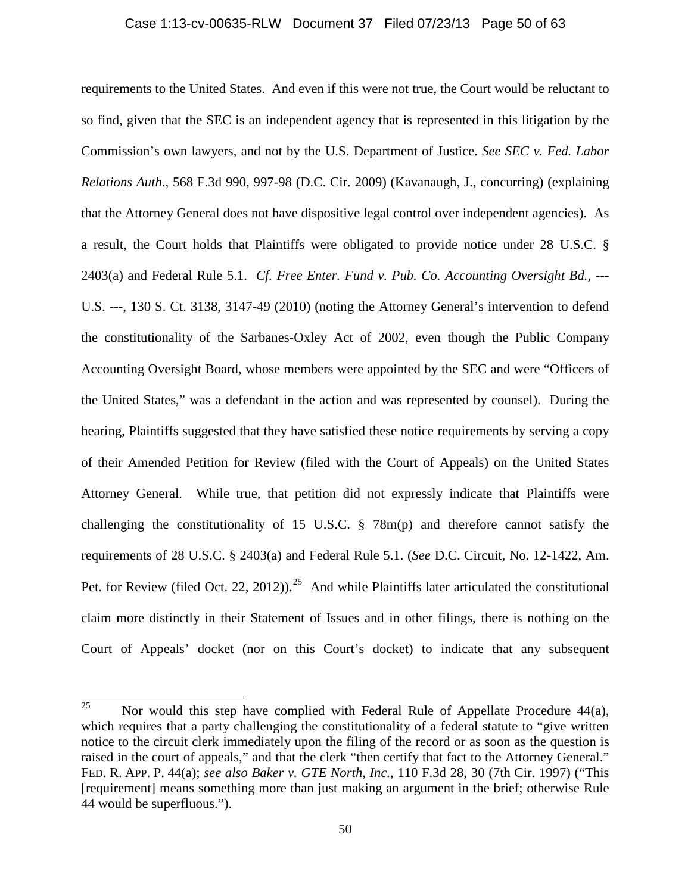#### Case 1:13-cv-00635-RLW Document 37 Filed 07/23/13 Page 50 of 63

requirements to the United States. And even if this were not true, the Court would be reluctant to so find, given that the SEC is an independent agency that is represented in this litigation by the Commission's own lawyers, and not by the U.S. Department of Justice. *See SEC v. Fed. Labor Relations Auth.*, 568 F.3d 990, 997-98 (D.C. Cir. 2009) (Kavanaugh, J., concurring) (explaining that the Attorney General does not have dispositive legal control over independent agencies). As a result, the Court holds that Plaintiffs were obligated to provide notice under 28 U.S.C. § 2403(a) and Federal Rule 5.1. *Cf. Free Enter. Fund v. Pub. Co. Accounting Oversight Bd.*, --- U.S. ---, 130 S. Ct. 3138, 3147-49 (2010) (noting the Attorney General's intervention to defend the constitutionality of the Sarbanes-Oxley Act of 2002, even though the Public Company Accounting Oversight Board, whose members were appointed by the SEC and were "Officers of the United States," was a defendant in the action and was represented by counsel). During the hearing, Plaintiffs suggested that they have satisfied these notice requirements by serving a copy of their Amended Petition for Review (filed with the Court of Appeals) on the United States Attorney General. While true, that petition did not expressly indicate that Plaintiffs were challenging the constitutionality of 15 U.S.C. § 78m(p) and therefore cannot satisfy the requirements of 28 U.S.C. § 2403(a) and Federal Rule 5.1. (*See* D.C. Circuit, No. 12-1422, Am. Pet. for Review (filed Oct. 22, 2012)).<sup>[25](#page-49-0)</sup> And while Plaintiffs later articulated the constitutional claim more distinctly in their Statement of Issues and in other filings, there is nothing on the Court of Appeals' docket (nor on this Court's docket) to indicate that any subsequent

<span id="page-49-0"></span><sup>&</sup>lt;sup>25</sup> Nor would this step have complied with Federal Rule of Appellate Procedure  $44(a)$ , which requires that a party challenging the constitutionality of a federal statute to "give written" notice to the circuit clerk immediately upon the filing of the record or as soon as the question is raised in the court of appeals," and that the clerk "then certify that fact to the Attorney General." FED. R. APP. P. 44(a); *see also Baker v. GTE North, Inc.*, 110 F.3d 28, 30 (7th Cir. 1997) ("This [requirement] means something more than just making an argument in the brief; otherwise Rule 44 would be superfluous.").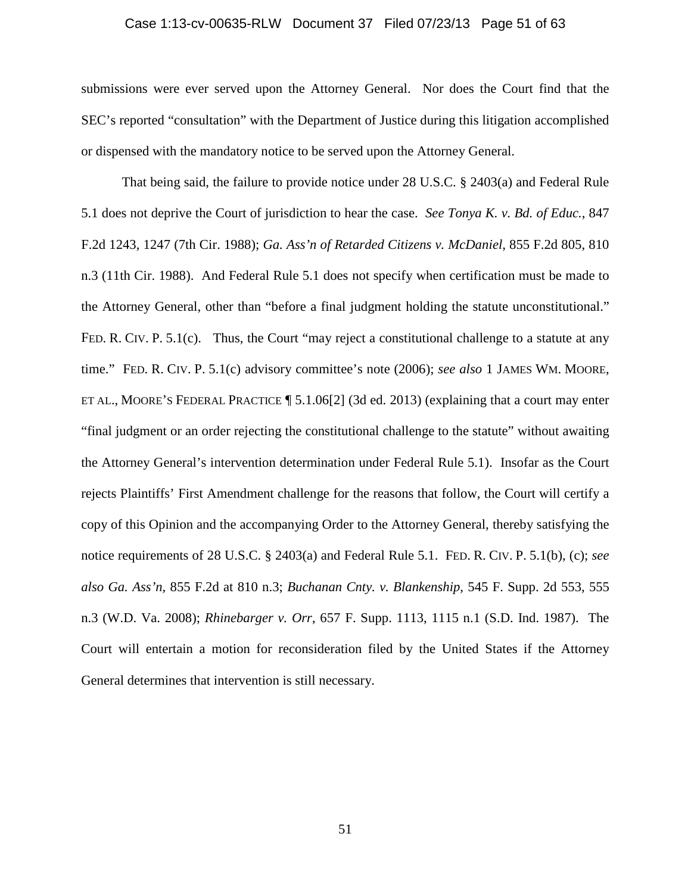## Case 1:13-cv-00635-RLW Document 37 Filed 07/23/13 Page 51 of 63

submissions were ever served upon the Attorney General. Nor does the Court find that the SEC's reported "consultation" with the Department of Justice during this litigation accomplished or dispensed with the mandatory notice to be served upon the Attorney General.

That being said, the failure to provide notice under 28 U.S.C. § 2403(a) and Federal Rule 5.1 does not deprive the Court of jurisdiction to hear the case. *See Tonya K. v. Bd. of Educ.*, 847 F.2d 1243, 1247 (7th Cir. 1988); *Ga. Ass'n of Retarded Citizens v. McDaniel*, 855 F.2d 805, 810 n.3 (11th Cir. 1988). And Federal Rule 5.1 does not specify when certification must be made to the Attorney General, other than "before a final judgment holding the statute unconstitutional." FED. R. CIV. P. 5.1(c). Thus, the Court "may reject a constitutional challenge to a statute at any time." FED. R. CIV. P. 5.1(c) advisory committee's note (2006); *see also* 1 JAMES WM. MOORE, ET AL., MOORE'S FEDERAL PRACTICE ¶ 5.1.06[2] (3d ed. 2013) (explaining that a court may enter "final judgment or an order rejecting the constitutional challenge to the statute" without awaiting the Attorney General's intervention determination under Federal Rule 5.1). Insofar as the Court rejects Plaintiffs' First Amendment challenge for the reasons that follow, the Court will certify a copy of this Opinion and the accompanying Order to the Attorney General, thereby satisfying the notice requirements of 28 U.S.C. § 2403(a) and Federal Rule 5.1. FED. R. CIV. P. 5.1(b), (c); *see also Ga. Ass'n*, 855 F.2d at 810 n.3; *Buchanan Cnty. v. Blankenship*, 545 F. Supp. 2d 553, 555 n.3 (W.D. Va. 2008); *Rhinebarger v. Orr*, 657 F. Supp. 1113, 1115 n.1 (S.D. Ind. 1987). The Court will entertain a motion for reconsideration filed by the United States if the Attorney General determines that intervention is still necessary.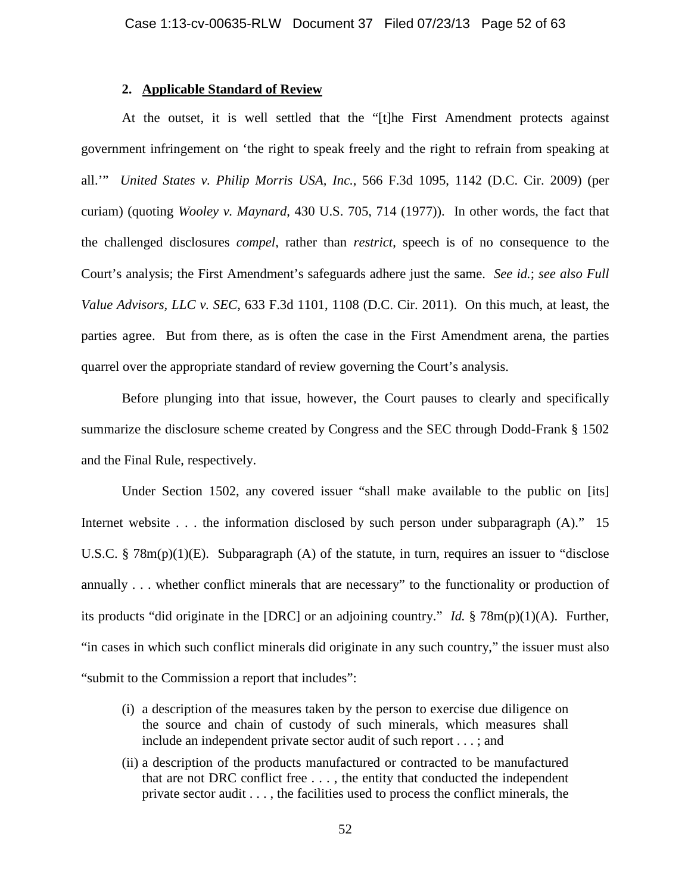## **2. Applicable Standard of Review**

At the outset, it is well settled that the "[t]he First Amendment protects against government infringement on 'the right to speak freely and the right to refrain from speaking at all.'" *United States v. Philip Morris USA, Inc.*, 566 F.3d 1095, 1142 (D.C. Cir. 2009) (per curiam) (quoting *Wooley v. Maynard*, 430 U.S. 705, 714 (1977)). In other words, the fact that the challenged disclosures *compel*, rather than *restrict*, speech is of no consequence to the Court's analysis; the First Amendment's safeguards adhere just the same. *See id.*; *see also Full Value Advisors, LLC v. SEC*, 633 F.3d 1101, 1108 (D.C. Cir. 2011). On this much, at least, the parties agree. But from there, as is often the case in the First Amendment arena, the parties quarrel over the appropriate standard of review governing the Court's analysis.

Before plunging into that issue, however, the Court pauses to clearly and specifically summarize the disclosure scheme created by Congress and the SEC through Dodd-Frank § 1502 and the Final Rule, respectively.

Under Section 1502, any covered issuer "shall make available to the public on [its] Internet website . . . the information disclosed by such person under subparagraph (A)." 15 U.S.C. §  $78m(p)(1)(E)$ . Subparagraph (A) of the statute, in turn, requires an issuer to "disclose" annually . . . whether conflict minerals that are necessary" to the functionality or production of its products "did originate in the [DRC] or an adjoining country." *Id.* § 78m(p)(1)(A). Further, "in cases in which such conflict minerals did originate in any such country," the issuer must also "submit to the Commission a report that includes":

- (i) a description of the measures taken by the person to exercise due diligence on the source and chain of custody of such minerals, which measures shall include an independent private sector audit of such report . . . ; and
- (ii) a description of the products manufactured or contracted to be manufactured that are not DRC conflict free . . . , the entity that conducted the independent private sector audit . . . , the facilities used to process the conflict minerals, the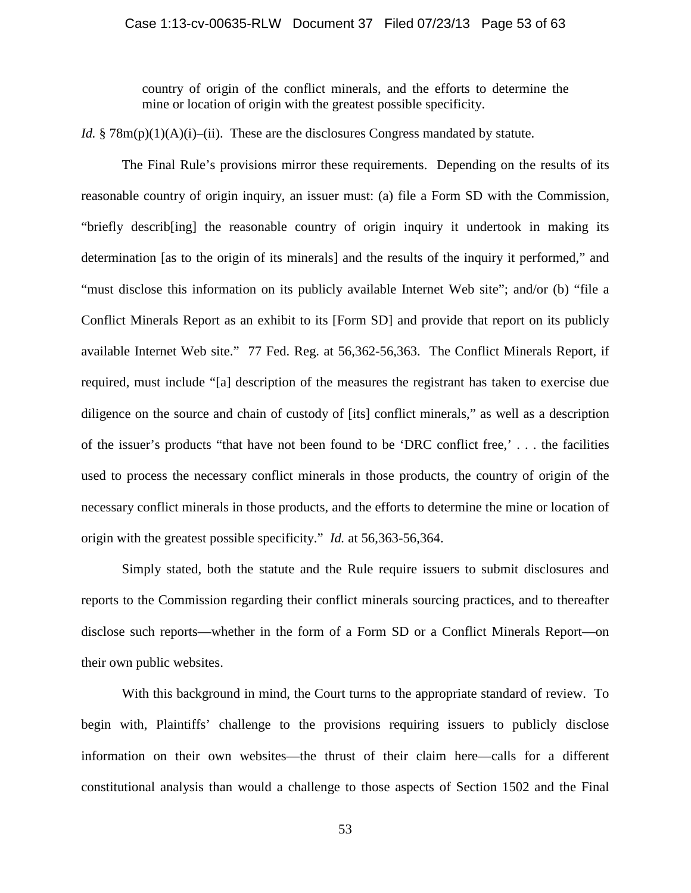country of origin of the conflict minerals, and the efforts to determine the mine or location of origin with the greatest possible specificity.

*Id.* § 78 $m(p)(1)(A)(i)$ –(ii). These are the disclosures Congress mandated by statute.

The Final Rule's provisions mirror these requirements. Depending on the results of its reasonable country of origin inquiry, an issuer must: (a) file a Form SD with the Commission, "briefly describ[ing] the reasonable country of origin inquiry it undertook in making its determination [as to the origin of its minerals] and the results of the inquiry it performed," and "must disclose this information on its publicly available Internet Web site"; and/or (b) "file a Conflict Minerals Report as an exhibit to its [Form SD] and provide that report on its publicly available Internet Web site." 77 Fed. Reg. at 56,362-56,363. The Conflict Minerals Report, if required, must include "[a] description of the measures the registrant has taken to exercise due diligence on the source and chain of custody of [its] conflict minerals," as well as a description of the issuer's products "that have not been found to be 'DRC conflict free,' . . . the facilities used to process the necessary conflict minerals in those products, the country of origin of the necessary conflict minerals in those products, and the efforts to determine the mine or location of origin with the greatest possible specificity." *Id.* at 56,363-56,364.

Simply stated, both the statute and the Rule require issuers to submit disclosures and reports to the Commission regarding their conflict minerals sourcing practices, and to thereafter disclose such reports—whether in the form of a Form SD or a Conflict Minerals Report—on their own public websites.

With this background in mind, the Court turns to the appropriate standard of review. To begin with, Plaintiffs' challenge to the provisions requiring issuers to publicly disclose information on their own websites—the thrust of their claim here—calls for a different constitutional analysis than would a challenge to those aspects of Section 1502 and the Final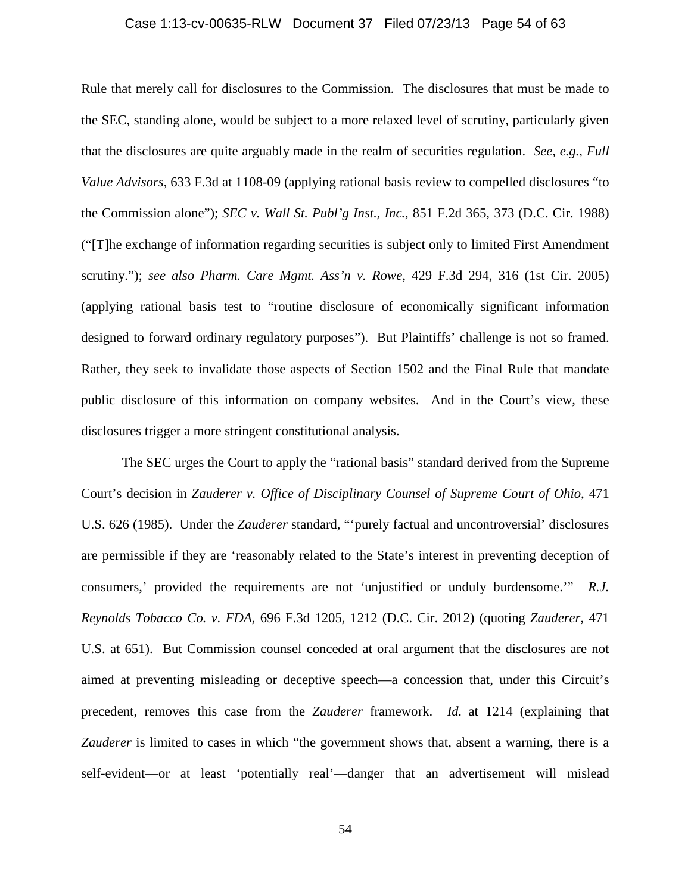## Case 1:13-cv-00635-RLW Document 37 Filed 07/23/13 Page 54 of 63

Rule that merely call for disclosures to the Commission. The disclosures that must be made to the SEC, standing alone, would be subject to a more relaxed level of scrutiny, particularly given that the disclosures are quite arguably made in the realm of securities regulation. *See, e.g.*, *Full Value Advisors*, 633 F.3d at 1108-09 (applying rational basis review to compelled disclosures "to the Commission alone"); *SEC v. Wall St. Publ'g Inst., Inc.*, 851 F.2d 365, 373 (D.C. Cir. 1988) ("[T]he exchange of information regarding securities is subject only to limited First Amendment scrutiny."); *see also Pharm. Care Mgmt. Ass'n v. Rowe*, 429 F.3d 294, 316 (1st Cir. 2005) (applying rational basis test to "routine disclosure of economically significant information designed to forward ordinary regulatory purposes"). But Plaintiffs' challenge is not so framed. Rather, they seek to invalidate those aspects of Section 1502 and the Final Rule that mandate public disclosure of this information on company websites. And in the Court's view, these disclosures trigger a more stringent constitutional analysis.

The SEC urges the Court to apply the "rational basis" standard derived from the Supreme Court's decision in *Zauderer v. Office of Disciplinary Counsel of Supreme Court of Ohio*, 471 U.S. 626 (1985). Under the *Zauderer* standard, "'purely factual and uncontroversial' disclosures are permissible if they are 'reasonably related to the State's interest in preventing deception of consumers,' provided the requirements are not 'unjustified or unduly burdensome.'" *R.J. Reynolds Tobacco Co. v. FDA*, 696 F.3d 1205, 1212 (D.C. Cir. 2012) (quoting *Zauderer*, 471 U.S. at 651). But Commission counsel conceded at oral argument that the disclosures are not aimed at preventing misleading or deceptive speech—a concession that, under this Circuit's precedent, removes this case from the *Zauderer* framework. *Id.* at 1214 (explaining that *Zauderer* is limited to cases in which "the government shows that, absent a warning, there is a self-evident—or at least 'potentially real'—danger that an advertisement will mislead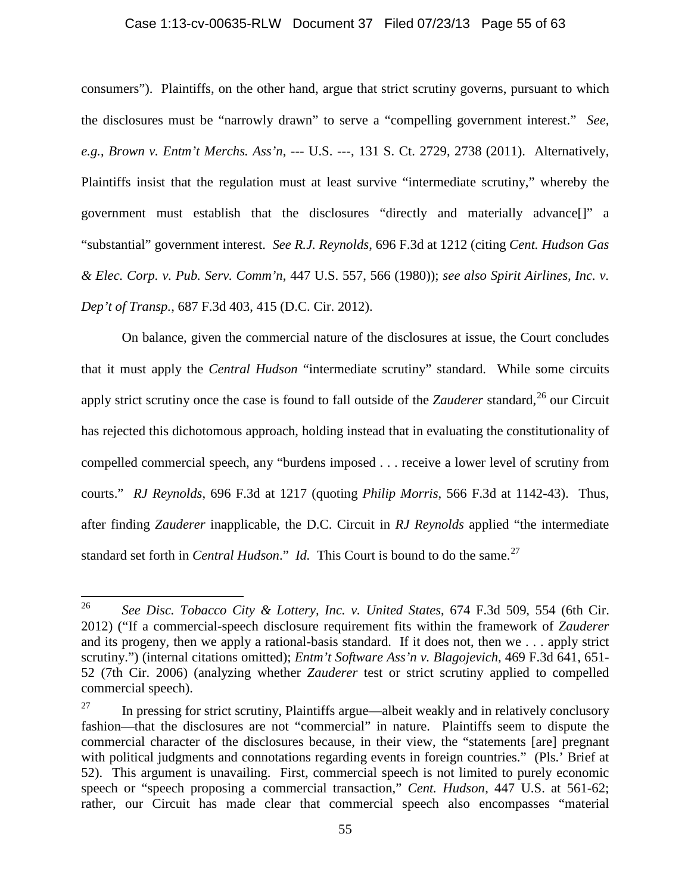## Case 1:13-cv-00635-RLW Document 37 Filed 07/23/13 Page 55 of 63

consumers"). Plaintiffs, on the other hand, argue that strict scrutiny governs, pursuant to which the disclosures must be "narrowly drawn" to serve a "compelling government interest." *See, e.g.*, *Brown v. Entm't Merchs. Ass'n*, --- U.S. ---, 131 S. Ct. 2729, 2738 (2011). Alternatively, Plaintiffs insist that the regulation must at least survive "intermediate scrutiny," whereby the government must establish that the disclosures "directly and materially advance[]" a "substantial" government interest. *See R.J. Reynolds*, 696 F.3d at 1212 (citing *Cent. Hudson Gas & Elec. Corp. v. Pub. Serv. Comm'n*, 447 U.S. 557, 566 (1980)); *see also Spirit Airlines, Inc. v. Dep't of Transp.*, 687 F.3d 403, 415 (D.C. Cir. 2012).

On balance, given the commercial nature of the disclosures at issue, the Court concludes that it must apply the *Central Hudson* "intermediate scrutiny" standard. While some circuits apply strict scrutiny once the case is found to fall outside of the *Zauderer* standard, [26](#page-54-0) our Circuit has rejected this dichotomous approach, holding instead that in evaluating the constitutionality of compelled commercial speech, any "burdens imposed . . . receive a lower level of scrutiny from courts." *RJ Reynolds*, 696 F.3d at 1217 (quoting *Philip Morris*, 566 F.3d at 1142-43). Thus, after finding *Zauderer* inapplicable, the D.C. Circuit in *RJ Reynolds* applied "the intermediate standard set forth in *Central Hudson*." *Id.* This Court is bound to do the same.<sup>[27](#page-54-1)</sup>

<span id="page-54-0"></span><sup>26</sup> *See Disc. Tobacco City & Lottery, Inc. v. United States*, 674 F.3d 509, 554 (6th Cir. 2012) ("If a commercial-speech disclosure requirement fits within the framework of *Zauderer*  and its progeny, then we apply a rational-basis standard. If it does not, then we . . . apply strict scrutiny.") (internal citations omitted); *Entm't Software Ass'n v. Blagojevich*, 469 F.3d 641, 651- 52 (7th Cir. 2006) (analyzing whether *Zauderer* test or strict scrutiny applied to compelled commercial speech).

<span id="page-54-1"></span> $27$  In pressing for strict scrutiny, Plaintiffs argue—albeit weakly and in relatively conclusory fashion—that the disclosures are not "commercial" in nature. Plaintiffs seem to dispute the commercial character of the disclosures because, in their view, the "statements [are] pregnant with political judgments and connotations regarding events in foreign countries." (Pls.' Brief at 52). This argument is unavailing. First, commercial speech is not limited to purely economic speech or "speech proposing a commercial transaction," *Cent. Hudson*, 447 U.S. at 561-62; rather, our Circuit has made clear that commercial speech also encompasses "material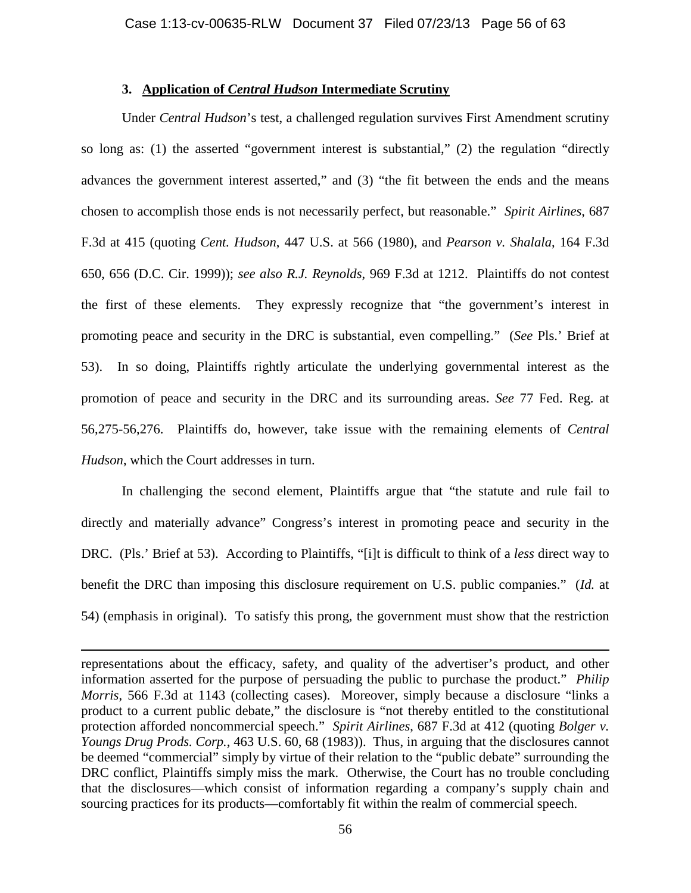## **3. Application of** *Central Hudson* **Intermediate Scrutiny**

Under *Central Hudson*'s test, a challenged regulation survives First Amendment scrutiny so long as: (1) the asserted "government interest is substantial," (2) the regulation "directly advances the government interest asserted," and (3) "the fit between the ends and the means chosen to accomplish those ends is not necessarily perfect, but reasonable." *Spirit Airlines*, 687 F.3d at 415 (quoting *Cent. Hudson*, 447 U.S. at 566 (1980), and *Pearson v. Shalala*, 164 F.3d 650, 656 (D.C. Cir. 1999)); *see also R.J. Reynolds*, 969 F.3d at 1212. Plaintiffs do not contest the first of these elements. They expressly recognize that "the government's interest in promoting peace and security in the DRC is substantial, even compelling." (*See* Pls.' Brief at 53). In so doing, Plaintiffs rightly articulate the underlying governmental interest as the promotion of peace and security in the DRC and its surrounding areas. *See* 77 Fed. Reg. at 56,275-56,276. Plaintiffs do, however, take issue with the remaining elements of *Central Hudson*, which the Court addresses in turn.

In challenging the second element, Plaintiffs argue that "the statute and rule fail to directly and materially advance" Congress's interest in promoting peace and security in the DRC. (Pls.' Brief at 53). According to Plaintiffs, "[i]t is difficult to think of a *less* direct way to benefit the DRC than imposing this disclosure requirement on U.S. public companies." (*Id.* at 54) (emphasis in original). To satisfy this prong, the government must show that the restriction

 $\overline{\phantom{a}}$ 

representations about the efficacy, safety, and quality of the advertiser's product, and other information asserted for the purpose of persuading the public to purchase the product." *Philip Morris*, 566 F.3d at 1143 (collecting cases). Moreover, simply because a disclosure "links a product to a current public debate," the disclosure is "not thereby entitled to the constitutional protection afforded noncommercial speech." *Spirit Airlines*, 687 F.3d at 412 (quoting *Bolger v. Youngs Drug Prods. Corp.*, 463 U.S. 60, 68 (1983)). Thus, in arguing that the disclosures cannot be deemed "commercial" simply by virtue of their relation to the "public debate" surrounding the DRC conflict, Plaintiffs simply miss the mark. Otherwise, the Court has no trouble concluding that the disclosures—which consist of information regarding a company's supply chain and sourcing practices for its products—comfortably fit within the realm of commercial speech.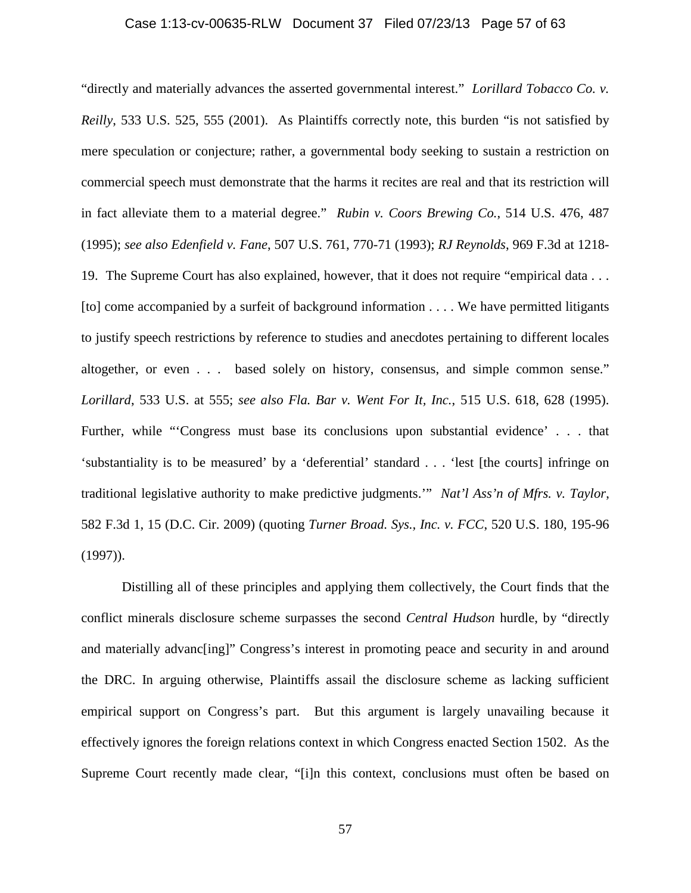## Case 1:13-cv-00635-RLW Document 37 Filed 07/23/13 Page 57 of 63

"directly and materially advances the asserted governmental interest." *Lorillard Tobacco Co. v. Reilly*, 533 U.S. 525, 555 (2001). As Plaintiffs correctly note, this burden "is not satisfied by mere speculation or conjecture; rather, a governmental body seeking to sustain a restriction on commercial speech must demonstrate that the harms it recites are real and that its restriction will in fact alleviate them to a material degree." *Rubin v. Coors Brewing Co.*, 514 U.S. 476, 487 (1995); *see also Edenfield v. Fane*, 507 U.S. 761, 770-71 (1993); *RJ Reynolds*, 969 F.3d at 1218- 19. The Supreme Court has also explained, however, that it does not require "empirical data . . . [to] come accompanied by a surfeit of background information . . . . We have permitted litigants to justify speech restrictions by reference to studies and anecdotes pertaining to different locales altogether, or even . . . based solely on history, consensus, and simple common sense." *Lorillard*, 533 U.S. at 555; *see also Fla. Bar v. Went For It, Inc.*, 515 U.S. 618, 628 (1995). Further, while "'Congress must base its conclusions upon substantial evidence' . . . that 'substantiality is to be measured' by a 'deferential' standard . . . 'lest [the courts] infringe on traditional legislative authority to make predictive judgments.'" *Nat'l Ass'n of Mfrs. v. Taylor*, 582 F.3d 1, 15 (D.C. Cir. 2009) (quoting *Turner Broad. Sys., Inc. v. FCC*, 520 U.S. 180, 195-96 (1997)).

Distilling all of these principles and applying them collectively, the Court finds that the conflict minerals disclosure scheme surpasses the second *Central Hudson* hurdle, by "directly and materially advanc[ing]" Congress's interest in promoting peace and security in and around the DRC. In arguing otherwise, Plaintiffs assail the disclosure scheme as lacking sufficient empirical support on Congress's part. But this argument is largely unavailing because it effectively ignores the foreign relations context in which Congress enacted Section 1502. As the Supreme Court recently made clear, "[i]n this context, conclusions must often be based on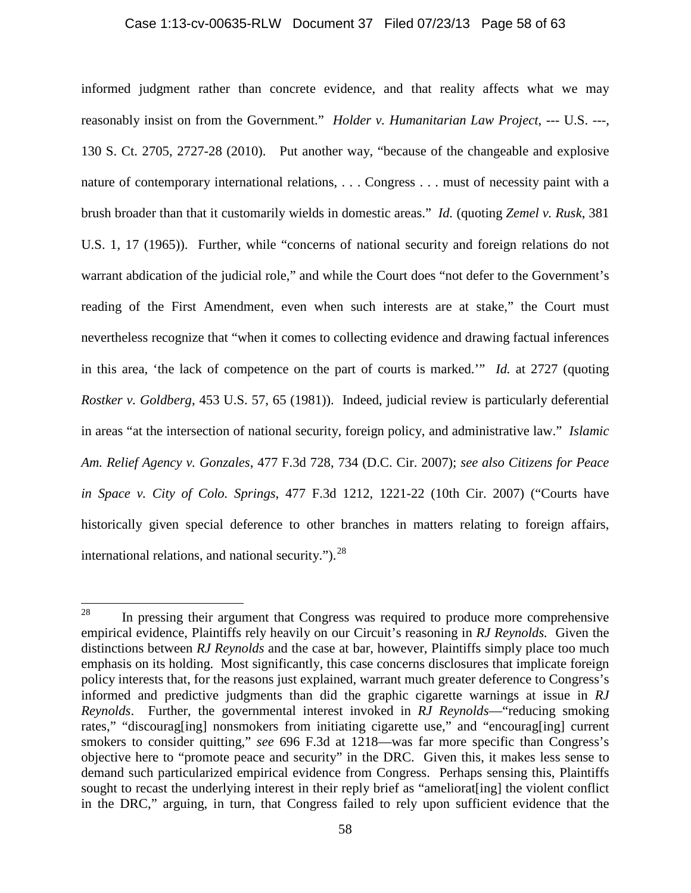## Case 1:13-cv-00635-RLW Document 37 Filed 07/23/13 Page 58 of 63

informed judgment rather than concrete evidence, and that reality affects what we may reasonably insist on from the Government." *Holder v. Humanitarian Law Project*, --- U.S. ---, 130 S. Ct. 2705, 2727-28 (2010). Put another way, "because of the changeable and explosive nature of contemporary international relations, . . . Congress . . . must of necessity paint with a brush broader than that it customarily wields in domestic areas." *Id.* (quoting *Zemel v. Rusk*, 381 U.S. 1, 17 (1965)). Further, while "concerns of national security and foreign relations do not warrant abdication of the judicial role," and while the Court does "not defer to the Government's reading of the First Amendment, even when such interests are at stake," the Court must nevertheless recognize that "when it comes to collecting evidence and drawing factual inferences in this area, 'the lack of competence on the part of courts is marked.'" *Id.* at 2727 (quoting *Rostker v. Goldberg*, 453 U.S. 57, 65 (1981)). Indeed, judicial review is particularly deferential in areas "at the intersection of national security, foreign policy, and administrative law." *Islamic Am. Relief Agency v. Gonzales*, 477 F.3d 728, 734 (D.C. Cir. 2007); *see also Citizens for Peace in Space v. City of Colo. Springs*, 477 F.3d 1212, 1221-22 (10th Cir. 2007) ("Courts have historically given special deference to other branches in matters relating to foreign affairs, international relations, and national security." $)^{28}$ 

<span id="page-57-0"></span><sup>&</sup>lt;sup>28</sup> In pressing their argument that Congress was required to produce more comprehensive empirical evidence, Plaintiffs rely heavily on our Circuit's reasoning in *RJ Reynolds.* Given the distinctions between *RJ Reynolds* and the case at bar, however, Plaintiffs simply place too much emphasis on its holding. Most significantly, this case concerns disclosures that implicate foreign policy interests that, for the reasons just explained, warrant much greater deference to Congress's informed and predictive judgments than did the graphic cigarette warnings at issue in *RJ Reynolds*. Further, the governmental interest invoked in *RJ Reynolds*—"reducing smoking rates," "discourag[ing] nonsmokers from initiating cigarette use," and "encourag[ing] current smokers to consider quitting," *see* 696 F.3d at 1218—was far more specific than Congress's objective here to "promote peace and security" in the DRC. Given this, it makes less sense to demand such particularized empirical evidence from Congress. Perhaps sensing this, Plaintiffs sought to recast the underlying interest in their reply brief as "ameliorat [ing] the violent conflict in the DRC," arguing, in turn, that Congress failed to rely upon sufficient evidence that the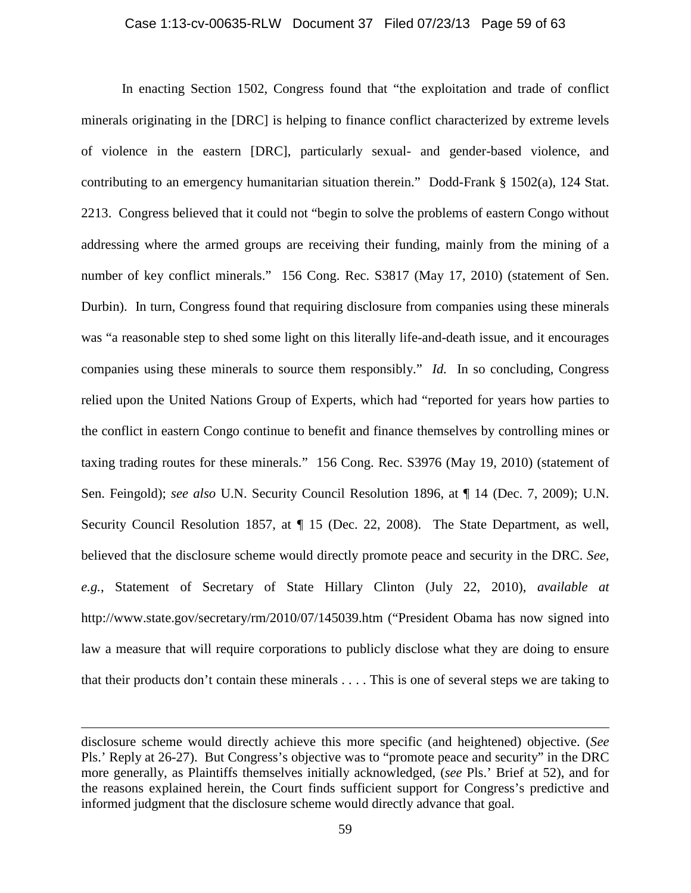## Case 1:13-cv-00635-RLW Document 37 Filed 07/23/13 Page 59 of 63

In enacting Section 1502, Congress found that "the exploitation and trade of conflict minerals originating in the [DRC] is helping to finance conflict characterized by extreme levels of violence in the eastern [DRC], particularly sexual- and gender-based violence, and contributing to an emergency humanitarian situation therein." Dodd-Frank § 1502(a), 124 Stat. 2213. Congress believed that it could not "begin to solve the problems of eastern Congo without addressing where the armed groups are receiving their funding, mainly from the mining of a number of key conflict minerals." 156 Cong. Rec. S3817 (May 17, 2010) (statement of Sen. Durbin). In turn, Congress found that requiring disclosure from companies using these minerals was "a reasonable step to shed some light on this literally life-and-death issue, and it encourages companies using these minerals to source them responsibly." *Id.* In so concluding, Congress relied upon the United Nations Group of Experts, which had "reported for years how parties to the conflict in eastern Congo continue to benefit and finance themselves by controlling mines or taxing trading routes for these minerals." 156 Cong. Rec. S3976 (May 19, 2010) (statement of Sen. Feingold); *see also* U.N. Security Council Resolution 1896, at ¶ 14 (Dec. 7, 2009); U.N. Security Council Resolution 1857, at ¶ 15 (Dec. 22, 2008). The State Department, as well, believed that the disclosure scheme would directly promote peace and security in the DRC. *See, e.g.*, Statement of Secretary of State Hillary Clinton (July 22, 2010), *available at* http://www.state.gov/secretary/rm/2010/07/145039.htm ("President Obama has now signed into law a measure that will require corporations to publicly disclose what they are doing to ensure that their products don't contain these minerals . . . . This is one of several steps we are taking to

 $\overline{\phantom{a}}$ 

disclosure scheme would directly achieve this more specific (and heightened) objective. (*See*  Pls.' Reply at 26-27). But Congress's objective was to "promote peace and security" in the DRC more generally, as Plaintiffs themselves initially acknowledged, (*see* Pls.' Brief at 52), and for the reasons explained herein, the Court finds sufficient support for Congress's predictive and informed judgment that the disclosure scheme would directly advance that goal.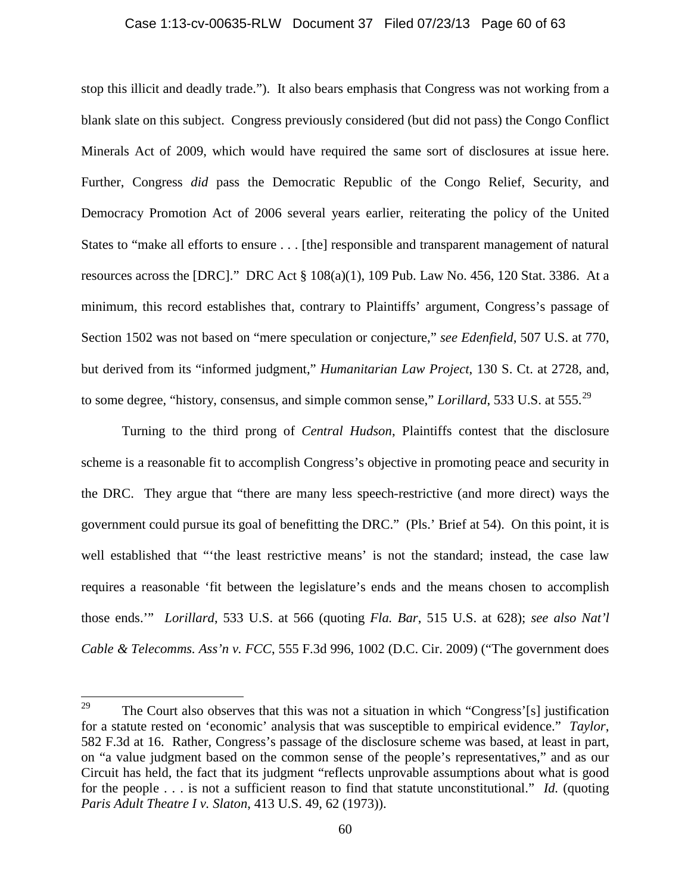#### Case 1:13-cv-00635-RLW Document 37 Filed 07/23/13 Page 60 of 63

stop this illicit and deadly trade."). It also bears emphasis that Congress was not working from a blank slate on this subject. Congress previously considered (but did not pass) the Congo Conflict Minerals Act of 2009, which would have required the same sort of disclosures at issue here. Further, Congress *did* pass the Democratic Republic of the Congo Relief, Security, and Democracy Promotion Act of 2006 several years earlier, reiterating the policy of the United States to "make all efforts to ensure . . . [the] responsible and transparent management of natural resources across the [DRC]." DRC Act § 108(a)(1), 109 Pub. Law No. 456, 120 Stat. 3386. At a minimum, this record establishes that, contrary to Plaintiffs' argument, Congress's passage of Section 1502 was not based on "mere speculation or conjecture," *see Edenfield*, 507 U.S. at 770, but derived from its "informed judgment," *Humanitarian Law Project*, 130 S. Ct. at 2728, and, to some degree, "history, consensus, and simple common sense," *Lorillard*, 533 U.S. at 555.[29](#page-59-0)

Turning to the third prong of *Central Hudson*, Plaintiffs contest that the disclosure scheme is a reasonable fit to accomplish Congress's objective in promoting peace and security in the DRC. They argue that "there are many less speech-restrictive (and more direct) ways the government could pursue its goal of benefitting the DRC." (Pls.' Brief at 54). On this point, it is well established that "'the least restrictive means' is not the standard; instead, the case law requires a reasonable 'fit between the legislature's ends and the means chosen to accomplish those ends.'" *Lorillard*, 533 U.S. at 566 (quoting *Fla. Bar*, 515 U.S. at 628); *see also Nat'l Cable & Telecomms. Ass'n v. FCC*, 555 F.3d 996, 1002 (D.C. Cir. 2009) ("The government does

<span id="page-59-0"></span><sup>&</sup>lt;sup>29</sup> The Court also observes that this was not a situation in which "Congress'[s] justification for a statute rested on 'economic' analysis that was susceptible to empirical evidence." *Taylor*, 582 F.3d at 16. Rather, Congress's passage of the disclosure scheme was based, at least in part, on "a value judgment based on the common sense of the people's representatives," and as our Circuit has held, the fact that its judgment "reflects unprovable assumptions about what is good for the people . . . is not a sufficient reason to find that statute unconstitutional." *Id.* (quoting *Paris Adult Theatre I v. Slaton*, 413 U.S. 49, 62 (1973)).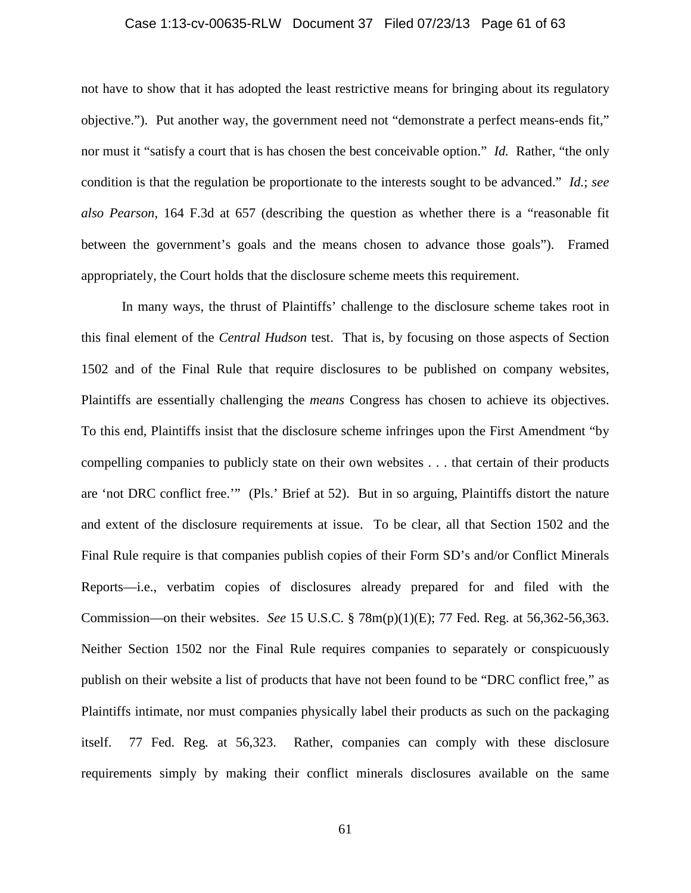## Case 1:13-cv-00635-RLW Document 37 Filed 07/23/13 Page 61 of 63

not have to show that it has adopted the least restrictive means for bringing about its regulatory objective."). Put another way, the government need not "demonstrate a perfect means-ends fit," nor must it "satisfy a court that is has chosen the best conceivable option." *Id.* Rather, "the only condition is that the regulation be proportionate to the interests sought to be advanced." *Id.*; *see also Pearson*, 164 F.3d at 657 (describing the question as whether there is a "reasonable fit between the government's goals and the means chosen to advance those goals"). Framed appropriately, the Court holds that the disclosure scheme meets this requirement.

In many ways, the thrust of Plaintiffs' challenge to the disclosure scheme takes root in this final element of the *Central Hudson* test. That is, by focusing on those aspects of Section 1502 and of the Final Rule that require disclosures to be published on company websites, Plaintiffs are essentially challenging the *means* Congress has chosen to achieve its objectives. To this end, Plaintiffs insist that the disclosure scheme infringes upon the First Amendment "by compelling companies to publicly state on their own websites . . . that certain of their products are 'not DRC conflict free.'" (Pls.' Brief at 52). But in so arguing, Plaintiffs distort the nature and extent of the disclosure requirements at issue. To be clear, all that Section 1502 and the Final Rule require is that companies publish copies of their Form SD's and/or Conflict Minerals Reports—i.e., verbatim copies of disclosures already prepared for and filed with the Commission—on their websites. *See* 15 U.S.C. § 78m(p)(1)(E); 77 Fed. Reg. at 56,362-56,363. Neither Section 1502 nor the Final Rule requires companies to separately or conspicuously publish on their website a list of products that have not been found to be "DRC conflict free," as Plaintiffs intimate, nor must companies physically label their products as such on the packaging itself. 77 Fed. Reg*.* at 56,323. Rather, companies can comply with these disclosure requirements simply by making their conflict minerals disclosures available on the same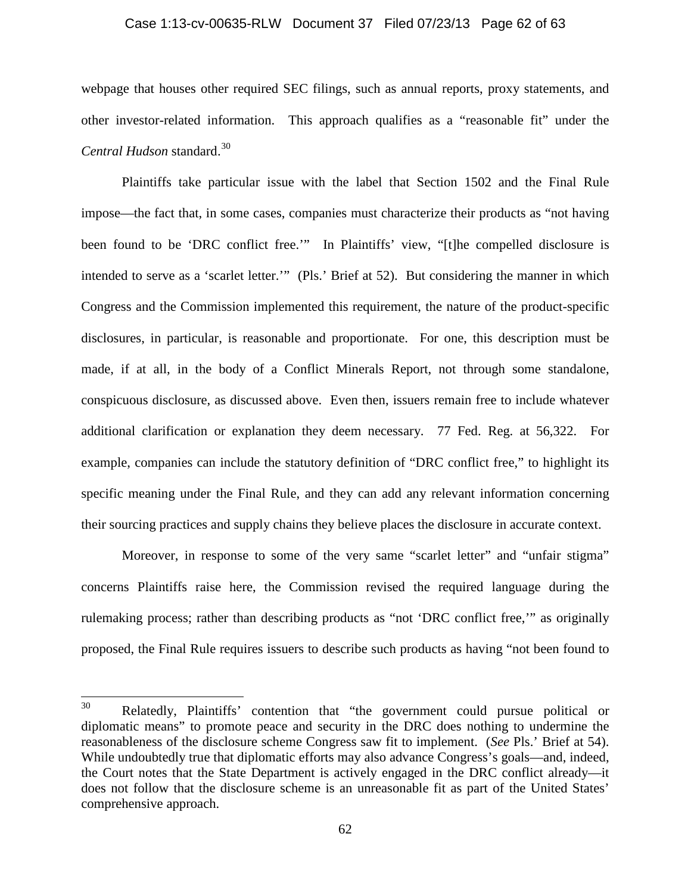#### Case 1:13-cv-00635-RLW Document 37 Filed 07/23/13 Page 62 of 63

webpage that houses other required SEC filings, such as annual reports, proxy statements, and other investor-related information. This approach qualifies as a "reasonable fit" under the *Central Hudson* standard.<sup>[30](#page-61-0)</sup>

Plaintiffs take particular issue with the label that Section 1502 and the Final Rule impose—the fact that, in some cases, companies must characterize their products as "not having been found to be 'DRC conflict free.'" In Plaintiffs' view, "[t]he compelled disclosure is intended to serve as a 'scarlet letter.'" (Pls.' Brief at 52). But considering the manner in which Congress and the Commission implemented this requirement, the nature of the product-specific disclosures, in particular, is reasonable and proportionate. For one, this description must be made, if at all, in the body of a Conflict Minerals Report, not through some standalone, conspicuous disclosure, as discussed above. Even then, issuers remain free to include whatever additional clarification or explanation they deem necessary. 77 Fed. Reg. at 56,322. For example, companies can include the statutory definition of "DRC conflict free," to highlight its specific meaning under the Final Rule, and they can add any relevant information concerning their sourcing practices and supply chains they believe places the disclosure in accurate context.

Moreover, in response to some of the very same "scarlet letter" and "unfair stigma" concerns Plaintiffs raise here, the Commission revised the required language during the rulemaking process; rather than describing products as "not 'DRC conflict free,'" as originally proposed, the Final Rule requires issuers to describe such products as having "not been found to

<span id="page-61-0"></span><sup>30</sup> Relatedly, Plaintiffs' contention that "the government could pursue political or diplomatic means" to promote peace and security in the DRC does nothing to undermine the reasonableness of the disclosure scheme Congress saw fit to implement. (*See* Pls.' Brief at 54). While undoubtedly true that diplomatic efforts may also advance Congress's goals—and, indeed, the Court notes that the State Department is actively engaged in the DRC conflict already—it does not follow that the disclosure scheme is an unreasonable fit as part of the United States' comprehensive approach.